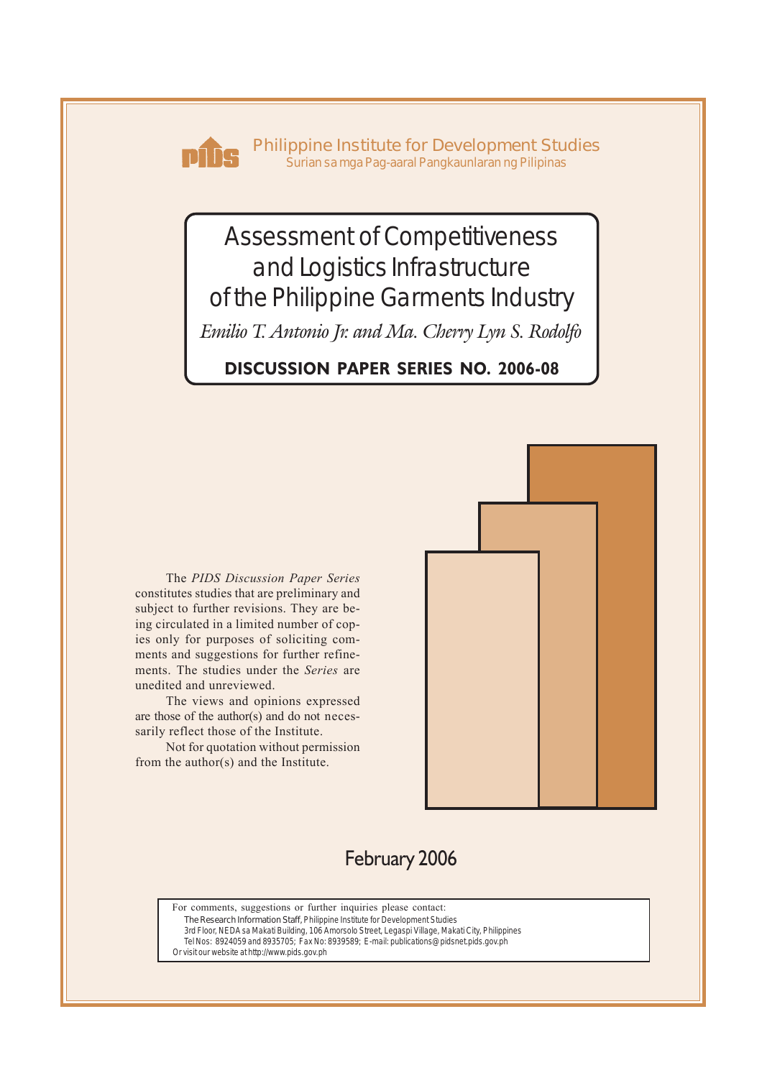

**Philippine Institute for Development Studies** *Surian sa mga Pag-aaral Pangkaunlaran ng Pilipinas*

# Assessment of Competitiveness and Logistics Infrastructure of the Philippine Garments Industry

*Emilio T. Antonio Jr. and Ma. Cherry Lyn S. Rodolfo*

**DISCUSSION PAPER SERIES NO. 2006-08**

The *PIDS Discussion Paper Series* constitutes studies that are preliminary and subject to further revisions. They are being circulated in a limited number of copies only for purposes of soliciting comments and suggestions for further refinements. The studies under the *Series* are unedited and unreviewed.

The views and opinions expressed are those of the author(s) and do not necessarily reflect those of the Institute.

Not for quotation without permission from the author(s) and the Institute.



## February 2006

For comments, suggestions or further inquiries please contact:

**The Research Information Staff,** Philippine Institute for Development Studies 3rd Floor, NEDA sa Makati Building, 106 Amorsolo Street, Legaspi Village, Makati City, Philippines

Tel Nos: 8924059 and 8935705; Fax No: 8939589; E-mail: publications@pidsnet.pids.gov.ph

Or visit our website at http://www.pids.gov.ph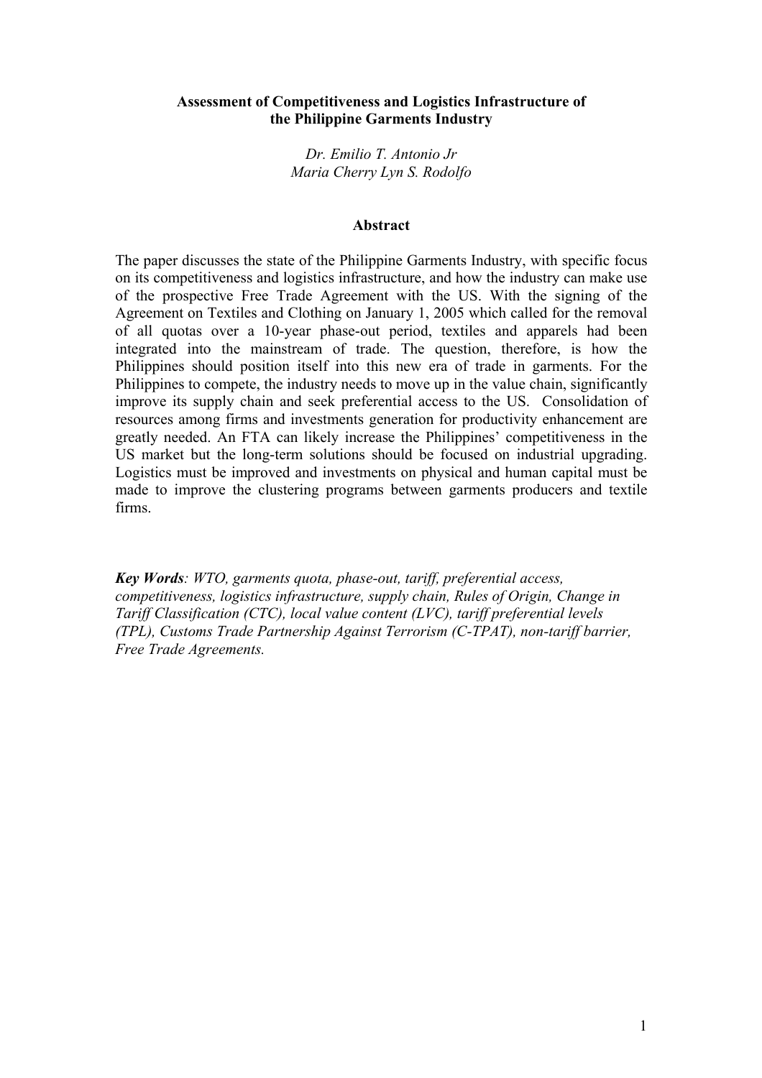#### **Assessment of Competitiveness and Logistics Infrastructure of the Philippine Garments Industry**

*Dr. Emilio T. Antonio Jr Maria Cherry Lyn S. Rodolfo* 

#### **Abstract**

The paper discusses the state of the Philippine Garments Industry, with specific focus on its competitiveness and logistics infrastructure, and how the industry can make use of the prospective Free Trade Agreement with the US. With the signing of the Agreement on Textiles and Clothing on January 1, 2005 which called for the removal of all quotas over a 10-year phase-out period, textiles and apparels had been integrated into the mainstream of trade. The question, therefore, is how the Philippines should position itself into this new era of trade in garments. For the Philippines to compete, the industry needs to move up in the value chain, significantly improve its supply chain and seek preferential access to the US. Consolidation of resources among firms and investments generation for productivity enhancement are greatly needed. An FTA can likely increase the Philippines' competitiveness in the US market but the long-term solutions should be focused on industrial upgrading. Logistics must be improved and investments on physical and human capital must be made to improve the clustering programs between garments producers and textile firms.

*Key Words: WTO, garments quota, phase-out, tariff, preferential access, competitiveness, logistics infrastructure, supply chain, Rules of Origin, Change in Tariff Classification (CTC), local value content (LVC), tariff preferential levels (TPL), Customs Trade Partnership Against Terrorism (C-TPAT), non-tariff barrier, Free Trade Agreements.*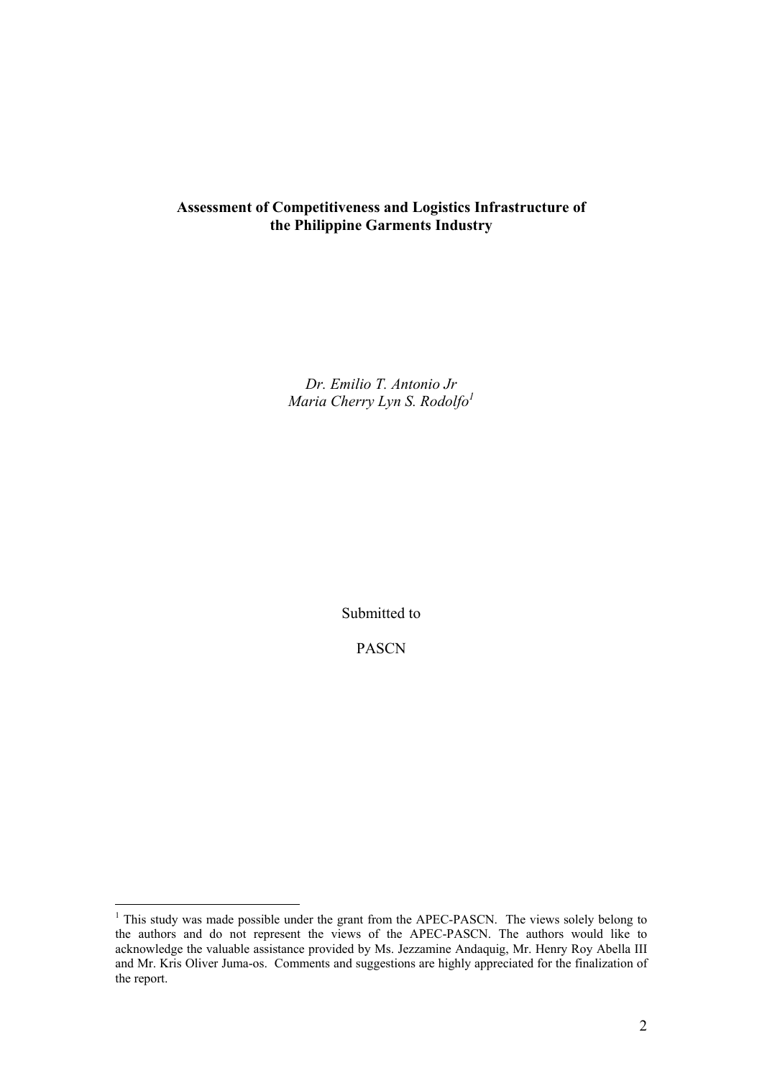## **Assessment of Competitiveness and Logistics Infrastructure of the Philippine Garments Industry**

*Dr. Emilio T. Antonio Jr Maria Cherry Lyn S. Rodolfo1*

Submitted to

PASCN

<sup>&</sup>lt;sup>1</sup> This study was made possible under the grant from the APEC-PASCN. The views solely belong to the authors and do not represent the views of the APEC-PASCN. The authors would like to acknowledge the valuable assistance provided by Ms. Jezzamine Andaquig, Mr. Henry Roy Abella III and Mr. Kris Oliver Juma-os. Comments and suggestions are highly appreciated for the finalization of the report.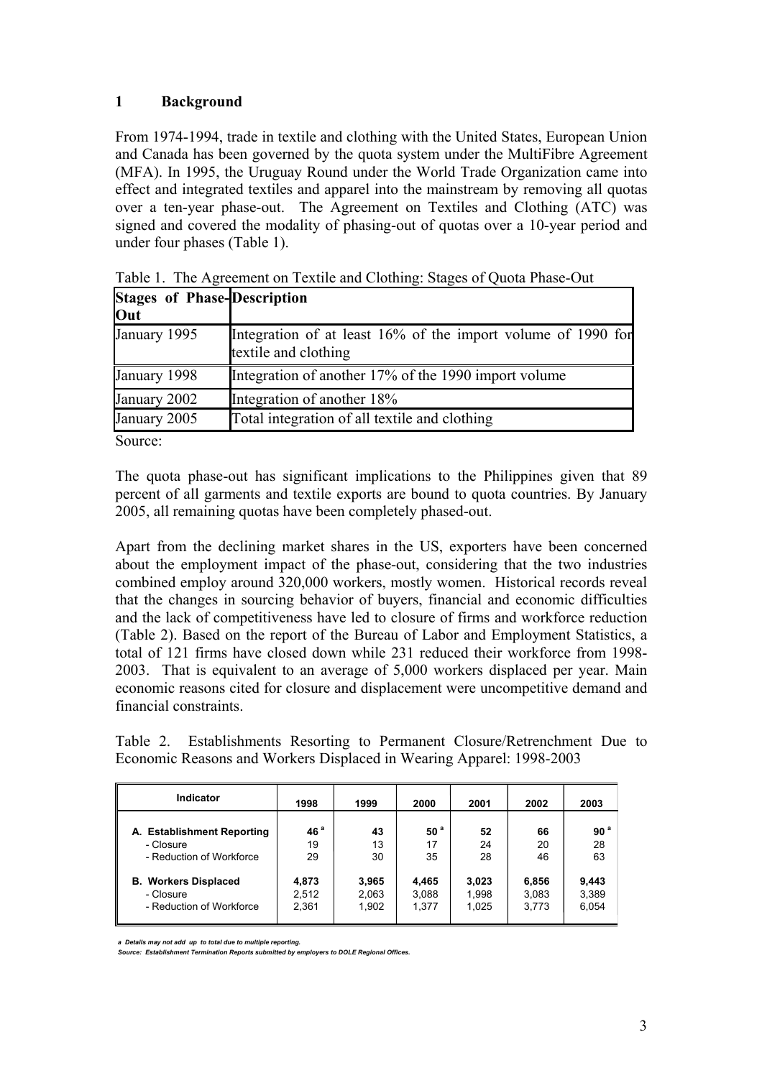## **1 Background**

From 1974-1994, trade in textile and clothing with the United States, European Union and Canada has been governed by the quota system under the MultiFibre Agreement (MFA). In 1995, the Uruguay Round under the World Trade Organization came into effect and integrated textiles and apparel into the mainstream by removing all quotas over a ten-year phase-out. The Agreement on Textiles and Clothing (ATC) was signed and covered the modality of phasing-out of quotas over a 10-year period and under four phases (Table 1).

| <b>Stages of Phase-Description</b><br>Out |                                                                                      |
|-------------------------------------------|--------------------------------------------------------------------------------------|
| January 1995                              | Integration of at least 16% of the import volume of 1990 for<br>textile and clothing |
| January 1998                              | Integration of another 17% of the 1990 import volume                                 |
| January 2002                              | Integration of another 18%                                                           |
| January 2005                              | Total integration of all textile and clothing                                        |

Table 1. The Agreement on Textile and Clothing: Stages of Quota Phase-Out

Source:

The quota phase-out has significant implications to the Philippines given that 89 percent of all garments and textile exports are bound to quota countries. By January 2005, all remaining quotas have been completely phased-out.

Apart from the declining market shares in the US, exporters have been concerned about the employment impact of the phase-out, considering that the two industries combined employ around 320,000 workers, mostly women. Historical records reveal that the changes in sourcing behavior of buyers, financial and economic difficulties and the lack of competitiveness have led to closure of firms and workforce reduction (Table 2). Based on the report of the Bureau of Labor and Employment Statistics, a total of 121 firms have closed down while 231 reduced their workforce from 1998- 2003. That is equivalent to an average of 5,000 workers displaced per year. Main economic reasons cited for closure and displacement were uncompetitive demand and financial constraints.

Table 2. Establishments Resorting to Permanent Closure/Retrenchment Due to Economic Reasons and Workers Displaced in Wearing Apparel: 1998-2003

| <b>Indicator</b>            | 1998   | 1999  | 2000            | 2001  | 2002  | 2003            |
|-----------------------------|--------|-------|-----------------|-------|-------|-----------------|
| A. Establishment Reporting  | 46 $a$ | 43    | 50 <sup>a</sup> | 52    | 66    | 90 <sup>a</sup> |
| - Closure                   | 19     | 13    | 17              | 24    | 20    | 28              |
| - Reduction of Workforce    | 29     | 30    | 35              | 28    | 46    | 63              |
| <b>B. Workers Displaced</b> | 4,873  | 3,965 | 4,465           | 3,023 | 6,856 | 9,443           |
| - Closure                   | 2,512  | 2,063 | 3,088           | 1,998 | 3,083 | 3,389           |
| - Reduction of Workforce    | 2,361  | 1,902 | 1,377           | 1,025 | 3.773 | 6,054           |

*a Details may not add up to total due to multiple reporting.*

*Source: Establishment Termination Reports submitted by employers to DOLE Regional Offices.*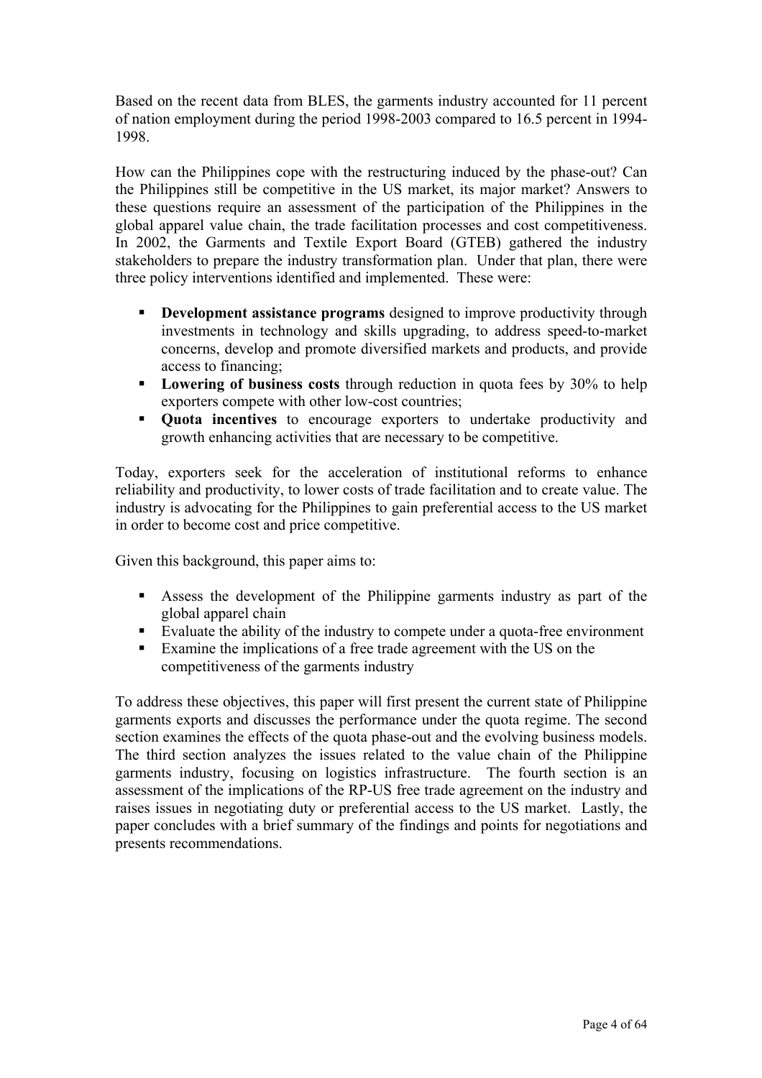Based on the recent data from BLES, the garments industry accounted for 11 percent of nation employment during the period 1998-2003 compared to 16.5 percent in 1994- 1998.

How can the Philippines cope with the restructuring induced by the phase-out? Can the Philippines still be competitive in the US market, its major market? Answers to these questions require an assessment of the participation of the Philippines in the global apparel value chain, the trade facilitation processes and cost competitiveness. In 2002, the Garments and Textile Export Board (GTEB) gathered the industry stakeholders to prepare the industry transformation plan. Under that plan, there were three policy interventions identified and implemented. These were:

- **Development assistance programs** designed to improve productivity through investments in technology and skills upgrading, to address speed-to-market concerns, develop and promote diversified markets and products, and provide access to financing;
- **Lowering of business costs** through reduction in quota fees by 30% to help exporters compete with other low-cost countries;
- **Ouota incentives** to encourage exporters to undertake productivity and growth enhancing activities that are necessary to be competitive.

Today, exporters seek for the acceleration of institutional reforms to enhance reliability and productivity, to lower costs of trade facilitation and to create value. The industry is advocating for the Philippines to gain preferential access to the US market in order to become cost and price competitive.

Given this background, this paper aims to:

- Assess the development of the Philippine garments industry as part of the global apparel chain
- Evaluate the ability of the industry to compete under a quota-free environment
- Examine the implications of a free trade agreement with the US on the competitiveness of the garments industry

To address these objectives, this paper will first present the current state of Philippine garments exports and discusses the performance under the quota regime. The second section examines the effects of the quota phase-out and the evolving business models. The third section analyzes the issues related to the value chain of the Philippine garments industry, focusing on logistics infrastructure. The fourth section is an assessment of the implications of the RP-US free trade agreement on the industry and raises issues in negotiating duty or preferential access to the US market. Lastly, the paper concludes with a brief summary of the findings and points for negotiations and presents recommendations.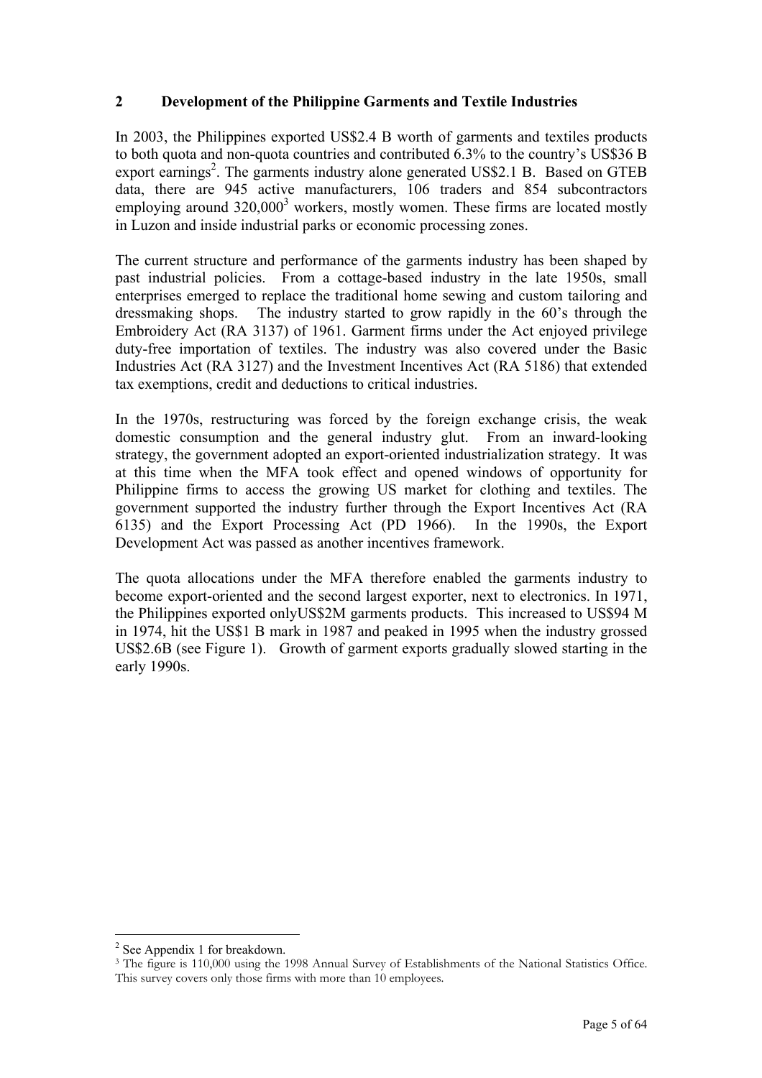## **2 Development of the Philippine Garments and Textile Industries**

In 2003, the Philippines exported US\$2.4 B worth of garments and textiles products to both quota and non-quota countries and contributed 6.3% to the country's US\$36 B export earnings<sup>2</sup>. The garments industry alone generated US\$2.1 B. Based on GTEB data, there are 945 active manufacturers, 106 traders and 854 subcontractors employing around  $320,000^3$  workers, mostly women. These firms are located mostly in Luzon and inside industrial parks or economic processing zones.

The current structure and performance of the garments industry has been shaped by past industrial policies. From a cottage-based industry in the late 1950s, small enterprises emerged to replace the traditional home sewing and custom tailoring and dressmaking shops. The industry started to grow rapidly in the 60's through the Embroidery Act (RA 3137) of 1961. Garment firms under the Act enjoyed privilege duty-free importation of textiles. The industry was also covered under the Basic Industries Act (RA 3127) and the Investment Incentives Act (RA 5186) that extended tax exemptions, credit and deductions to critical industries.

In the 1970s, restructuring was forced by the foreign exchange crisis, the weak domestic consumption and the general industry glut. From an inward-looking strategy, the government adopted an export-oriented industrialization strategy. It was at this time when the MFA took effect and opened windows of opportunity for Philippine firms to access the growing US market for clothing and textiles. The government supported the industry further through the Export Incentives Act (RA 6135) and the Export Processing Act (PD 1966). In the 1990s, the Export Development Act was passed as another incentives framework.

The quota allocations under the MFA therefore enabled the garments industry to become export-oriented and the second largest exporter, next to electronics. In 1971, the Philippines exported onlyUS\$2M garments products. This increased to US\$94 M in 1974, hit the US\$1 B mark in 1987 and peaked in 1995 when the industry grossed US\$2.6B (see Figure 1). Growth of garment exports gradually slowed starting in the early 1990s.

 $\overline{a}$ <sup>2</sup> See Appendix 1 for breakdown.

<sup>&</sup>lt;sup>3</sup> The figure is 110,000 using the 1998 Annual Survey of Establishments of the National Statistics Office. This survey covers only those firms with more than 10 employees.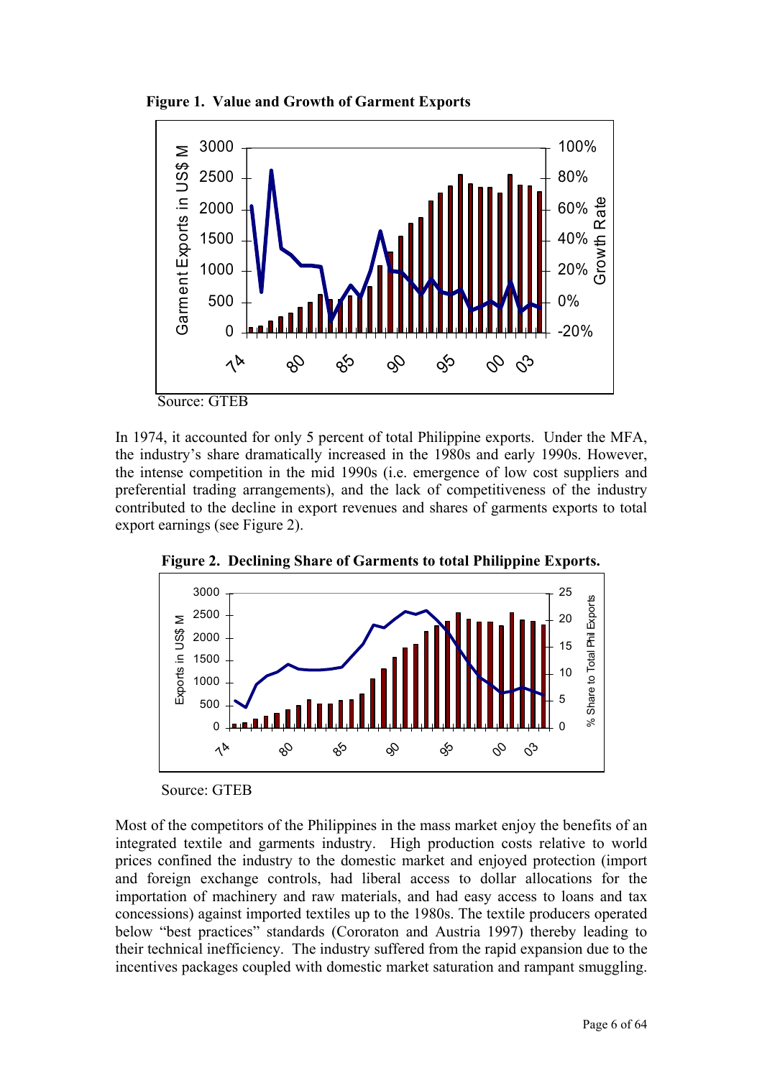



In 1974, it accounted for only 5 percent of total Philippine exports. Under the MFA, the industry's share dramatically increased in the 1980s and early 1990s. However, the intense competition in the mid 1990s (i.e. emergence of low cost suppliers and preferential trading arrangements), and the lack of competitiveness of the industry contributed to the decline in export revenues and shares of garments exports to total export earnings (see Figure 2).



**Figure 2. Declining Share of Garments to total Philippine Exports.** 

Most of the competitors of the Philippines in the mass market enjoy the benefits of an integrated textile and garments industry. High production costs relative to world prices confined the industry to the domestic market and enjoyed protection (import and foreign exchange controls, had liberal access to dollar allocations for the importation of machinery and raw materials, and had easy access to loans and tax concessions) against imported textiles up to the 1980s. The textile producers operated below "best practices" standards (Cororaton and Austria 1997) thereby leading to their technical inefficiency. The industry suffered from the rapid expansion due to the incentives packages coupled with domestic market saturation and rampant smuggling.

Source: GTEB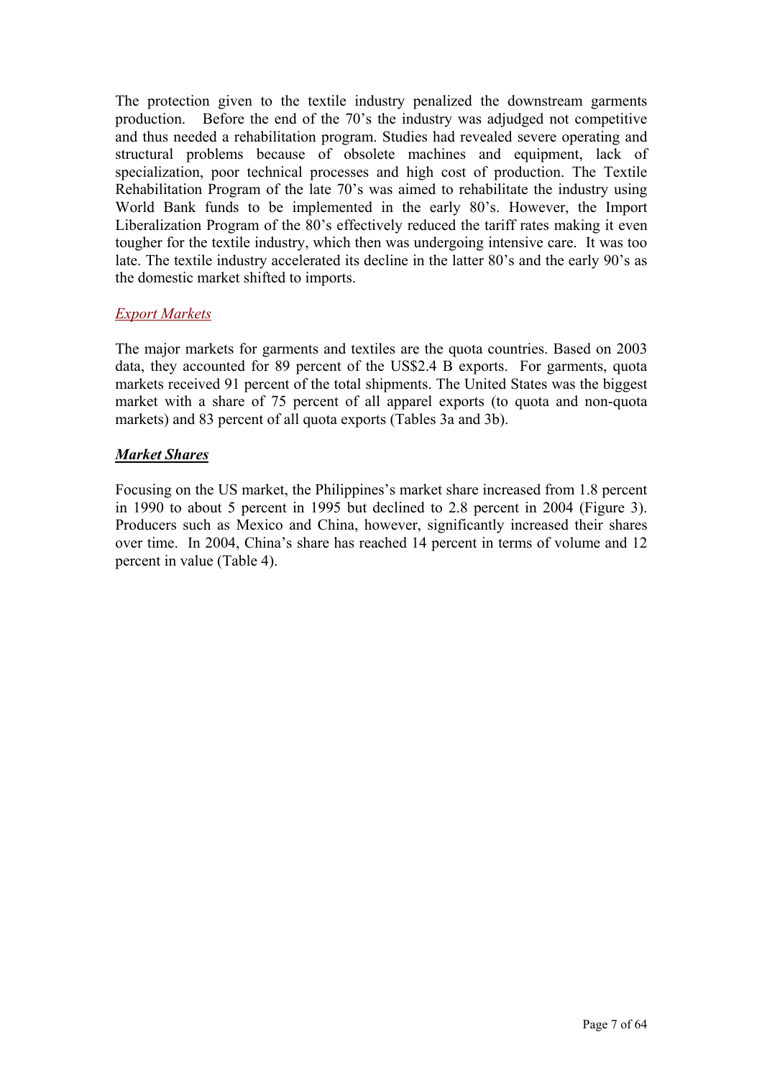The protection given to the textile industry penalized the downstream garments production. Before the end of the 70's the industry was adjudged not competitive and thus needed a rehabilitation program. Studies had revealed severe operating and structural problems because of obsolete machines and equipment, lack of specialization, poor technical processes and high cost of production. The Textile Rehabilitation Program of the late 70's was aimed to rehabilitate the industry using World Bank funds to be implemented in the early 80's. However, the Import Liberalization Program of the 80's effectively reduced the tariff rates making it even tougher for the textile industry, which then was undergoing intensive care. It was too late. The textile industry accelerated its decline in the latter 80's and the early 90's as the domestic market shifted to imports.

## *Export Markets*

The major markets for garments and textiles are the quota countries. Based on 2003 data, they accounted for 89 percent of the US\$2.4 B exports. For garments, quota markets received 91 percent of the total shipments. The United States was the biggest market with a share of 75 percent of all apparel exports (to quota and non-quota markets) and 83 percent of all quota exports (Tables 3a and 3b).

## *Market Shares*

Focusing on the US market, the Philippines's market share increased from 1.8 percent in 1990 to about 5 percent in 1995 but declined to 2.8 percent in 2004 (Figure 3). Producers such as Mexico and China, however, significantly increased their shares over time. In 2004, China's share has reached 14 percent in terms of volume and 12 percent in value (Table 4).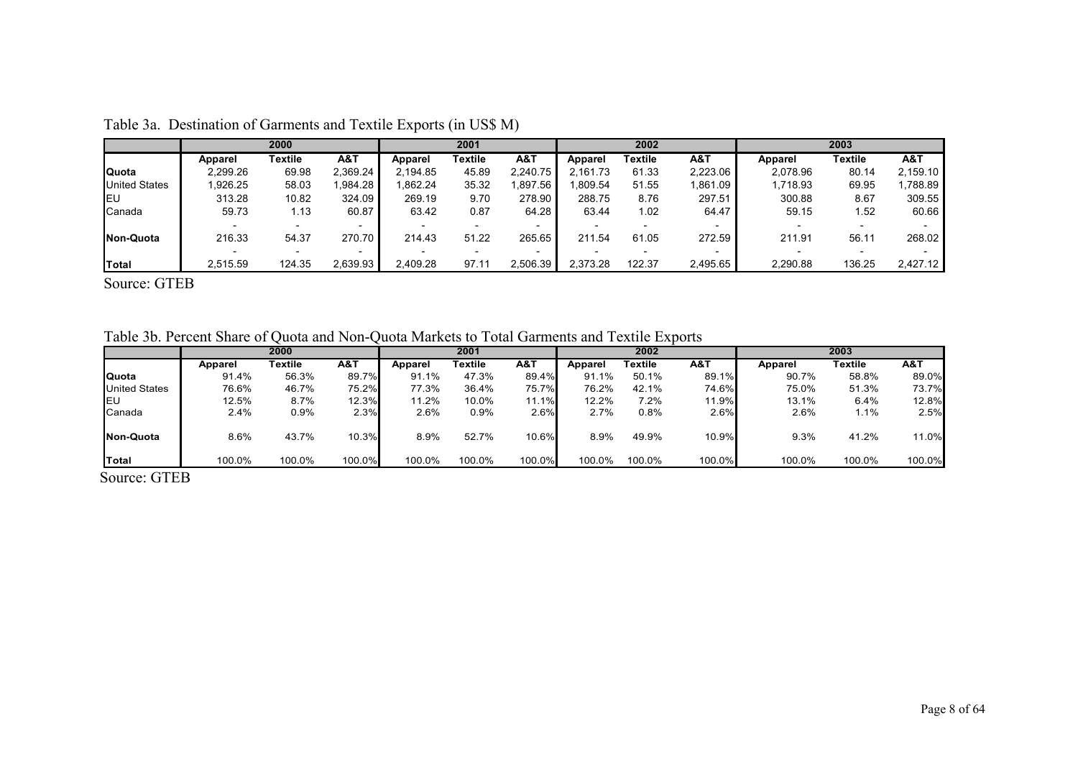|                      | 2000     |         |          | 2001                     |                |          |          | 2002    |                          |          | 2003    |          |
|----------------------|----------|---------|----------|--------------------------|----------------|----------|----------|---------|--------------------------|----------|---------|----------|
|                      | Apparel  | Textile | A&T      | Apparel                  | <b>Textile</b> | A&T      | Apparel  | Textile | A&T                      | Apparel  | Textile | A&T      |
| <b>Quota</b>         | 2,299.26 | 69.98   | 2.369.24 | 2.194.85                 | 45.89          | 2.240.75 | 2.161.73 | 61.33   | 2,223.06                 | 2,078.96 | 80.14   | 2,159.10 |
| <b>United States</b> | 926.25   | 58.03   | .984.28  | .862.24                  | 35.32          | .897.56  | 809.54 ا | 51.55   | .861.09                  | 1,718.93 | 69.95   | 1,788.89 |
| ΙEυ                  | 313.28   | 10.82   | 324.09   | 269.19                   | 9.70           | 278.90   | 288.75   | 8.76    | 297.51                   | 300.88   | 8.67    | 309.55   |
| Canada               | 59.73    | 1.13    | 60.87    | 63.42                    | 0.87           | 64.28    | 63.44    | 1.02    | 64.47                    | 59.15    | 1.52    | 60.66    |
|                      |          |         |          | $\overline{\phantom{0}}$ |                |          |          |         | $\overline{\phantom{0}}$ |          |         |          |
| Non-Quota            | 216.33   | 54.37   | 270.70   | 214.43                   | 51.22          | 265.65   | 211.54   | 61.05   | 272.59                   | 211.91   | 56.11   | 268.02   |
|                      |          |         |          |                          |                |          |          |         | $\overline{\phantom{0}}$ |          |         |          |
| Total                | 2,515.59 | 124.35  | 2,639.93 | 2,409.28                 | 97.11          | 2,506.39 | 2,373.28 | 122.37  | 2,495.65                 | 2,290.88 | 136.25  | 2,427.12 |

Table 3a. Destination of Garments and Textile Exports (in US\$ M)

Source: GTEB

Table 3b. Percent Share of Quota and Non-Quota Markets to Total Garments and Textile Exports

|                      |         | 2000           |        |         | 2001           |        |         | 2002    |        |         | 2003    |        |
|----------------------|---------|----------------|--------|---------|----------------|--------|---------|---------|--------|---------|---------|--------|
|                      | Apparel | <b>Textile</b> | A&T    | Apparel | <b>Textile</b> | A&T    | Apparel | Textile | A&T    | Apparel | Textile | A&T    |
| <b>Quota</b>         | 91.4%   | 56.3%          | 89.7%  | 91.1%   | 47.3%          | 89.4%  | 91.1%   | 50.1%   | 89.1%  | 90.7%   | 58.8%   | 89.0%  |
| <b>United States</b> | 76.6%   | 46.7%          | 75.2%  | 77.3%   | 36.4%          | 75.7%  | 76.2%   | 42.1%   | 74.6%  | 75.0%   | 51.3%   | 73.7%  |
| lE∪                  | 12.5%   | $8.7\%$        | 12.3%  | 11.2%   | 10.0%          | 11.1%  | 12.2%   | 7.2%    | 11.9%  | 13.1%   | 6.4%    | 12.8%  |
| Canada               | 2.4%    | 0.9%           | 2.3%   | 2.6%    | $0.9\%$        | 2.6%   | 2.7%    | 0.8%    | 2.6%   | 2.6%    | 1.1%    | 2.5%   |
| Non-Quota            | 8.6%    | 43.7%          | 10.3%  | 8.9%    | 52.7%          | 10.6%  | 8.9%    | 49.9%   | 10.9%  | 9.3%    | 41.2%   | 11.0%  |
| Total                | 100.0%  | 100.0%         | 100.0% | 100.0%  | 100.0%         | 100.0% | 100.0%  | 100.0%  | 100.0% | 100.0%  | 100.0%  | 100.0% |

Source: GTEB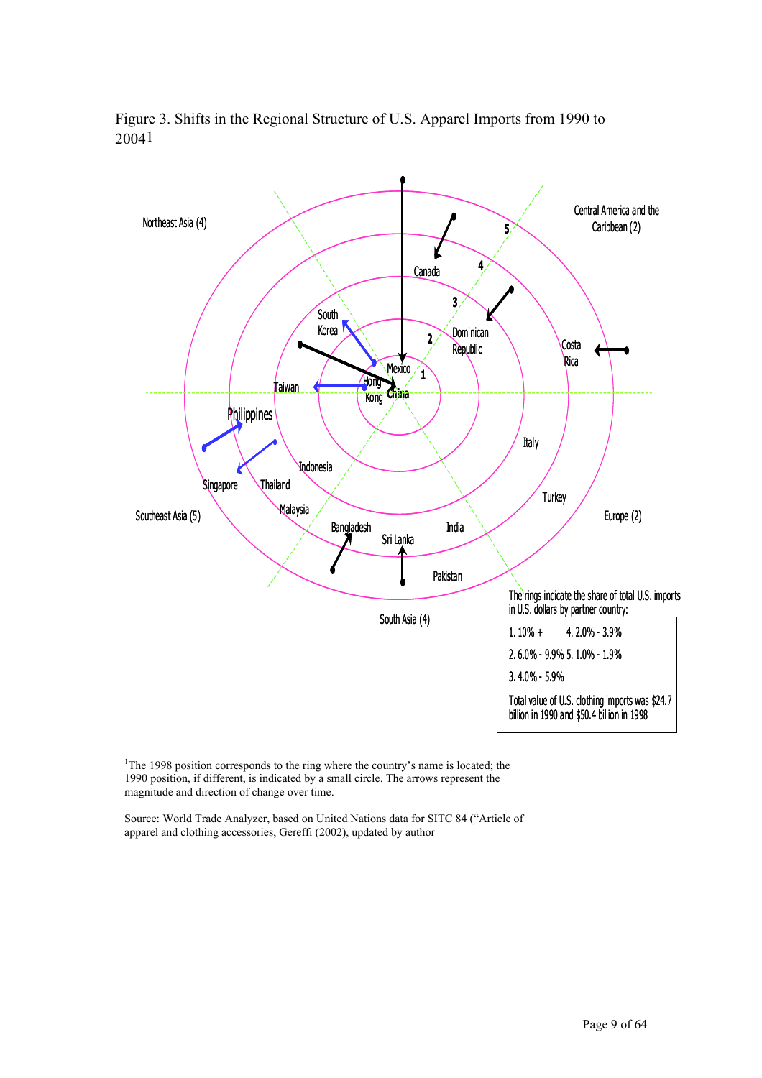

Figure 3. Shifts in the Regional Structure of U.S. Apparel Imports from 1990 to 20041

<sup>1</sup>The 1998 position corresponds to the ring where the country's name is located; the 1990 position, if different, is indicated by a small circle. The arrows represent the magnitude and direction of change over time.

Source: World Trade Analyzer, based on United Nations data for SITC 84 ("Article of apparel and clothing accessories, Gereffi (2002), updated by author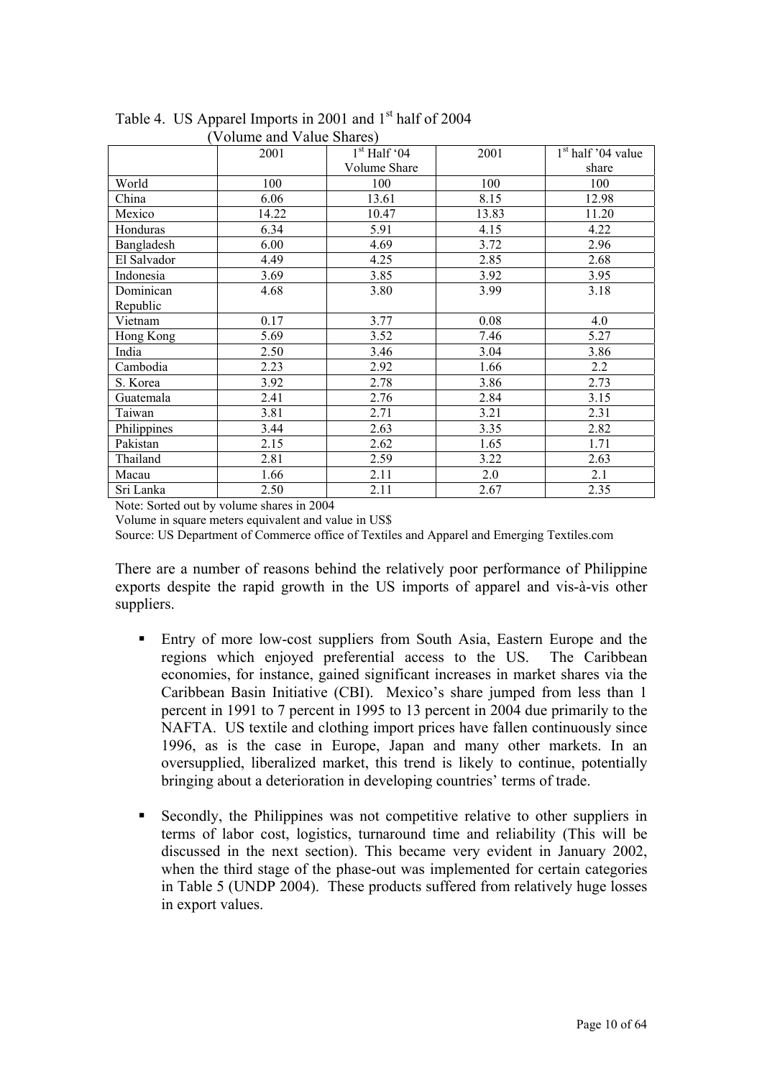|             | volume and value bilares, |                |       |                      |
|-------------|---------------------------|----------------|-------|----------------------|
|             | 2001                      | $1st$ Half '04 | 2001  | $1st$ half '04 value |
|             |                           | Volume Share   |       | share                |
| World       | 100                       | 100            | 100   | 100                  |
| China       | 6.06                      | 13.61          | 8.15  | 12.98                |
| Mexico      | 14.22                     | 10.47          | 13.83 | 11.20                |
| Honduras    | 6.34                      | 5.91           | 4.15  | 4.22                 |
| Bangladesh  | 6.00                      | 4.69           | 3.72  | 2.96                 |
| El Salvador | 4.49                      | 4.25           | 2.85  | 2.68                 |
| Indonesia   | 3.69                      | 3.85           | 3.92  | 3.95                 |
| Dominican   | 4.68                      | 3.80           | 3.99  | 3.18                 |
| Republic    |                           |                |       |                      |
| Vietnam     | 0.17                      | 3.77           | 0.08  | 4.0                  |
| Hong Kong   | 5.69                      | 3.52           | 7.46  | 5.27                 |
| India       | 2.50                      | 3.46           | 3.04  | 3.86                 |
| Cambodia    | 2.23                      | 2.92           | 1.66  | 2.2                  |
| S. Korea    | 3.92                      | 2.78           | 3.86  | 2.73                 |
| Guatemala   | 2.41                      | 2.76           | 2.84  | 3.15                 |
| Taiwan      | 3.81                      | 2.71           | 3.21  | 2.31                 |
| Philippines | 3.44                      | 2.63           | 3.35  | 2.82                 |
| Pakistan    | 2.15                      | 2.62           | 1.65  | 1.71                 |
| Thailand    | 2.81                      | 2.59           | 3.22  | 2.63                 |
| Macau       | 1.66                      | 2.11           | 2.0   | 2.1                  |
| Sri Lanka   | 2.50                      | 2.11           | 2.67  | 2.35                 |

Table 4. US Apparel Imports in 2001 and 1<sup>st</sup> half of 2004 (Volume and Value Shares)

Note: Sorted out by volume shares in 2004

Volume in square meters equivalent and value in US\$

Source: US Department of Commerce office of Textiles and Apparel and Emerging Textiles.com

There are a number of reasons behind the relatively poor performance of Philippine exports despite the rapid growth in the US imports of apparel and vis-à-vis other suppliers.

- Entry of more low-cost suppliers from South Asia, Eastern Europe and the regions which enjoyed preferential access to the US. The Caribbean economies, for instance, gained significant increases in market shares via the Caribbean Basin Initiative (CBI). Mexico's share jumped from less than 1 percent in 1991 to 7 percent in 1995 to 13 percent in 2004 due primarily to the NAFTA. US textile and clothing import prices have fallen continuously since 1996, as is the case in Europe, Japan and many other markets. In an oversupplied, liberalized market, this trend is likely to continue, potentially bringing about a deterioration in developing countries' terms of trade.
- Secondly, the Philippines was not competitive relative to other suppliers in terms of labor cost, logistics, turnaround time and reliability (This will be discussed in the next section). This became very evident in January 2002, when the third stage of the phase-out was implemented for certain categories in Table 5 (UNDP 2004). These products suffered from relatively huge losses in export values.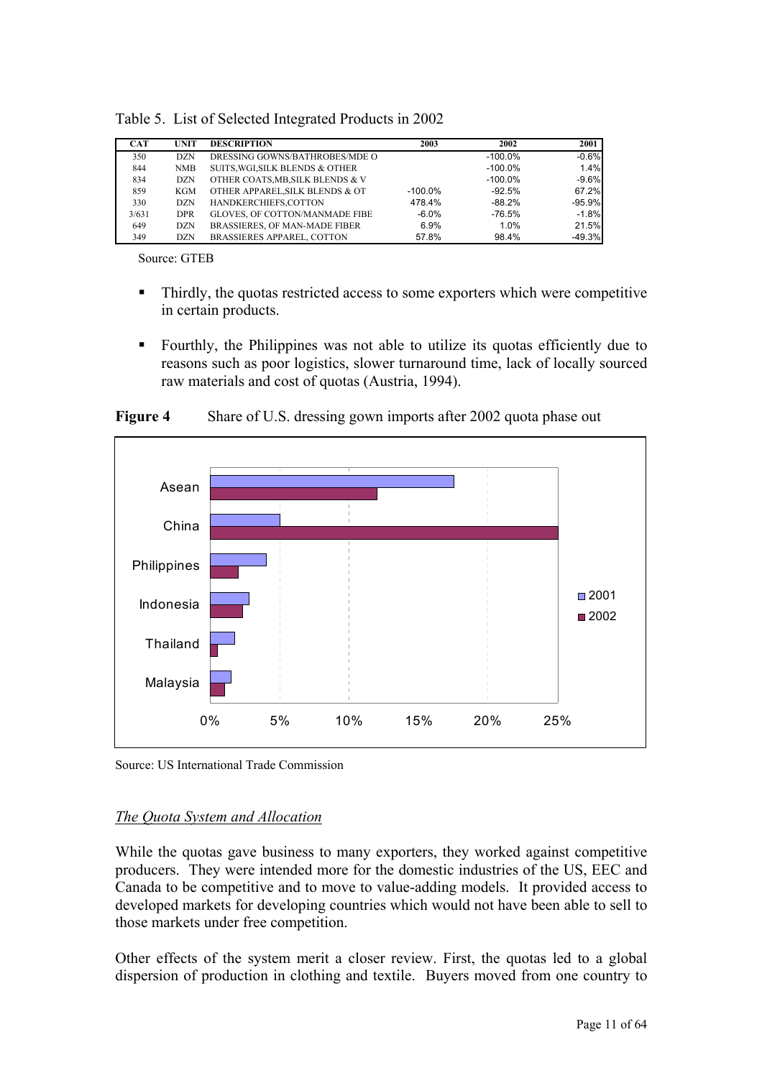| <b>CAT</b> | <b>UNIT</b> | <b>DESCRIPTION</b>                       | 2003       | 2002       | 2001      |
|------------|-------------|------------------------------------------|------------|------------|-----------|
| 350        | <b>DZN</b>  | DRESSING GOWNS/BATHROBES/MDE O           |            | $-100.0\%$ | $-0.6%$   |
| 844        | <b>NMB</b>  | <b>SUITS. WGLSILK BLENDS &amp; OTHER</b> |            | $-100.0\%$ | 1.4%      |
| 834        | <b>DZN</b>  | OTHER COATS, MB, SILK BLENDS & V         |            | $-100.0\%$ | $-9.6%$   |
| 859        | KGM         | OTHER APPAREL, SILK BLENDS & OT          | $-100.0\%$ | $-92.5%$   | 67.2%     |
| 330        | <b>DZN</b>  | HANDKERCHIEFS.COTTON                     | 478.4%     | $-88.2%$   | $-95.9\%$ |
| 3/631      | <b>DPR</b>  | GLOVES, OF COTTON/MANMADE FIBE           | $-6.0\%$   | -76.5%     | $-1.8%$   |
| 649        | <b>DZN</b>  | <b>BRASSIERES. OF MAN-MADE FIBER</b>     | 6.9%       | 1.0%       | 21.5%     |
| 349        | DZN         | <b>BRASSIERES APPAREL, COTTON</b>        | 57.8%      | 98.4%      | $-49.3\%$ |

Table 5. List of Selected Integrated Products in 2002

Source: GTEB

- Thirdly, the quotas restricted access to some exporters which were competitive in certain products.
- Fourthly, the Philippines was not able to utilize its quotas efficiently due to reasons such as poor logistics, slower turnaround time, lack of locally sourced raw materials and cost of quotas (Austria, 1994).



**Figure 4** Share of U.S. dressing gown imports after 2002 quota phase out

Source: US International Trade Commission

## *The Quota System and Allocation*

While the quotas gave business to many exporters, they worked against competitive producers. They were intended more for the domestic industries of the US, EEC and Canada to be competitive and to move to value-adding models. It provided access to developed markets for developing countries which would not have been able to sell to those markets under free competition.

Other effects of the system merit a closer review. First, the quotas led to a global dispersion of production in clothing and textile. Buyers moved from one country to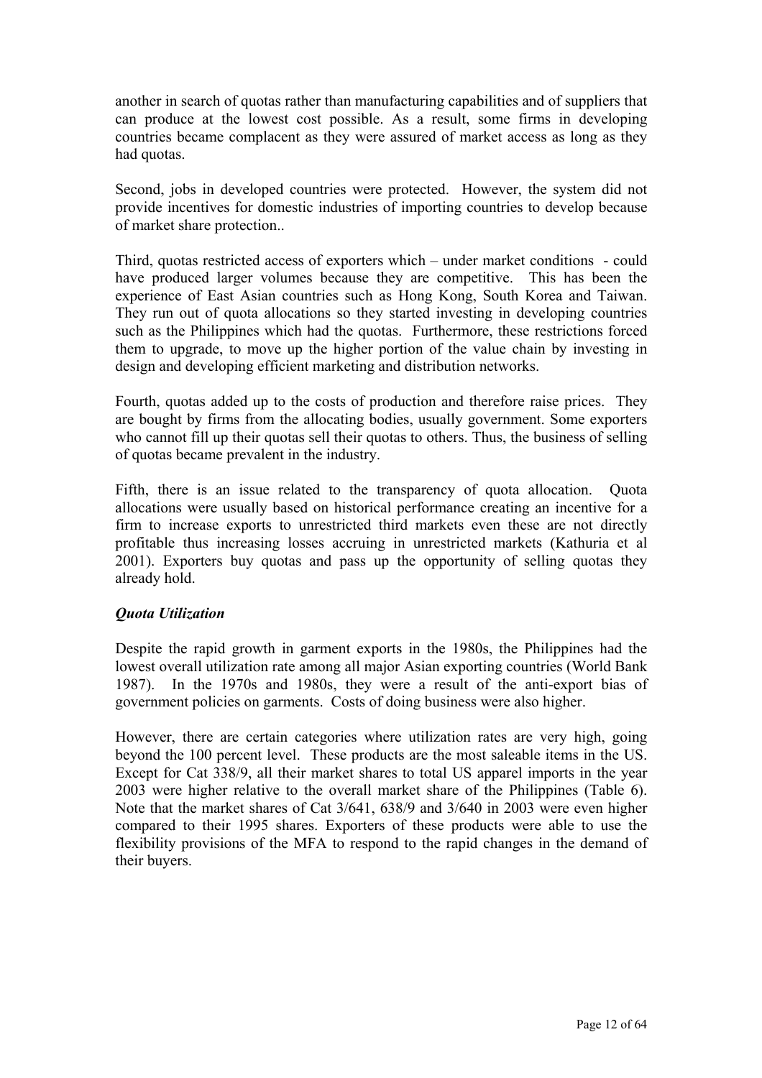another in search of quotas rather than manufacturing capabilities and of suppliers that can produce at the lowest cost possible. As a result, some firms in developing countries became complacent as they were assured of market access as long as they had quotas.

Second, jobs in developed countries were protected. However, the system did not provide incentives for domestic industries of importing countries to develop because of market share protection..

Third, quotas restricted access of exporters which – under market conditions - could have produced larger volumes because they are competitive. This has been the experience of East Asian countries such as Hong Kong, South Korea and Taiwan. They run out of quota allocations so they started investing in developing countries such as the Philippines which had the quotas. Furthermore, these restrictions forced them to upgrade, to move up the higher portion of the value chain by investing in design and developing efficient marketing and distribution networks.

Fourth, quotas added up to the costs of production and therefore raise prices. They are bought by firms from the allocating bodies, usually government. Some exporters who cannot fill up their quotas sell their quotas to others. Thus, the business of selling of quotas became prevalent in the industry.

Fifth, there is an issue related to the transparency of quota allocation. Quota allocations were usually based on historical performance creating an incentive for a firm to increase exports to unrestricted third markets even these are not directly profitable thus increasing losses accruing in unrestricted markets (Kathuria et al 2001). Exporters buy quotas and pass up the opportunity of selling quotas they already hold.

## *Quota Utilization*

Despite the rapid growth in garment exports in the 1980s, the Philippines had the lowest overall utilization rate among all major Asian exporting countries (World Bank 1987). In the 1970s and 1980s, they were a result of the anti-export bias of government policies on garments. Costs of doing business were also higher.

However, there are certain categories where utilization rates are very high, going beyond the 100 percent level. These products are the most saleable items in the US. Except for Cat 338/9, all their market shares to total US apparel imports in the year 2003 were higher relative to the overall market share of the Philippines (Table 6). Note that the market shares of Cat 3/641, 638/9 and 3/640 in 2003 were even higher compared to their 1995 shares. Exporters of these products were able to use the flexibility provisions of the MFA to respond to the rapid changes in the demand of their buyers.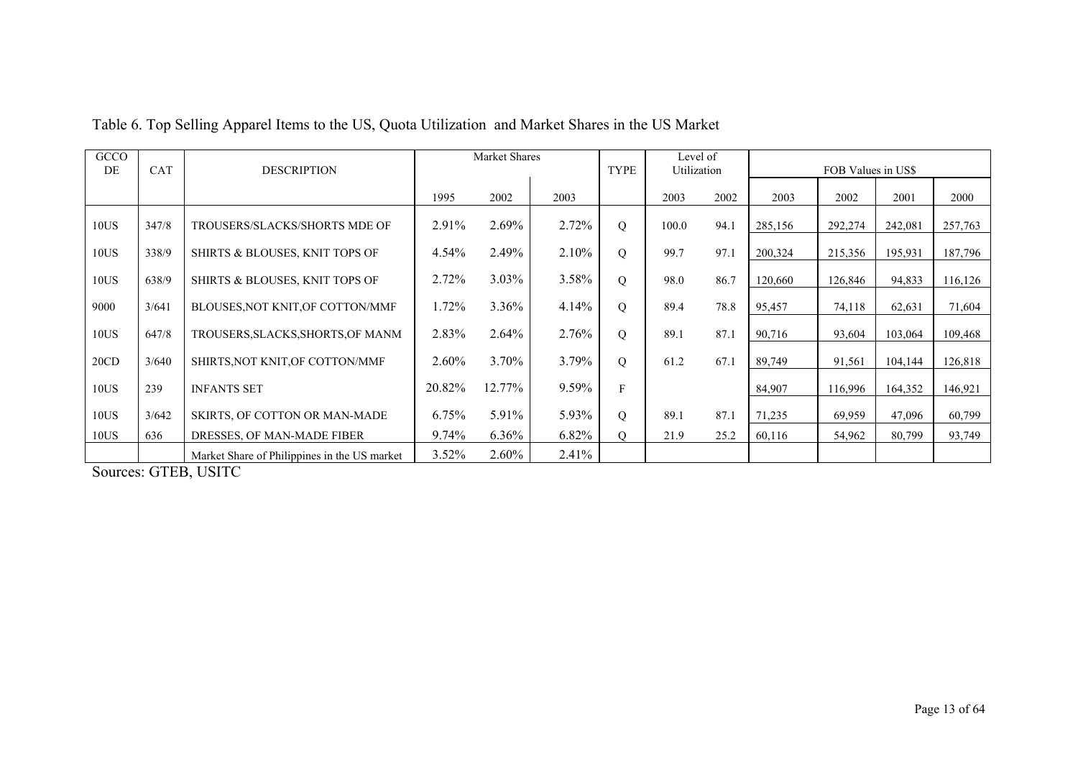| GCCO<br>DE | CAT   | <b>DESCRIPTION</b>                           | <b>Market Shares</b> |        | <b>TYPE</b> | Level of<br>Utilization |       |      | FOB Values in US\$ |         |         |         |
|------------|-------|----------------------------------------------|----------------------|--------|-------------|-------------------------|-------|------|--------------------|---------|---------|---------|
|            |       |                                              | 1995                 | 2002   | 2003        |                         | 2003  | 2002 | 2003               | 2002    | 2001    | 2000    |
| 10US       | 347/8 | TROUSERS/SLACKS/SHORTS MDE OF                | 2.91%                | 2.69%  | 2.72%       | Q                       | 100.0 | 94.1 | 285,156            | 292,274 | 242,081 | 257,763 |
| 10US       | 338/9 | SHIRTS & BLOUSES, KNIT TOPS OF               | 4.54%                | 2.49%  | 2.10%       | Q                       | 99.7  | 97.1 | 200,324            | 215,356 | 195,931 | 187,796 |
| 10US       | 638/9 | SHIRTS & BLOUSES, KNIT TOPS OF               | 2.72%                | 3.03%  | 3.58%       | Q                       | 98.0  | 86.7 | 120,660            | 126,846 | 94,833  | 116,126 |
| 9000       | 3/641 | BLOUSES, NOT KNIT, OF COTTON/MMF             | 1.72%                | 3.36%  | 4.14%       | Q                       | 89.4  | 78.8 | 95,457             | 74,118  | 62,631  | 71,604  |
| 10US       | 647/8 | TROUSERS, SLACKS, SHORTS, OF MANM            | 2.83%                | 2.64%  | 2.76%       | Q                       | 89.1  | 87.1 | 90,716             | 93,604  | 103,064 | 109,468 |
| 20CD       | 3/640 | SHIRTS, NOT KNIT, OF COTTON/MMF              | 2.60%                | 3.70%  | 3.79%       | Q                       | 61.2  | 67.1 | 89,749             | 91,561  | 104,144 | 126,818 |
| 10US       | 239   | <b>INFANTS SET</b>                           | 20.82%               | 12.77% | 9.59%       | $\mathbf{F}$            |       |      | 84,907             | 116,996 | 164,352 | 146,921 |
| 10US       | 3/642 | SKIRTS, OF COTTON OR MAN-MADE                | 6.75%                | 5.91%  | 5.93%       | Q                       | 89.1  | 87.1 | 71,235             | 69,959  | 47,096  | 60,799  |
| 10US       | 636   | DRESSES, OF MAN-MADE FIBER                   | $9.74\%$             | 6.36%  | $6.82\%$    | $\Omega$                | 21.9  | 25.2 | 60,116             | 54,962  | 80,799  | 93,749  |
|            |       | Market Share of Philippines in the US market | $3.52\%$             | 2.60%  | 2.41%       |                         |       |      |                    |         |         |         |

Table 6. Top Selling Apparel Items to the US, Quota Utilization and Market Shares in the US Market

Sources: GTEB, USITC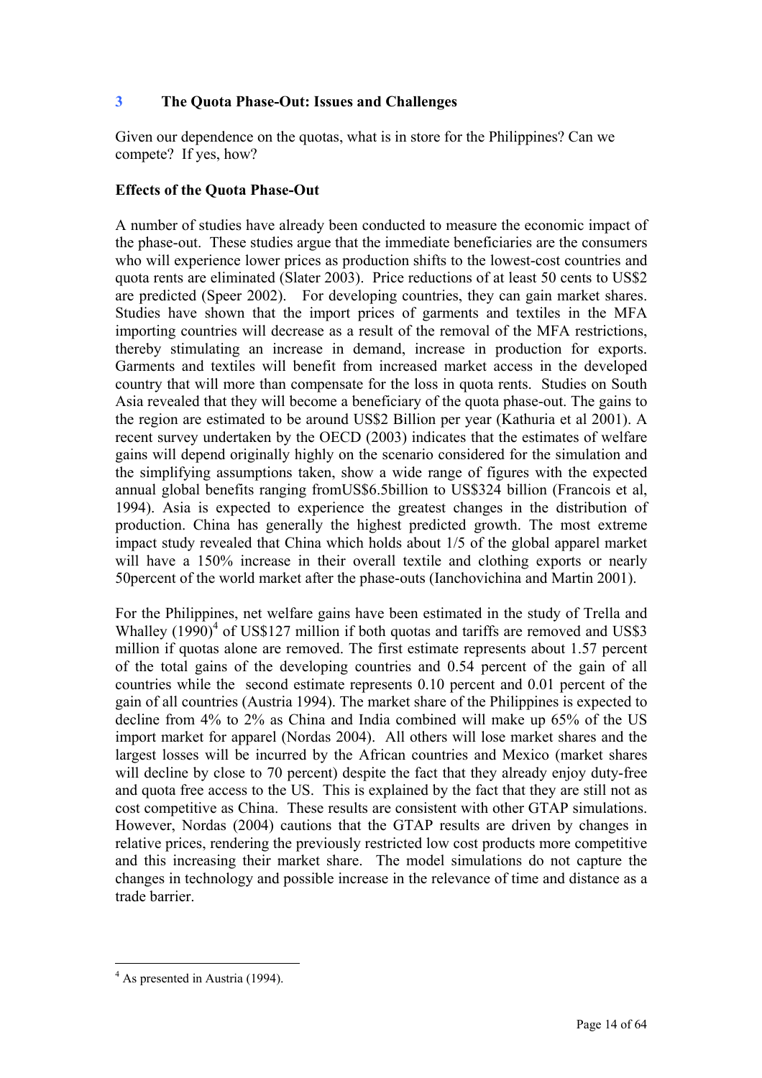## **3 The Quota Phase-Out: Issues and Challenges**

Given our dependence on the quotas, what is in store for the Philippines? Can we compete? If yes, how?

## **Effects of the Quota Phase-Out**

A number of studies have already been conducted to measure the economic impact of the phase-out. These studies argue that the immediate beneficiaries are the consumers who will experience lower prices as production shifts to the lowest-cost countries and quota rents are eliminated (Slater 2003). Price reductions of at least 50 cents to US\$2 are predicted (Speer 2002). For developing countries, they can gain market shares. Studies have shown that the import prices of garments and textiles in the MFA importing countries will decrease as a result of the removal of the MFA restrictions, thereby stimulating an increase in demand, increase in production for exports. Garments and textiles will benefit from increased market access in the developed country that will more than compensate for the loss in quota rents. Studies on South Asia revealed that they will become a beneficiary of the quota phase-out. The gains to the region are estimated to be around US\$2 Billion per year (Kathuria et al 2001). A recent survey undertaken by the OECD (2003) indicates that the estimates of welfare gains will depend originally highly on the scenario considered for the simulation and the simplifying assumptions taken, show a wide range of figures with the expected annual global benefits ranging fromUS\$6.5billion to US\$324 billion (Francois et al, 1994). Asia is expected to experience the greatest changes in the distribution of production. China has generally the highest predicted growth. The most extreme impact study revealed that China which holds about 1/5 of the global apparel market will have a 150% increase in their overall textile and clothing exports or nearly 50percent of the world market after the phase-outs (Ianchovichina and Martin 2001).

For the Philippines, net welfare gains have been estimated in the study of Trella and Whalley  $(1990)^4$  of US\$127 million if both quotas and tariffs are removed and US\$3 million if quotas alone are removed. The first estimate represents about 1.57 percent of the total gains of the developing countries and 0.54 percent of the gain of all countries while the second estimate represents 0.10 percent and 0.01 percent of the gain of all countries (Austria 1994). The market share of the Philippines is expected to decline from 4% to 2% as China and India combined will make up 65% of the US import market for apparel (Nordas 2004). All others will lose market shares and the largest losses will be incurred by the African countries and Mexico (market shares will decline by close to 70 percent) despite the fact that they already enjoy duty-free and quota free access to the US. This is explained by the fact that they are still not as cost competitive as China. These results are consistent with other GTAP simulations. However, Nordas (2004) cautions that the GTAP results are driven by changes in relative prices, rendering the previously restricted low cost products more competitive and this increasing their market share. The model simulations do not capture the changes in technology and possible increase in the relevance of time and distance as a trade barrier.

 $\overline{a}$ 

<sup>&</sup>lt;sup>4</sup> As presented in Austria (1994).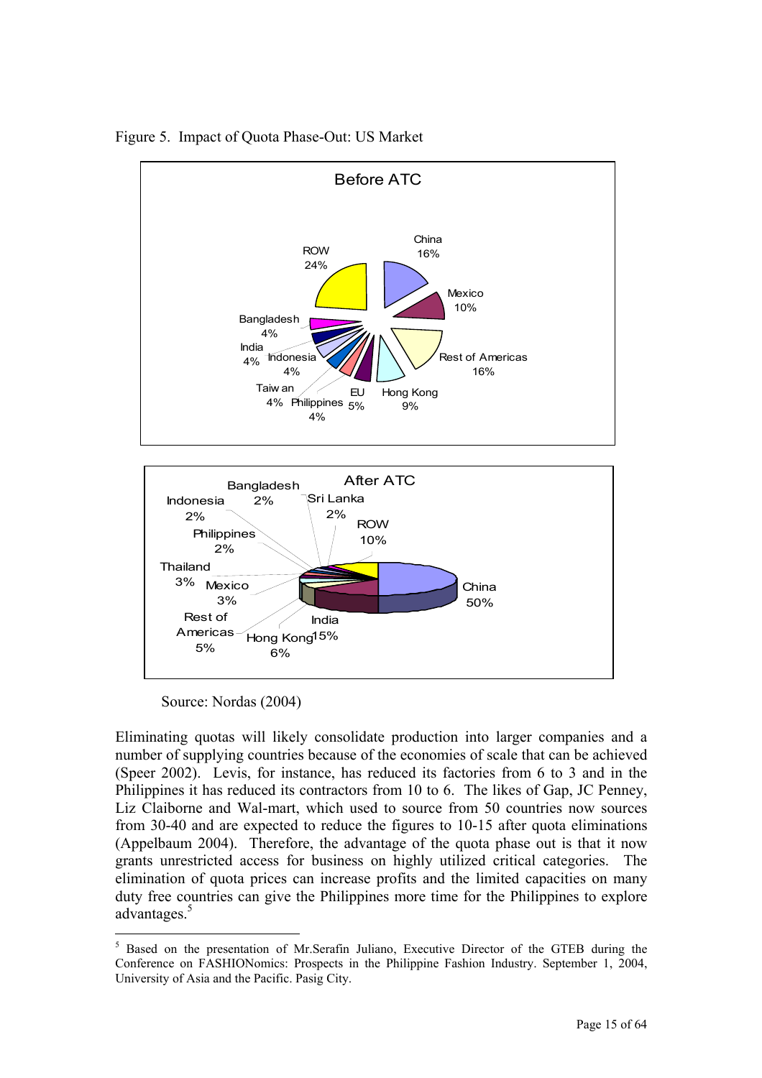

## Figure 5. Impact of Quota Phase-Out: US Market

Source: Nordas (2004)

 $\overline{a}$ 

Eliminating quotas will likely consolidate production into larger companies and a number of supplying countries because of the economies of scale that can be achieved (Speer 2002). Levis, for instance, has reduced its factories from 6 to 3 and in the Philippines it has reduced its contractors from 10 to 6. The likes of Gap, JC Penney, Liz Claiborne and Wal-mart, which used to source from 50 countries now sources from 30-40 and are expected to reduce the figures to 10-15 after quota eliminations (Appelbaum 2004). Therefore, the advantage of the quota phase out is that it now grants unrestricted access for business on highly utilized critical categories. The elimination of quota prices can increase profits and the limited capacities on many duty free countries can give the Philippines more time for the Philippines to explore advantages.<sup>5</sup>

<sup>&</sup>lt;sup>5</sup> Based on the presentation of Mr.Serafin Juliano, Executive Director of the GTEB during the Conference on FASHIONomics: Prospects in the Philippine Fashion Industry. September 1, 2004, University of Asia and the Pacific. Pasig City.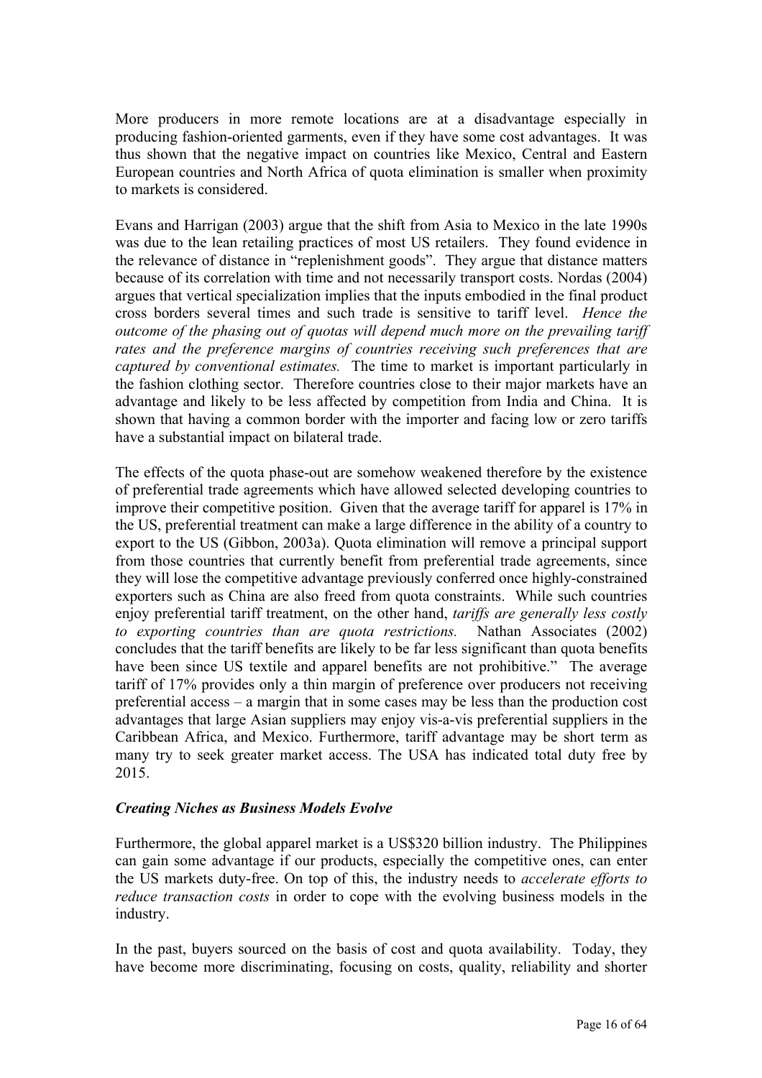More producers in more remote locations are at a disadvantage especially in producing fashion-oriented garments, even if they have some cost advantages. It was thus shown that the negative impact on countries like Mexico, Central and Eastern European countries and North Africa of quota elimination is smaller when proximity to markets is considered.

Evans and Harrigan (2003) argue that the shift from Asia to Mexico in the late 1990s was due to the lean retailing practices of most US retailers. They found evidence in the relevance of distance in "replenishment goods". They argue that distance matters because of its correlation with time and not necessarily transport costs. Nordas (2004) argues that vertical specialization implies that the inputs embodied in the final product cross borders several times and such trade is sensitive to tariff level. *Hence the outcome of the phasing out of quotas will depend much more on the prevailing tariff rates and the preference margins of countries receiving such preferences that are captured by conventional estimates.* The time to market is important particularly in the fashion clothing sector. Therefore countries close to their major markets have an advantage and likely to be less affected by competition from India and China. It is shown that having a common border with the importer and facing low or zero tariffs have a substantial impact on bilateral trade.

The effects of the quota phase-out are somehow weakened therefore by the existence of preferential trade agreements which have allowed selected developing countries to improve their competitive position. Given that the average tariff for apparel is 17% in the US, preferential treatment can make a large difference in the ability of a country to export to the US (Gibbon, 2003a). Quota elimination will remove a principal support from those countries that currently benefit from preferential trade agreements, since they will lose the competitive advantage previously conferred once highly-constrained exporters such as China are also freed from quota constraints. While such countries enjoy preferential tariff treatment, on the other hand, *tariffs are generally less costly to exporting countries than are quota restrictions.* Nathan Associates (2002) concludes that the tariff benefits are likely to be far less significant than quota benefits have been since US textile and apparel benefits are not prohibitive." The average tariff of 17% provides only a thin margin of preference over producers not receiving preferential access – a margin that in some cases may be less than the production cost advantages that large Asian suppliers may enjoy vis-a-vis preferential suppliers in the Caribbean Africa, and Mexico. Furthermore, tariff advantage may be short term as many try to seek greater market access. The USA has indicated total duty free by 2015.

## *Creating Niches as Business Models Evolve*

Furthermore, the global apparel market is a US\$320 billion industry. The Philippines can gain some advantage if our products, especially the competitive ones, can enter the US markets duty-free. On top of this, the industry needs to *accelerate efforts to reduce transaction costs* in order to cope with the evolving business models in the industry.

In the past, buyers sourced on the basis of cost and quota availability. Today, they have become more discriminating, focusing on costs, quality, reliability and shorter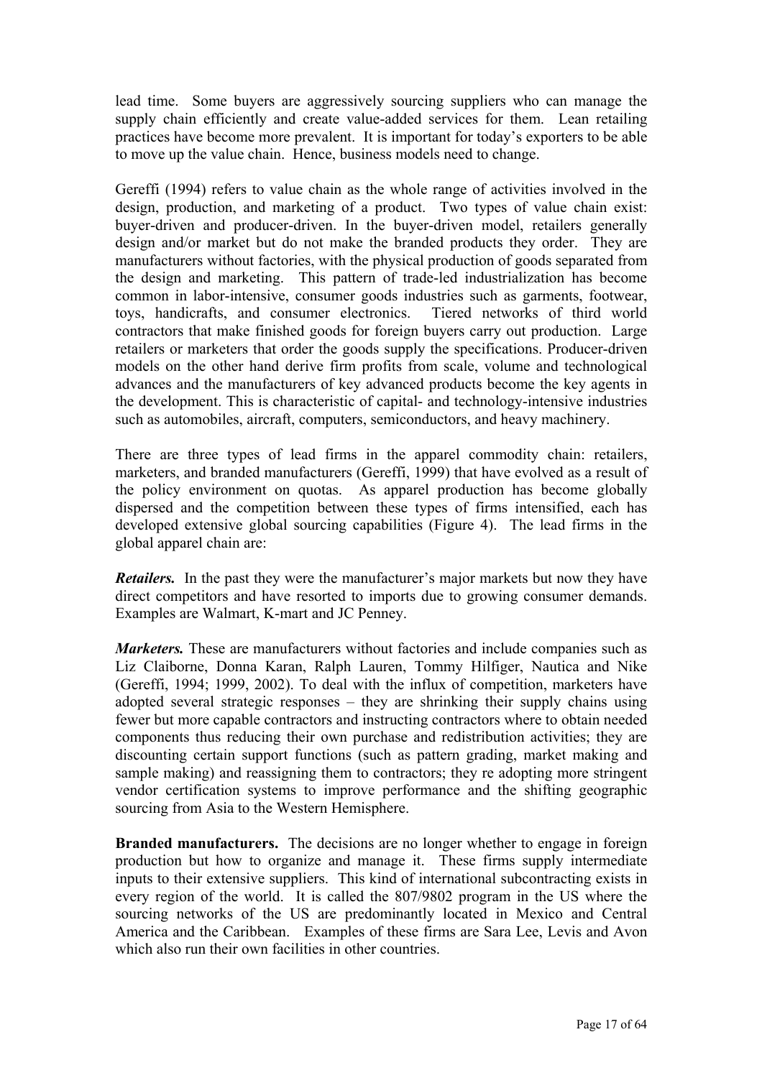lead time. Some buyers are aggressively sourcing suppliers who can manage the supply chain efficiently and create value-added services for them. Lean retailing practices have become more prevalent. It is important for today's exporters to be able to move up the value chain. Hence, business models need to change.

Gereffi (1994) refers to value chain as the whole range of activities involved in the design, production, and marketing of a product. Two types of value chain exist: buyer-driven and producer-driven. In the buyer-driven model, retailers generally design and/or market but do not make the branded products they order. They are manufacturers without factories, with the physical production of goods separated from the design and marketing. This pattern of trade-led industrialization has become common in labor-intensive, consumer goods industries such as garments, footwear, toys, handicrafts, and consumer electronics. Tiered networks of third world contractors that make finished goods for foreign buyers carry out production. Large retailers or marketers that order the goods supply the specifications. Producer-driven models on the other hand derive firm profits from scale, volume and technological advances and the manufacturers of key advanced products become the key agents in the development. This is characteristic of capital- and technology-intensive industries such as automobiles, aircraft, computers, semiconductors, and heavy machinery.

There are three types of lead firms in the apparel commodity chain: retailers, marketers, and branded manufacturers (Gereffi, 1999) that have evolved as a result of the policy environment on quotas. As apparel production has become globally dispersed and the competition between these types of firms intensified, each has developed extensive global sourcing capabilities (Figure 4). The lead firms in the global apparel chain are:

*Retailers.* In the past they were the manufacturer's major markets but now they have direct competitors and have resorted to imports due to growing consumer demands. Examples are Walmart, K-mart and JC Penney.

*Marketers.* These are manufacturers without factories and include companies such as Liz Claiborne, Donna Karan, Ralph Lauren, Tommy Hilfiger, Nautica and Nike (Gereffi, 1994; 1999, 2002). To deal with the influx of competition, marketers have adopted several strategic responses – they are shrinking their supply chains using fewer but more capable contractors and instructing contractors where to obtain needed components thus reducing their own purchase and redistribution activities; they are discounting certain support functions (such as pattern grading, market making and sample making) and reassigning them to contractors; they re adopting more stringent vendor certification systems to improve performance and the shifting geographic sourcing from Asia to the Western Hemisphere.

**Branded manufacturers.** The decisions are no longer whether to engage in foreign production but how to organize and manage it. These firms supply intermediate inputs to their extensive suppliers. This kind of international subcontracting exists in every region of the world. It is called the 807/9802 program in the US where the sourcing networks of the US are predominantly located in Mexico and Central America and the Caribbean. Examples of these firms are Sara Lee, Levis and Avon which also run their own facilities in other countries.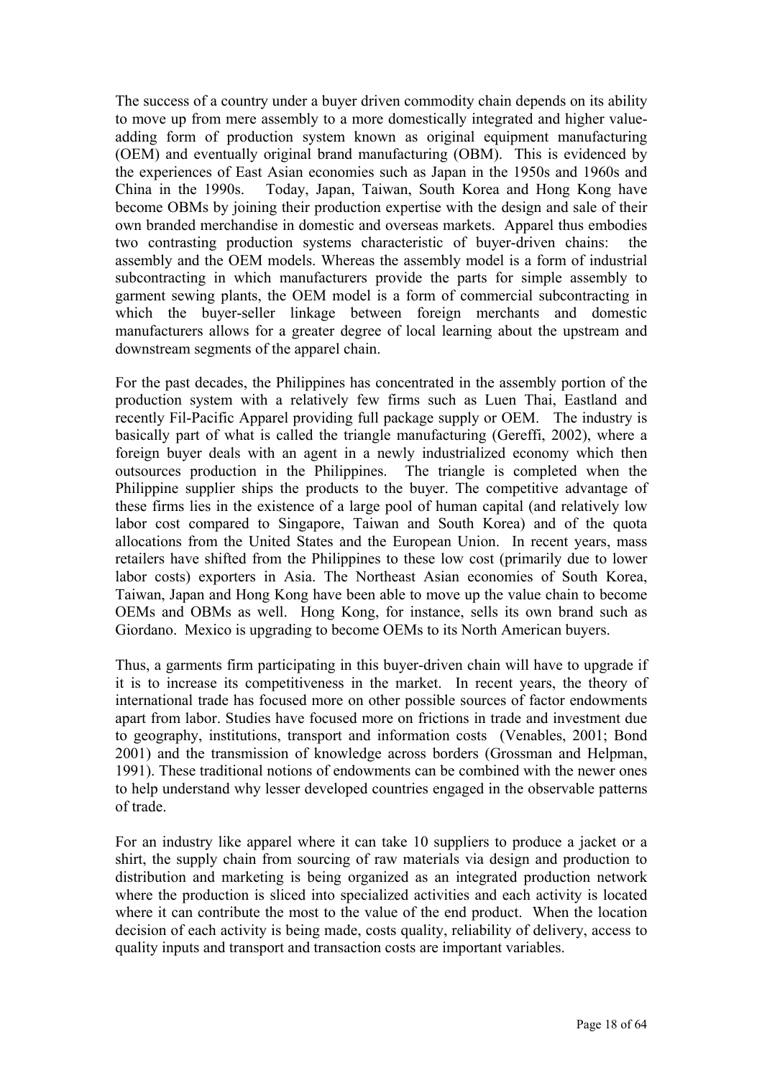The success of a country under a buyer driven commodity chain depends on its ability to move up from mere assembly to a more domestically integrated and higher valueadding form of production system known as original equipment manufacturing (OEM) and eventually original brand manufacturing (OBM). This is evidenced by the experiences of East Asian economies such as Japan in the 1950s and 1960s and China in the 1990s. Today, Japan, Taiwan, South Korea and Hong Kong have become OBMs by joining their production expertise with the design and sale of their own branded merchandise in domestic and overseas markets. Apparel thus embodies two contrasting production systems characteristic of buyer-driven chains: the assembly and the OEM models. Whereas the assembly model is a form of industrial subcontracting in which manufacturers provide the parts for simple assembly to garment sewing plants, the OEM model is a form of commercial subcontracting in which the buyer-seller linkage between foreign merchants and domestic manufacturers allows for a greater degree of local learning about the upstream and downstream segments of the apparel chain.

For the past decades, the Philippines has concentrated in the assembly portion of the production system with a relatively few firms such as Luen Thai, Eastland and recently Fil-Pacific Apparel providing full package supply or OEM. The industry is basically part of what is called the triangle manufacturing (Gereffi, 2002), where a foreign buyer deals with an agent in a newly industrialized economy which then outsources production in the Philippines. The triangle is completed when the Philippine supplier ships the products to the buyer. The competitive advantage of these firms lies in the existence of a large pool of human capital (and relatively low labor cost compared to Singapore, Taiwan and South Korea) and of the quota allocations from the United States and the European Union. In recent years, mass retailers have shifted from the Philippines to these low cost (primarily due to lower labor costs) exporters in Asia. The Northeast Asian economies of South Korea, Taiwan, Japan and Hong Kong have been able to move up the value chain to become OEMs and OBMs as well. Hong Kong, for instance, sells its own brand such as Giordano. Mexico is upgrading to become OEMs to its North American buyers.

Thus, a garments firm participating in this buyer-driven chain will have to upgrade if it is to increase its competitiveness in the market. In recent years, the theory of international trade has focused more on other possible sources of factor endowments apart from labor. Studies have focused more on frictions in trade and investment due to geography, institutions, transport and information costs (Venables, 2001; Bond 2001) and the transmission of knowledge across borders (Grossman and Helpman, 1991). These traditional notions of endowments can be combined with the newer ones to help understand why lesser developed countries engaged in the observable patterns of trade.

For an industry like apparel where it can take 10 suppliers to produce a jacket or a shirt, the supply chain from sourcing of raw materials via design and production to distribution and marketing is being organized as an integrated production network where the production is sliced into specialized activities and each activity is located where it can contribute the most to the value of the end product. When the location decision of each activity is being made, costs quality, reliability of delivery, access to quality inputs and transport and transaction costs are important variables.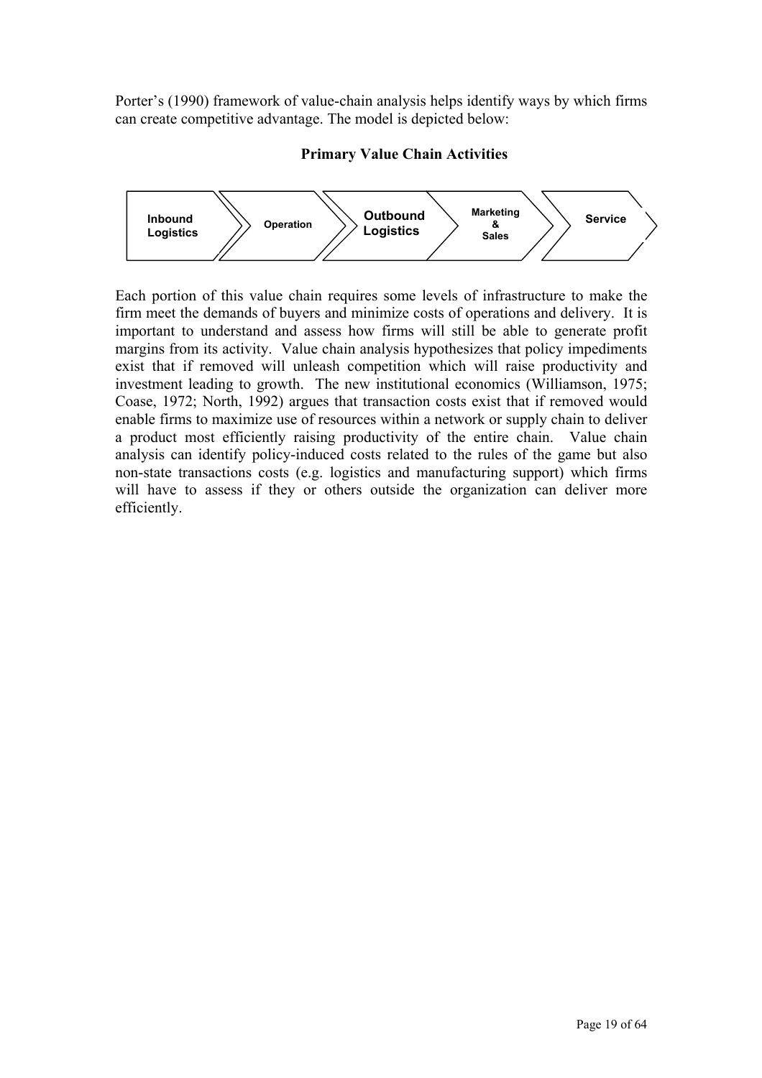Porter's (1990) framework of value-chain analysis helps identify ways by which firms can create competitive advantage. The model is depicted below:



## **Primary Value Chain Activities**

Each portion of this value chain requires some levels of infrastructure to make the firm meet the demands of buyers and minimize costs of operations and delivery. It is important to understand and assess how firms will still be able to generate profit margins from its activity. Value chain analysis hypothesizes that policy impediments exist that if removed will unleash competition which will raise productivity and investment leading to growth. The new institutional economics (Williamson, 1975; Coase, 1972; North, 1992) argues that transaction costs exist that if removed would enable firms to maximize use of resources within a network or supply chain to deliver a product most efficiently raising productivity of the entire chain. Value chain analysis can identify policy-induced costs related to the rules of the game but also non-state transactions costs (e.g. logistics and manufacturing support) which firms will have to assess if they or others outside the organization can deliver more efficiently.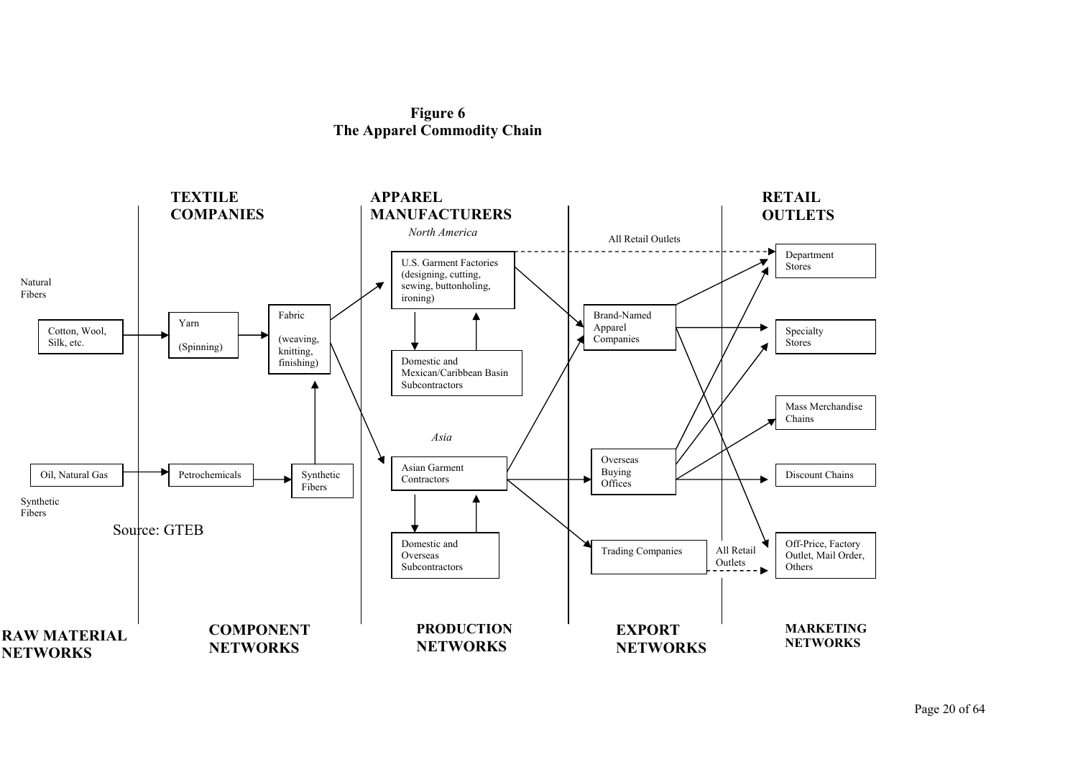**Figure 6 The Apparel Commodity Chain** 

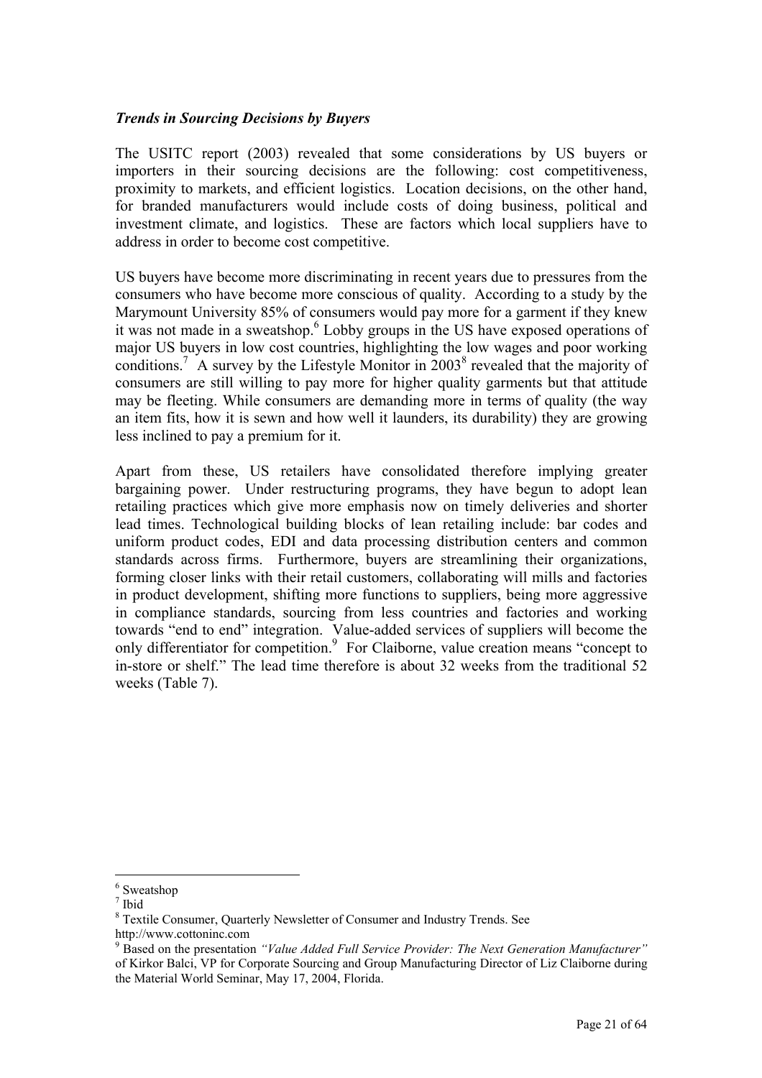#### *Trends in Sourcing Decisions by Buyers*

The USITC report (2003) revealed that some considerations by US buyers or importers in their sourcing decisions are the following: cost competitiveness, proximity to markets, and efficient logistics. Location decisions, on the other hand, for branded manufacturers would include costs of doing business, political and investment climate, and logistics. These are factors which local suppliers have to address in order to become cost competitive.

US buyers have become more discriminating in recent years due to pressures from the consumers who have become more conscious of quality. According to a study by the Marymount University 85% of consumers would pay more for a garment if they knew it was not made in a sweatshop.6 Lobby groups in the US have exposed operations of major US buyers in low cost countries, highlighting the low wages and poor working conditions.<sup>7</sup> A survey by the Lifestyle Monitor in  $2003^8$  revealed that the majority of consumers are still willing to pay more for higher quality garments but that attitude may be fleeting. While consumers are demanding more in terms of quality (the way an item fits, how it is sewn and how well it launders, its durability) they are growing less inclined to pay a premium for it.

Apart from these, US retailers have consolidated therefore implying greater bargaining power. Under restructuring programs, they have begun to adopt lean retailing practices which give more emphasis now on timely deliveries and shorter lead times. Technological building blocks of lean retailing include: bar codes and uniform product codes, EDI and data processing distribution centers and common standards across firms. Furthermore, buyers are streamlining their organizations, forming closer links with their retail customers, collaborating will mills and factories in product development, shifting more functions to suppliers, being more aggressive in compliance standards, sourcing from less countries and factories and working towards "end to end" integration. Value-added services of suppliers will become the only differentiator for competition.<sup>9</sup> For Claiborne, value creation means "concept to in-store or shelf." The lead time therefore is about 32 weeks from the traditional 52 weeks (Table 7).

 6 Sweatshop

<sup>7</sup> Ibid

<sup>&</sup>lt;sup>8</sup> Textile Consumer, Quarterly Newsletter of Consumer and Industry Trends. See http://www.cottoninc.com

<sup>9</sup> Based on the presentation *"Value Added Full Service Provider: The Next Generation Manufacturer"* of Kirkor Balci, VP for Corporate Sourcing and Group Manufacturing Director of Liz Claiborne during the Material World Seminar, May 17, 2004, Florida.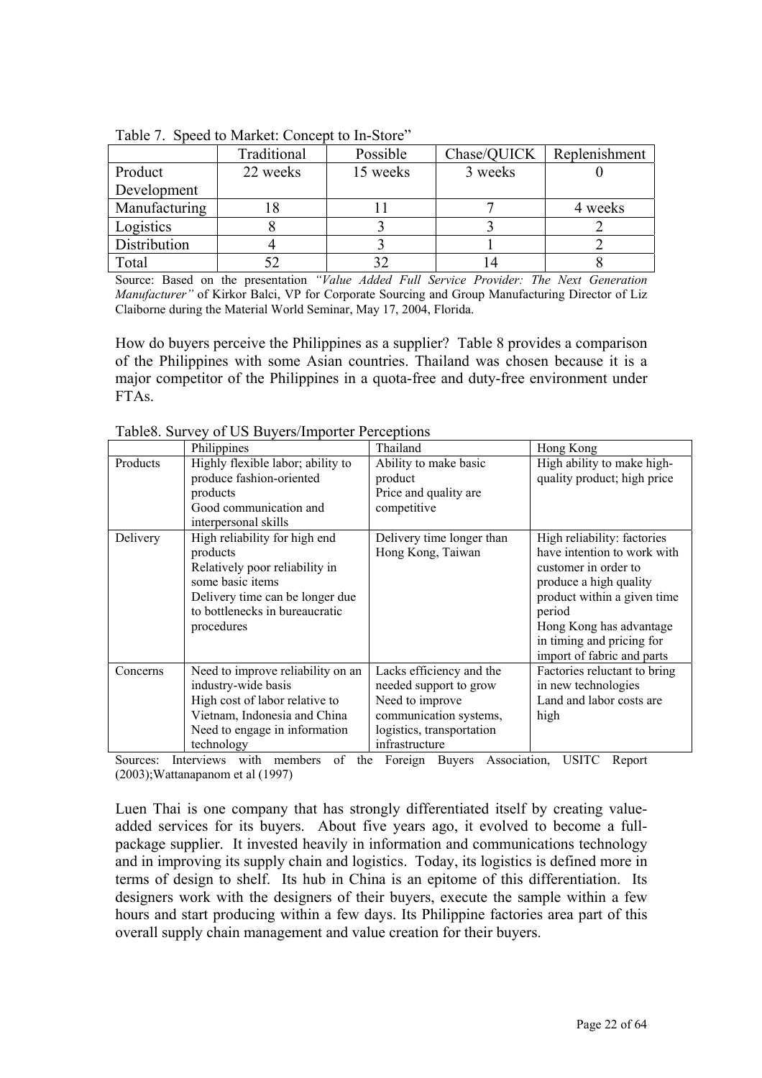|               | Traditional | Possible            | Chase/QUICK | Replenishment |
|---------------|-------------|---------------------|-------------|---------------|
| Product       | 22 weeks    | 15 weeks<br>3 weeks |             |               |
| Development   |             |                     |             |               |
| Manufacturing |             |                     |             | 4 weeks       |
| Logistics     |             |                     |             |               |
| Distribution  |             |                     |             |               |
| Total         |             |                     |             |               |

Table 7 Speed to Market: Concept to In-Store"

Source: Based on the presentation *"Value Added Full Service Provider: The Next Generation Manufacturer"* of Kirkor Balci, VP for Corporate Sourcing and Group Manufacturing Director of Liz Claiborne during the Material World Seminar, May 17, 2004, Florida.

How do buyers perceive the Philippines as a supplier? Table 8 provides a comparison of the Philippines with some Asian countries. Thailand was chosen because it is a major competitor of the Philippines in a quota-free and duty-free environment under FTAs.

|          | Philippines                                                                                                                                                                        | Thailand                                                                                                                                       | Hong Kong                                                                                                                                                                                                                                   |
|----------|------------------------------------------------------------------------------------------------------------------------------------------------------------------------------------|------------------------------------------------------------------------------------------------------------------------------------------------|---------------------------------------------------------------------------------------------------------------------------------------------------------------------------------------------------------------------------------------------|
| Products | Highly flexible labor; ability to<br>produce fashion-oriented<br>products<br>Good communication and<br>interpersonal skills                                                        | Ability to make basic<br>product<br>Price and quality are<br>competitive                                                                       | High ability to make high-<br>quality product; high price                                                                                                                                                                                   |
| Delivery | High reliability for high end<br>products<br>Relatively poor reliability in<br>some basic items<br>Delivery time can be longer due<br>to bottlenecks in bureaucratic<br>procedures | Delivery time longer than<br>Hong Kong, Taiwan                                                                                                 | High reliability: factories<br>have intention to work with<br>customer in order to<br>produce a high quality<br>product within a given time<br>period<br>Hong Kong has advantage<br>in timing and pricing for<br>import of fabric and parts |
| Concerns | Need to improve reliability on an<br>industry-wide basis<br>High cost of labor relative to<br>Vietnam, Indonesia and China<br>Need to engage in information<br>technology          | Lacks efficiency and the<br>needed support to grow<br>Need to improve<br>communication systems,<br>logistics, transportation<br>infrastructure | Factories reluctant to bring<br>in new technologies<br>Land and labor costs are<br>high                                                                                                                                                     |

Table8. Survey of US Buyers/Importer Perceptions

Sources: Interviews with members of the Foreign Buyers Association, USITC Report (2003);Wattanapanom et al (1997)

Luen Thai is one company that has strongly differentiated itself by creating valueadded services for its buyers. About five years ago, it evolved to become a fullpackage supplier. It invested heavily in information and communications technology and in improving its supply chain and logistics. Today, its logistics is defined more in terms of design to shelf. Its hub in China is an epitome of this differentiation. Its designers work with the designers of their buyers, execute the sample within a few hours and start producing within a few days. Its Philippine factories area part of this overall supply chain management and value creation for their buyers.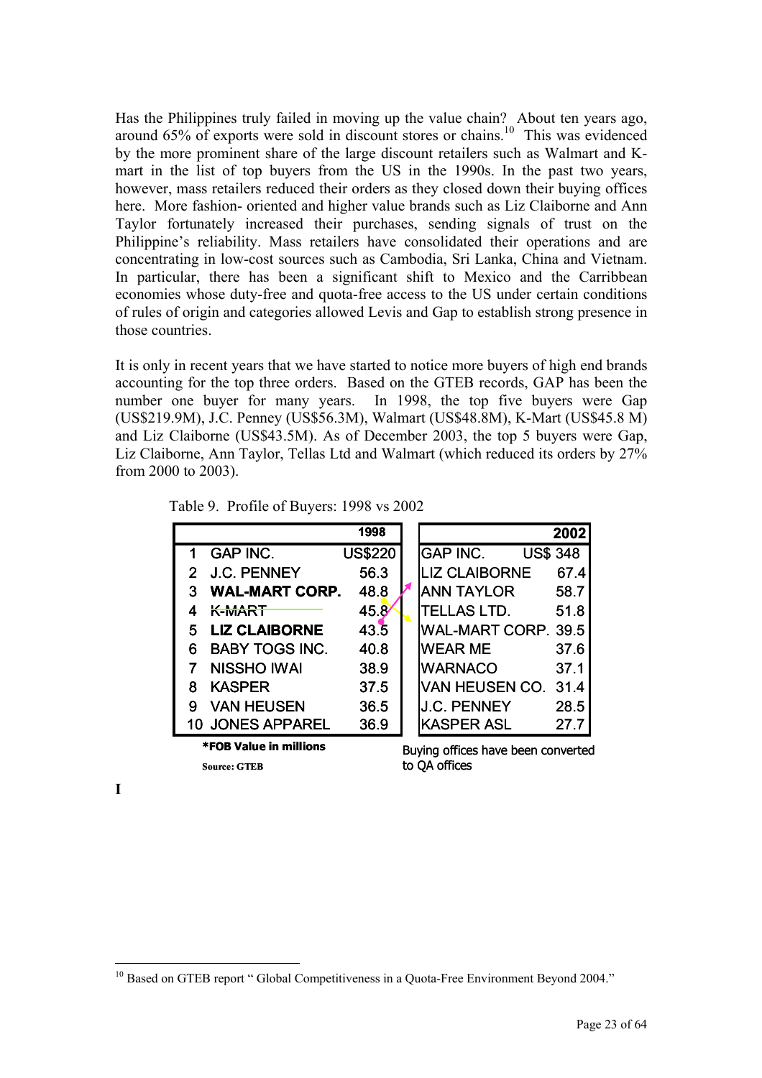Has the Philippines truly failed in moving up the value chain? About ten years ago, around  $65\%$  of exports were sold in discount stores or chains.<sup>10</sup> This was evidenced by the more prominent share of the large discount retailers such as Walmart and Kmart in the list of top buyers from the US in the 1990s. In the past two years, however, mass retailers reduced their orders as they closed down their buying offices here. More fashion- oriented and higher value brands such as Liz Claiborne and Ann Taylor fortunately increased their purchases, sending signals of trust on the Philippine's reliability. Mass retailers have consolidated their operations and are concentrating in low-cost sources such as Cambodia, Sri Lanka, China and Vietnam. In particular, there has been a significant shift to Mexico and the Carribbean economies whose duty-free and quota-free access to the US under certain conditions of rules of origin and categories allowed Levis and Gap to establish strong presence in those countries.

It is only in recent years that we have started to notice more buyers of high end brands accounting for the top three orders. Based on the GTEB records, GAP has been the number one buyer for many years. In 1998, the top five buyers were Gap (US\$219.9M), J.C. Penney (US\$56.3M), Walmart (US\$48.8M), K-Mart (US\$45.8 M) and Liz Claiborne (US\$43.5M). As of December 2003, the top 5 buyers were Gap, Liz Claiborne, Ann Taylor, Tellas Ltd and Walmart (which reduced its orders by 27% from 2000 to 2003).

|                                   | 1998           |                                    | 2002            |
|-----------------------------------|----------------|------------------------------------|-----------------|
| <b>GAP INC.</b><br>$\overline{1}$ | <b>US\$220</b> | <b>GAP INC.</b>                    | <b>US\$ 348</b> |
| <b>J.C. PENNEY</b><br>2           | 56.3           | <b>LIZ CLAIBORNE</b>               | 67.4            |
| <b>WAL-MART CORP.</b><br>3        | 48.8           | <b>ANN TAYLOR</b>                  | 58.7            |
| <b>K-MART</b><br>4                | 45.8           | <b>TELLAS LTD.</b>                 | 51.8            |
| <b>LIZ CLAIBORNE</b><br>5         | 43.5           | WAL-MART CORP. 39.5                |                 |
| <b>BABY TOGS INC.</b><br>6        | 40.8           | <b>WEAR ME</b>                     | 37.6            |
| <b>NISSHO IWAI</b>                | 38.9           | <b>IWARNACO</b>                    | 37.1            |
| <b>KASPER</b><br>8                | 37.5           | <b>VAN HEUSEN CO.</b>              | 31.4            |
| <b>VAN HEUSEN</b><br>9            | 36.5           | <b>J.C. PENNEY</b>                 | 28.5            |
| <b>10 JONES APPAREL</b>           | 36.9           | <b>KASPER ASL</b>                  | 27.7            |
| <b>*FOB Value in millions</b>     |                | Puring offices have been converted |                 |

Table 9. Profile of Buyers: 1998 vs 2002

**Source: GTEB**

Buying offices have been converted to QA offices

**I** 

 $\overline{a}$ 

<sup>&</sup>lt;sup>10</sup> Based on GTEB report " Global Competitiveness in a Quota-Free Environment Beyond 2004."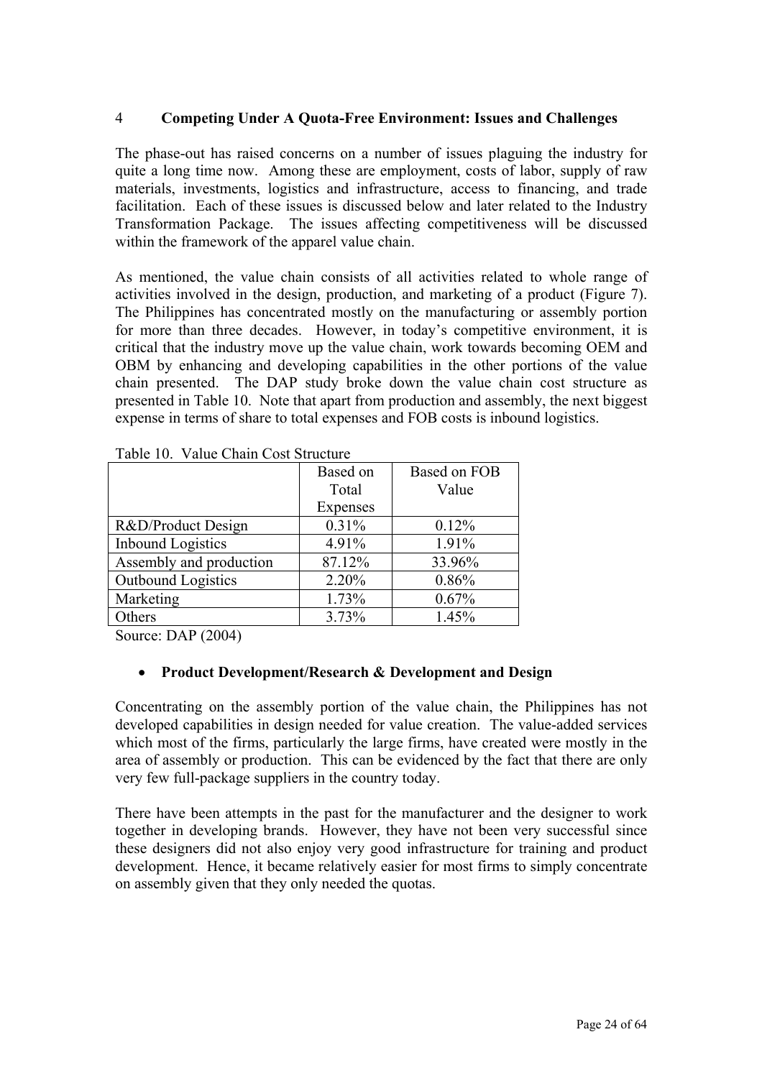## 4 **Competing Under A Quota-Free Environment: Issues and Challenges**

The phase-out has raised concerns on a number of issues plaguing the industry for quite a long time now. Among these are employment, costs of labor, supply of raw materials, investments, logistics and infrastructure, access to financing, and trade facilitation. Each of these issues is discussed below and later related to the Industry Transformation Package. The issues affecting competitiveness will be discussed within the framework of the apparel value chain.

As mentioned, the value chain consists of all activities related to whole range of activities involved in the design, production, and marketing of a product (Figure 7). The Philippines has concentrated mostly on the manufacturing or assembly portion for more than three decades. However, in today's competitive environment, it is critical that the industry move up the value chain, work towards becoming OEM and OBM by enhancing and developing capabilities in the other portions of the value chain presented. The DAP study broke down the value chain cost structure as presented in Table 10. Note that apart from production and assembly, the next biggest expense in terms of share to total expenses and FOB costs is inbound logistics.

|                           | Based on | Based on FOB |
|---------------------------|----------|--------------|
|                           | Total    | Value        |
|                           | Expenses |              |
| R&D/Product Design        | 0.31%    | 0.12%        |
| <b>Inbound Logistics</b>  | 4.91%    | 1.91%        |
| Assembly and production   | 87.12%   | 33.96%       |
| <b>Outbound Logistics</b> | 2.20%    | 0.86%        |
| Marketing                 | 1.73%    | 0.67%        |
| Others                    | 3.73%    | 1.45%        |

Table 10. Value Chain Cost Structure

Source: DAP (2004)

## • **Product Development/Research & Development and Design**

Concentrating on the assembly portion of the value chain, the Philippines has not developed capabilities in design needed for value creation. The value-added services which most of the firms, particularly the large firms, have created were mostly in the area of assembly or production. This can be evidenced by the fact that there are only very few full-package suppliers in the country today.

There have been attempts in the past for the manufacturer and the designer to work together in developing brands. However, they have not been very successful since these designers did not also enjoy very good infrastructure for training and product development. Hence, it became relatively easier for most firms to simply concentrate on assembly given that they only needed the quotas.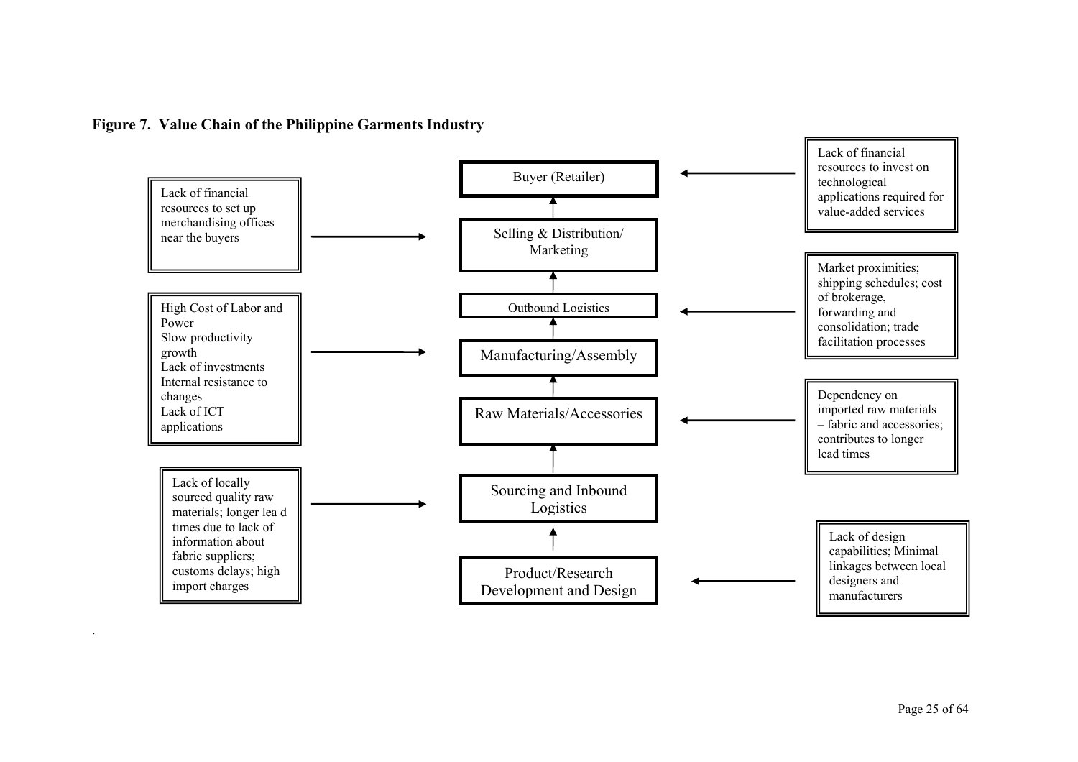#### **Figure 7. Value Chain of the Philippine Garments Industry**

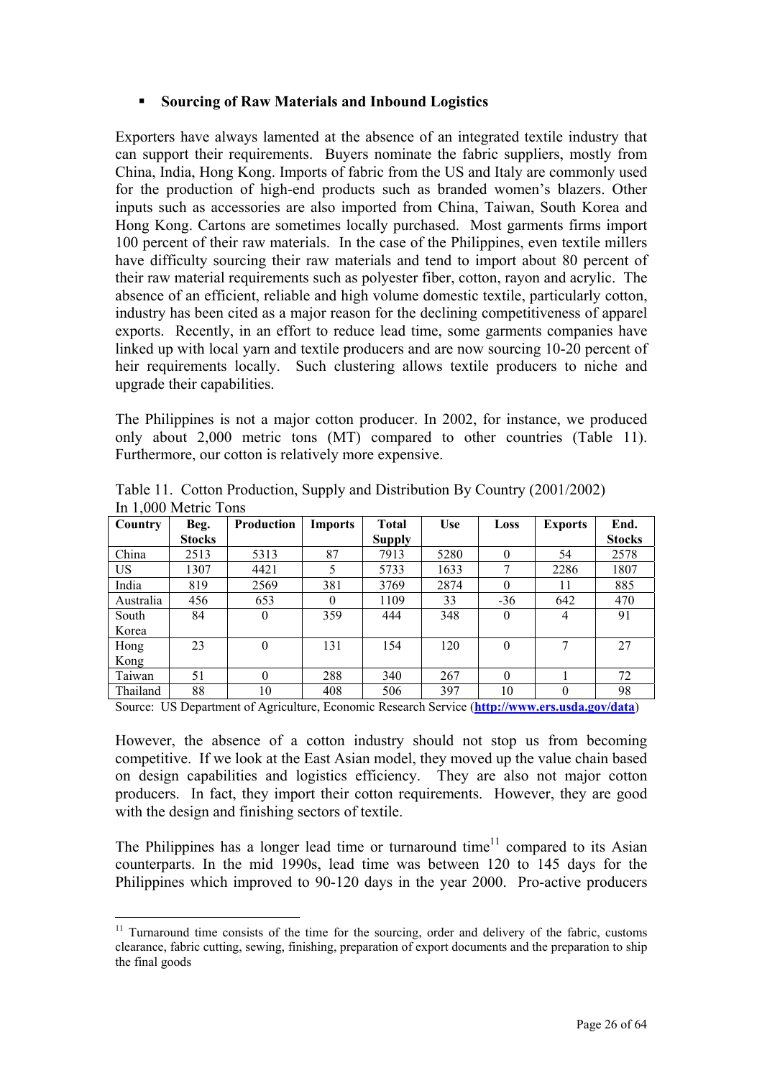## **Sourcing of Raw Materials and Inbound Logistics**

Exporters have always lamented at the absence of an integrated textile industry that can support their requirements. Buyers nominate the fabric suppliers, mostly from China, India, Hong Kong. Imports of fabric from the US and Italy are commonly used for the production of high-end products such as branded women's blazers. Other inputs such as accessories are also imported from China, Taiwan, South Korea and Hong Kong. Cartons are sometimes locally purchased. Most garments firms import 100 percent of their raw materials. In the case of the Philippines, even textile millers have difficulty sourcing their raw materials and tend to import about 80 percent of their raw material requirements such as polyester fiber, cotton, rayon and acrylic. The absence of an efficient, reliable and high volume domestic textile, particularly cotton, industry has been cited as a major reason for the declining competitiveness of apparel exports. Recently, in an effort to reduce lead time, some garments companies have linked up with local yarn and textile producers and are now sourcing 10-20 percent of heir requirements locally. Such clustering allows textile producers to niche and upgrade their capabilities.

The Philippines is not a major cotton producer. In 2002, for instance, we produced only about 2,000 metric tons (MT) compared to other countries (Table 11). Furthermore, our cotton is relatively more expensive.

| Country   | Beg.          | <b>Production</b> | <b>Imports</b> | <b>Total</b>  | <b>Use</b> | Loss         | <b>Exports</b> | End.          |
|-----------|---------------|-------------------|----------------|---------------|------------|--------------|----------------|---------------|
|           | <b>Stocks</b> |                   |                | <b>Supply</b> |            |              |                | <b>Stocks</b> |
| China     | 2513          | 5313              | 87             | 7913          | 5280       | $\theta$     | 54             | 2578          |
| <b>US</b> | 1307          | 4421              | 5              | 5733          | 1633       | $\mathbf{r}$ | 2286           | 1807          |
| India     | 819           | 2569              | 381            | 3769          | 2874       | $\theta$     | 11             | 885           |
| Australia | 456           | 653               | $\theta$       | 1109          | 33         | $-36$        | 642            | 470           |
| South     | 84            | $\theta$          | 359            | 444           | 348        | $\theta$     | $\overline{4}$ | 91            |
| Korea     |               |                   |                |               |            |              |                |               |
| Hong      | 23            | $\theta$          | 131            | 154           | 120        | $\theta$     | 7              | 27            |
| Kong      |               |                   |                |               |            |              |                |               |
| Taiwan    | 51            | 0                 | 288            | 340           | 267        | $\Omega$     |                | 72            |
| Thailand  | 88            | 10                | 408            | 506           | 397        | 10           | $\theta$       | 98            |

Table 11. Cotton Production, Supply and Distribution By Country (2001/2002) In 1,000 Metric Tons

Source: US Department of Agriculture, Economic Research Service (**http://www.ers.usda.gov/data**)

However, the absence of a cotton industry should not stop us from becoming competitive. If we look at the East Asian model, they moved up the value chain based on design capabilities and logistics efficiency. They are also not major cotton producers. In fact, they import their cotton requirements. However, they are good with the design and finishing sectors of textile.

The Philippines has a longer lead time or turnaround time<sup>11</sup> compared to its Asian counterparts. In the mid 1990s, lead time was between 120 to 145 days for the Philippines which improved to 90-120 days in the year 2000. Pro-active producers

 $\overline{a}$ 

<sup>&</sup>lt;sup>11</sup> Turnaround time consists of the time for the sourcing, order and delivery of the fabric, customs clearance, fabric cutting, sewing, finishing, preparation of export documents and the preparation to ship the final goods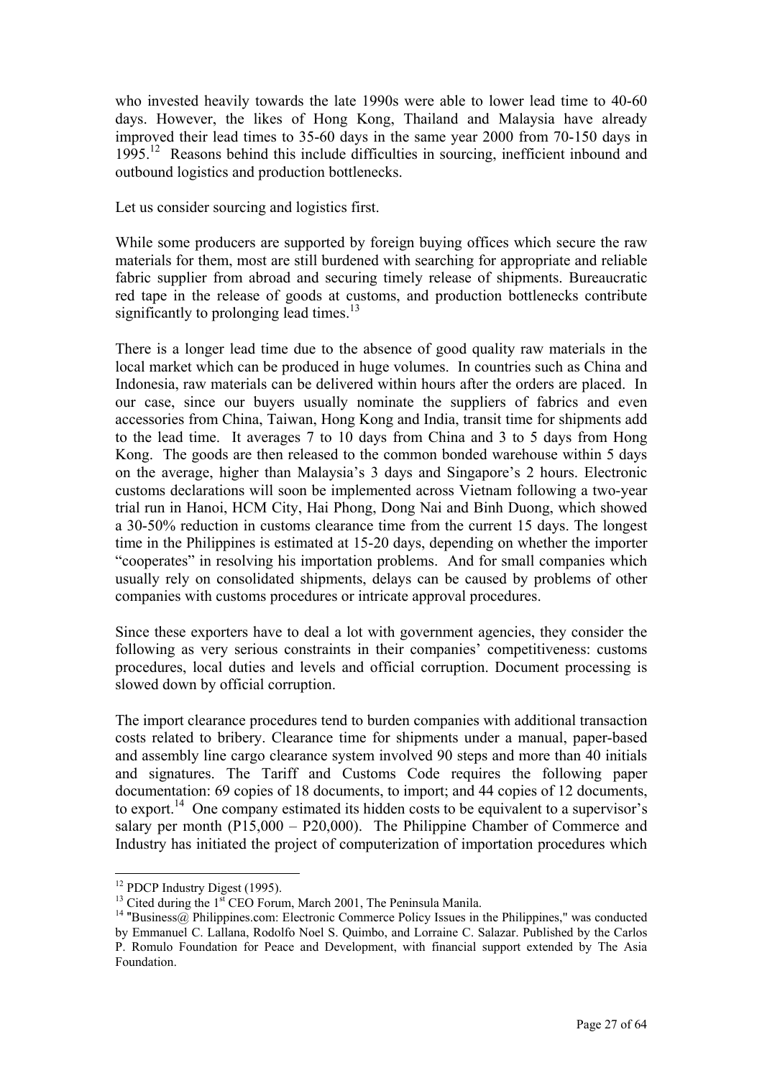who invested heavily towards the late 1990s were able to lower lead time to 40-60 days. However, the likes of Hong Kong, Thailand and Malaysia have already improved their lead times to 35-60 days in the same year 2000 from 70-150 days in 1995.12Reasons behind this include difficulties in sourcing, inefficient inbound and outbound logistics and production bottlenecks.

Let us consider sourcing and logistics first.

While some producers are supported by foreign buying offices which secure the raw materials for them, most are still burdened with searching for appropriate and reliable fabric supplier from abroad and securing timely release of shipments. Bureaucratic red tape in the release of goods at customs, and production bottlenecks contribute significantly to prolonging lead times.<sup>13</sup>

There is a longer lead time due to the absence of good quality raw materials in the local market which can be produced in huge volumes. In countries such as China and Indonesia, raw materials can be delivered within hours after the orders are placed. In our case, since our buyers usually nominate the suppliers of fabrics and even accessories from China, Taiwan, Hong Kong and India, transit time for shipments add to the lead time. It averages 7 to 10 days from China and 3 to 5 days from Hong Kong. The goods are then released to the common bonded warehouse within 5 days on the average, higher than Malaysia's 3 days and Singapore's 2 hours. Electronic customs declarations will soon be implemented across Vietnam following a two-year trial run in Hanoi, HCM City, Hai Phong, Dong Nai and Binh Duong, which showed a 30-50% reduction in customs clearance time from the current 15 days. The longest time in the Philippines is estimated at 15-20 days, depending on whether the importer "cooperates" in resolving his importation problems. And for small companies which usually rely on consolidated shipments, delays can be caused by problems of other companies with customs procedures or intricate approval procedures.

Since these exporters have to deal a lot with government agencies, they consider the following as very serious constraints in their companies' competitiveness: customs procedures, local duties and levels and official corruption. Document processing is slowed down by official corruption.

The import clearance procedures tend to burden companies with additional transaction costs related to bribery. Clearance time for shipments under a manual, paper-based and assembly line cargo clearance system involved 90 steps and more than 40 initials and signatures. The Tariff and Customs Code requires the following paper documentation: 69 copies of 18 documents, to import; and 44 copies of 12 documents, to export.<sup>14</sup> One company estimated its hidden costs to be equivalent to a supervisor's salary per month (P15,000 – P20,000). The Philippine Chamber of Commerce and Industry has initiated the project of computerization of importation procedures which

 $\overline{a}$ 

<sup>&</sup>lt;sup>12</sup> PDCP Industry Digest (1995).

<sup>&</sup>lt;sup>13</sup> Cited during the 1<sup>st</sup> CEO Forum, March 2001, The Peninsula Manila.<br><sup>14</sup> "Business@ Philippines.com: Electronic Commerce Policy Issues in the Philippines," was conducted by Emmanuel C. Lallana, Rodolfo Noel S. Quimbo, and Lorraine C. Salazar. Published by the Carlos P. Romulo Foundation for Peace and Development, with financial support extended by The Asia Foundation.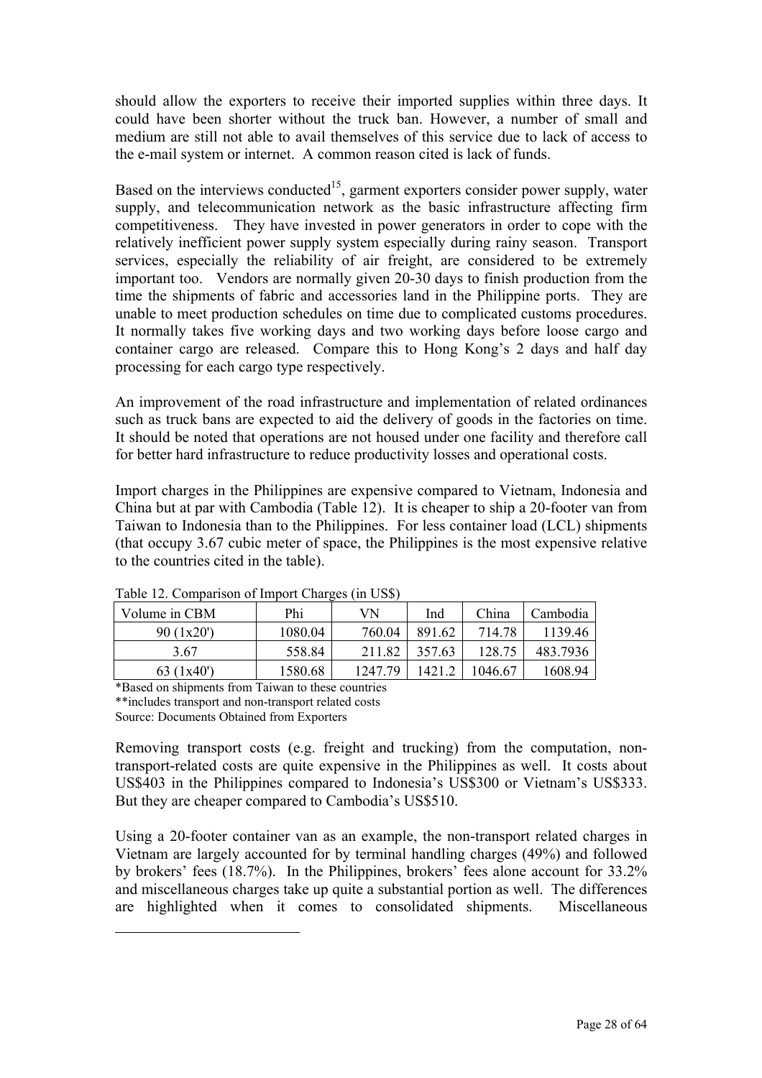should allow the exporters to receive their imported supplies within three days. It could have been shorter without the truck ban. However, a number of small and medium are still not able to avail themselves of this service due to lack of access to the e-mail system or internet. A common reason cited is lack of funds.

Based on the interviews conducted<sup>15</sup>, garment exporters consider power supply, water supply, and telecommunication network as the basic infrastructure affecting firm competitiveness. They have invested in power generators in order to cope with the relatively inefficient power supply system especially during rainy season. Transport services, especially the reliability of air freight, are considered to be extremely important too. Vendors are normally given 20-30 days to finish production from the time the shipments of fabric and accessories land in the Philippine ports. They are unable to meet production schedules on time due to complicated customs procedures. It normally takes five working days and two working days before loose cargo and container cargo are released. Compare this to Hong Kong's 2 days and half day processing for each cargo type respectively.

An improvement of the road infrastructure and implementation of related ordinances such as truck bans are expected to aid the delivery of goods in the factories on time. It should be noted that operations are not housed under one facility and therefore call for better hard infrastructure to reduce productivity losses and operational costs.

Import charges in the Philippines are expensive compared to Vietnam, Indonesia and China but at par with Cambodia (Table 12). It is cheaper to ship a 20-footer van from Taiwan to Indonesia than to the Philippines. For less container load (LCL) shipments (that occupy 3.67 cubic meter of space, the Philippines is the most expensive relative to the countries cited in the table).

| Volume in CBM | Phi     | VN     | Ind    | China   | Cambodia |
|---------------|---------|--------|--------|---------|----------|
| 90(1x20')     | 1080.04 | 760.04 | 891.62 | 714.78  | 1139.46  |
| 3.67          | 558.84  | 211.82 | 357.63 | 128.75  | 483.7936 |
| $63$ (1x40')  | 1580.68 | 124779 | 1421.2 | 1046.67 | 1608.94  |

Table 12. Comparison of Import Charges (in US\$)

\*Based on shipments from Taiwan to these countries \*\*includes transport and non-transport related costs Source: Documents Obtained from Exporters

 $\overline{a}$ 

Removing transport costs (e.g. freight and trucking) from the computation, nontransport-related costs are quite expensive in the Philippines as well. It costs about US\$403 in the Philippines compared to Indonesia's US\$300 or Vietnam's US\$333. But they are cheaper compared to Cambodia's US\$510.

Using a 20-footer container van as an example, the non-transport related charges in Vietnam are largely accounted for by terminal handling charges (49%) and followed by brokers' fees (18.7%). In the Philippines, brokers' fees alone account for 33.2% and miscellaneous charges take up quite a substantial portion as well. The differences are highlighted when it comes to consolidated shipments. Miscellaneous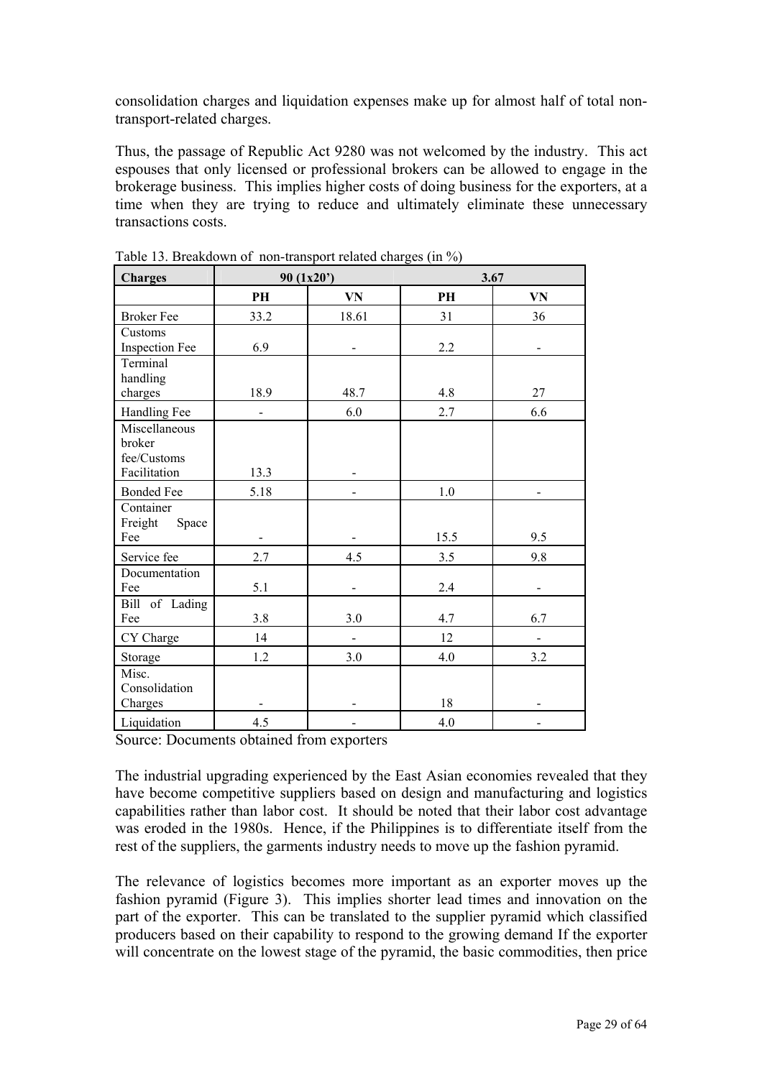consolidation charges and liquidation expenses make up for almost half of total nontransport-related charges.

Thus, the passage of Republic Act 9280 was not welcomed by the industry. This act espouses that only licensed or professional brokers can be allowed to engage in the brokerage business. This implies higher costs of doing business for the exporters, at a time when they are trying to reduce and ultimately eliminate these unnecessary transactions costs.

| <b>Charges</b>                                         | 90 (1x20) |                              | 3.67 |           |
|--------------------------------------------------------|-----------|------------------------------|------|-----------|
|                                                        | PH        | <b>VN</b>                    | PH   | <b>VN</b> |
| <b>Broker Fee</b>                                      | 33.2      | 18.61                        | 31   | 36        |
| Customs<br>Inspection Fee                              | 6.9       | $\qquad \qquad \blacksquare$ | 2.2  | -         |
| Terminal<br>handling<br>charges                        | 18.9      | 48.7                         | 4.8  | 27        |
| Handling Fee                                           |           | 6.0                          | 2.7  | 6.6       |
| Miscellaneous<br>broker<br>fee/Customs<br>Facilitation | 13.3      |                              |      |           |
| <b>Bonded Fee</b>                                      | 5.18      |                              | 1.0  | -         |
| Container<br>Freight<br>Space<br>Fee                   |           |                              | 15.5 | 9.5       |
| Service fee                                            | 2.7       | 4.5                          | 3.5  | 9.8       |
| Documentation<br>Fee                                   | 5.1       |                              | 2.4  |           |
| Bill of Lading<br>Fee                                  | 3.8       | 3.0                          | 4.7  | 6.7       |
| CY Charge                                              | 14        |                              | 12   |           |
| Storage                                                | 1.2       | 3.0                          | 4.0  | 3.2       |
| Misc.<br>Consolidation<br>Charges                      |           |                              | 18   |           |
| Liquidation                                            | 4.5       |                              | 4.0  |           |

Table 13. Breakdown of non-transport related charges (in %)

Source: Documents obtained from exporters

The industrial upgrading experienced by the East Asian economies revealed that they have become competitive suppliers based on design and manufacturing and logistics capabilities rather than labor cost. It should be noted that their labor cost advantage was eroded in the 1980s. Hence, if the Philippines is to differentiate itself from the rest of the suppliers, the garments industry needs to move up the fashion pyramid.

The relevance of logistics becomes more important as an exporter moves up the fashion pyramid (Figure 3). This implies shorter lead times and innovation on the part of the exporter. This can be translated to the supplier pyramid which classified producers based on their capability to respond to the growing demand If the exporter will concentrate on the lowest stage of the pyramid, the basic commodities, then price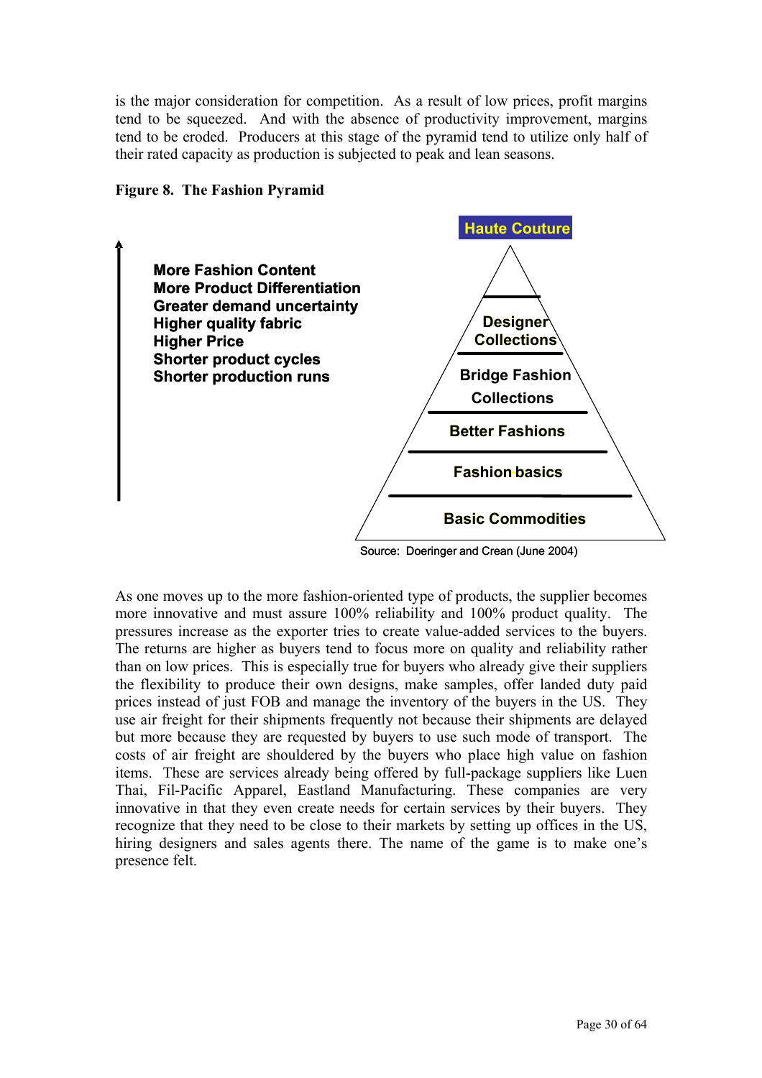is the major consideration for competition. As a result of low prices, profit margins tend to be squeezed. And with the absence of productivity improvement, margins tend to be eroded. Producers at this stage of the pyramid tend to utilize only half of their rated capacity as production is subjected to peak and lean seasons.





Source: Doeringer and Crean (June 2004)

As one moves up to the more fashion-oriented type of products, the supplier becomes more innovative and must assure 100% reliability and 100% product quality. The pressures increase as the exporter tries to create value-added services to the buyers. The returns are higher as buyers tend to focus more on quality and reliability rather than on low prices. This is especially true for buyers who already give their suppliers the flexibility to produce their own designs, make samples, offer landed duty paid prices instead of just FOB and manage the inventory of the buyers in the US. They use air freight for their shipments frequently not because their shipments are delayed but more because they are requested by buyers to use such mode of transport. The costs of air freight are shouldered by the buyers who place high value on fashion items. These are services already being offered by full-package suppliers like Luen Thai, Fil-Pacific Apparel, Eastland Manufacturing. These companies are very innovative in that they even create needs for certain services by their buyers. They recognize that they need to be close to their markets by setting up offices in the US, hiring designers and sales agents there. The name of the game is to make one's presence felt.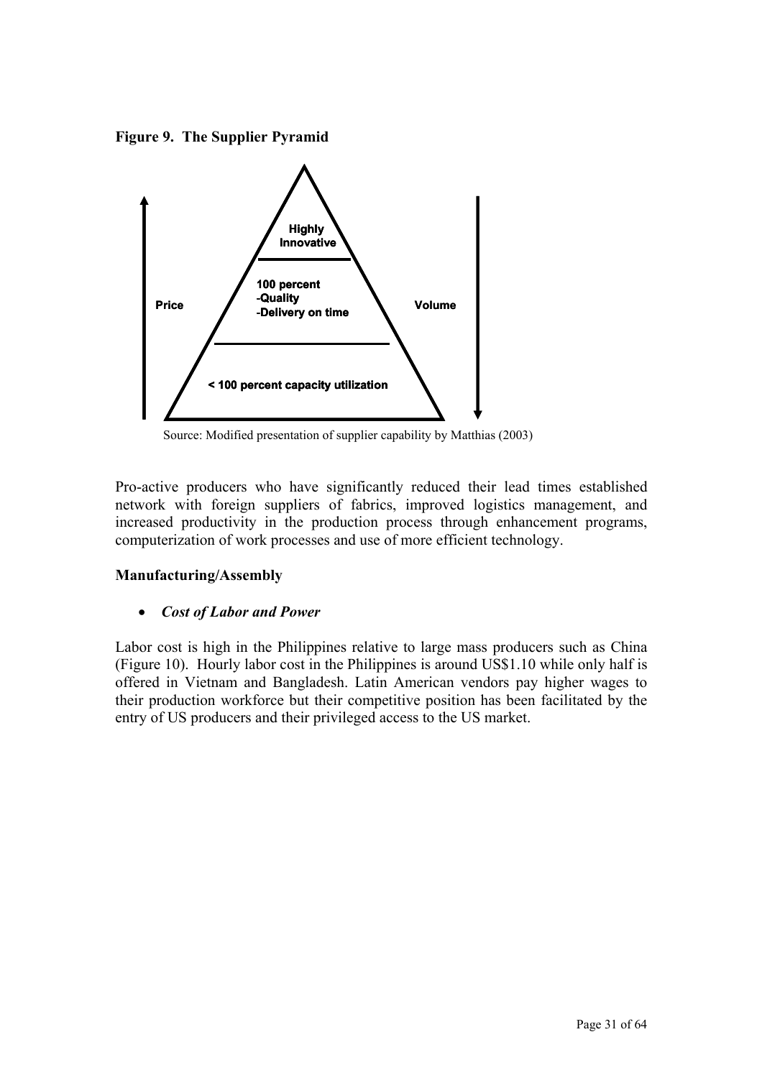**Figure 9. The Supplier Pyramid** 



Source: Modified presentation of supplier capability by Matthias (2003)

Pro-active producers who have significantly reduced their lead times established network with foreign suppliers of fabrics, improved logistics management, and increased productivity in the production process through enhancement programs, computerization of work processes and use of more efficient technology.

#### **Manufacturing/Assembly**

## • *Cost of Labor and Power*

Labor cost is high in the Philippines relative to large mass producers such as China (Figure 10). Hourly labor cost in the Philippines is around US\$1.10 while only half is offered in Vietnam and Bangladesh. Latin American vendors pay higher wages to their production workforce but their competitive position has been facilitated by the entry of US producers and their privileged access to the US market.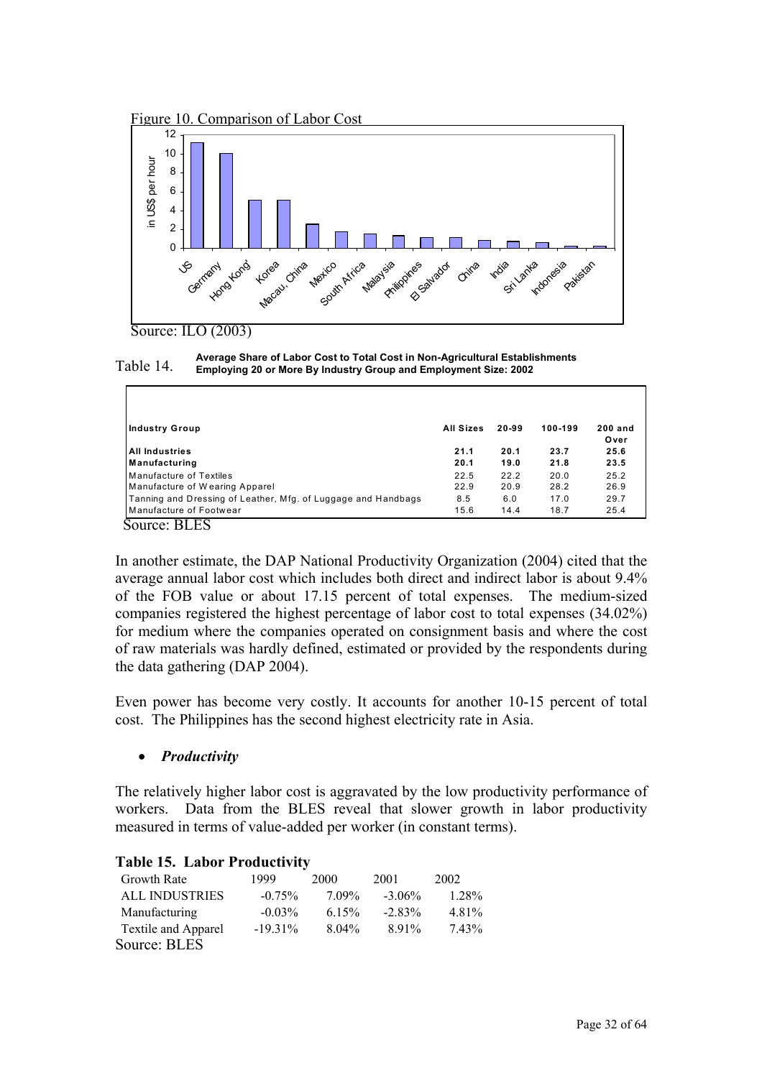Figure 10. Comparison of Labor Cost





| <b>Industry Group</b>                                         | All Sizes | 20-99 | 100-199 | $200$ and<br>Over |
|---------------------------------------------------------------|-----------|-------|---------|-------------------|
| All Industries                                                | 21.1      | 20.1  | 23.7    | 25.6              |
| Manufacturing                                                 | 20.1      | 19.0  | 21.8    | 23.5              |
| Manufacture of Textiles                                       | 22.5      | 22.2  | 20.0    | 25.2              |
| Manufacture of Wearing Apparel                                | 22.9      | 20.9  | 28.2    | 26.9              |
| Tanning and Dressing of Leather, Mfg. of Luggage and Handbags | 8.5       | 6.0   | 17.0    | 29.7              |
| Manufacture of Footwear                                       | 15.6      | 14.4  | 18.7    | 25.4              |

In another estimate, the DAP National Productivity Organization (2004) cited that the average annual labor cost which includes both direct and indirect labor is about 9.4% of the FOB value or about 17.15 percent of total expenses. The medium-sized companies registered the highest percentage of labor cost to total expenses (34.02%) for medium where the companies operated on consignment basis and where the cost of raw materials was hardly defined, estimated or provided by the respondents during the data gathering (DAP 2004).

Even power has become very costly. It accounts for another 10-15 percent of total cost. The Philippines has the second highest electricity rate in Asia.

• *Productivity* 

The relatively higher labor cost is aggravated by the low productivity performance of workers. Data from the BLES reveal that slower growth in labor productivity measured in terms of value-added per worker (in constant terms).

## **Table 15. Labor Productivity**

| Growth Rate                | 1999       | 2000     | 2001      | 2002  |
|----------------------------|------------|----------|-----------|-------|
| <b>ALL INDUSTRIES</b>      | $-0.75%$   | 7.09%    | $-3.06\%$ | 1.28% |
| Manufacturing              | $-0.03\%$  | 6.15%    | $-2.83\%$ | 4.81% |
| <b>Textile and Apparel</b> | $-19.31\%$ | $8.04\%$ | 8.91%     | 7.43% |
| Source: BLES               |            |          |           |       |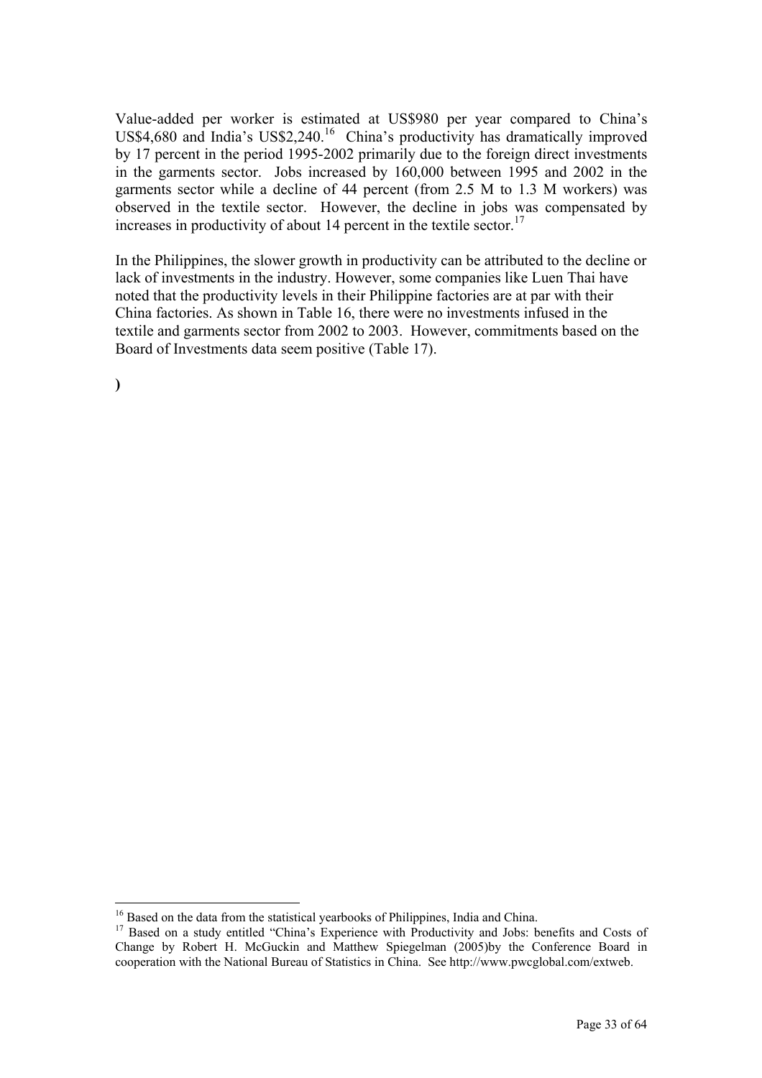Value-added per worker is estimated at US\$980 per year compared to China's US\$4,680 and India's US\$2,240.<sup>16</sup> China's productivity has dramatically improved by 17 percent in the period 1995-2002 primarily due to the foreign direct investments in the garments sector. Jobs increased by 160,000 between 1995 and 2002 in the garments sector while a decline of 44 percent (from 2.5 M to 1.3 M workers) was observed in the textile sector. However, the decline in jobs was compensated by increases in productivity of about 14 percent in the textile sector.<sup>17</sup>

In the Philippines, the slower growth in productivity can be attributed to the decline or lack of investments in the industry. However, some companies like Luen Thai have noted that the productivity levels in their Philippine factories are at par with their China factories. As shown in Table 16, there were no investments infused in the textile and garments sector from 2002 to 2003. However, commitments based on the Board of Investments data seem positive (Table 17).

**)** 

 $\overline{a}$ 

<sup>&</sup>lt;sup>16</sup> Based on the data from the statistical yearbooks of Philippines, India and China.<br><sup>17</sup> Based on a study entitled "China's Experience with Productivity and Jobs: benefits and Costs of Change by Robert H. McGuckin and Matthew Spiegelman (2005)by the Conference Board in cooperation with the National Bureau of Statistics in China. See http://www.pwcglobal.com/extweb.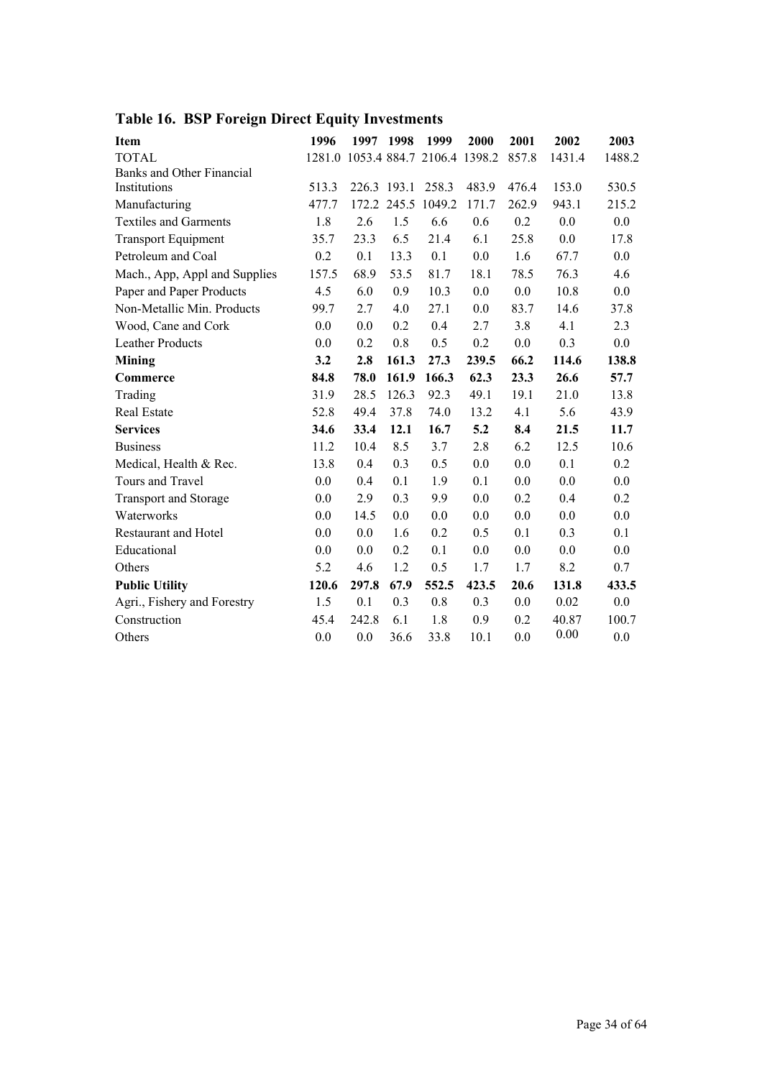|  |  | <b>Table 16. BSP Foreign Direct Equity Investments</b> |  |
|--|--|--------------------------------------------------------|--|
|--|--|--------------------------------------------------------|--|

| <b>Item</b>                   | 1996  | 1997 1998   |       | 1999                              | 2000  | 2001  | 2002   | 2003   |
|-------------------------------|-------|-------------|-------|-----------------------------------|-------|-------|--------|--------|
| <b>TOTAL</b>                  |       |             |       | 1281.0 1053.4 884.7 2106.4 1398.2 |       | 857.8 | 1431.4 | 1488.2 |
| Banks and Other Financial     |       |             |       |                                   |       |       |        |        |
| Institutions                  | 513.3 | 226.3 193.1 |       | 258.3                             | 483.9 | 476.4 | 153.0  | 530.5  |
| Manufacturing                 | 477.7 |             |       | 172.2 245.5 1049.2                | 171.7 | 262.9 | 943.1  | 215.2  |
| <b>Textiles and Garments</b>  | 1.8   | 2.6         | 1.5   | 6.6                               | 0.6   | 0.2   | 0.0    | 0.0    |
| <b>Transport Equipment</b>    | 35.7  | 23.3        | 6.5   | 21.4                              | 6.1   | 25.8  | 0.0    | 17.8   |
| Petroleum and Coal            | 0.2   | 0.1         | 13.3  | 0.1                               | 0.0   | 1.6   | 67.7   | 0.0    |
| Mach., App, Appl and Supplies | 157.5 | 68.9        | 53.5  | 81.7                              | 18.1  | 78.5  | 76.3   | 4.6    |
| Paper and Paper Products      | 4.5   | 6.0         | 0.9   | 10.3                              | 0.0   | 0.0   | 10.8   | 0.0    |
| Non-Metallic Min. Products    | 99.7  | 2.7         | 4.0   | 27.1                              | 0.0   | 83.7  | 14.6   | 37.8   |
| Wood, Cane and Cork           | 0.0   | 0.0         | 0.2   | 0.4                               | 2.7   | 3.8   | 4.1    | 2.3    |
| <b>Leather Products</b>       | 0.0   | 0.2         | 0.8   | 0.5                               | 0.2   | 0.0   | 0.3    | 0.0    |
| <b>Mining</b>                 | 3.2   | 2.8         | 161.3 | 27.3                              | 239.5 | 66.2  | 114.6  | 138.8  |
| Commerce                      | 84.8  | 78.0        | 161.9 | 166.3                             | 62.3  | 23.3  | 26.6   | 57.7   |
| Trading                       | 31.9  | 28.5        | 126.3 | 92.3                              | 49.1  | 19.1  | 21.0   | 13.8   |
| <b>Real Estate</b>            | 52.8  | 49.4        | 37.8  | 74.0                              | 13.2  | 4.1   | 5.6    | 43.9   |
| <b>Services</b>               | 34.6  | 33.4        | 12.1  | 16.7                              | 5.2   | 8.4   | 21.5   | 11.7   |
| <b>Business</b>               | 11.2  | 10.4        | 8.5   | 3.7                               | 2.8   | 6.2   | 12.5   | 10.6   |
| Medical, Health & Rec.        | 13.8  | 0.4         | 0.3   | 0.5                               | 0.0   | 0.0   | 0.1    | 0.2    |
| Tours and Travel              | 0.0   | 0.4         | 0.1   | 1.9                               | 0.1   | 0.0   | 0.0    | 0.0    |
| <b>Transport and Storage</b>  | 0.0   | 2.9         | 0.3   | 9.9                               | 0.0   | 0.2   | 0.4    | 0.2    |
| Waterworks                    | 0.0   | 14.5        | 0.0   | 0.0                               | 0.0   | 0.0   | 0.0    | 0.0    |
| <b>Restaurant and Hotel</b>   | 0.0   | 0.0         | 1.6   | 0.2                               | 0.5   | 0.1   | 0.3    | 0.1    |
| Educational                   | 0.0   | 0.0         | 0.2   | 0.1                               | 0.0   | 0.0   | 0.0    | 0.0    |
| Others                        | 5.2   | 4.6         | 1.2   | 0.5                               | 1.7   | 1.7   | 8.2    | 0.7    |
| <b>Public Utility</b>         | 120.6 | 297.8       | 67.9  | 552.5                             | 423.5 | 20.6  | 131.8  | 433.5  |
| Agri., Fishery and Forestry   | 1.5   | 0.1         | 0.3   | 0.8                               | 0.3   | 0.0   | 0.02   | 0.0    |
| Construction                  | 45.4  | 242.8       | 6.1   | 1.8                               | 0.9   | 0.2   | 40.87  | 100.7  |
| Others                        | 0.0   | 0.0         | 36.6  | 33.8                              | 10.1  | 0.0   | 0.00   | 0.0    |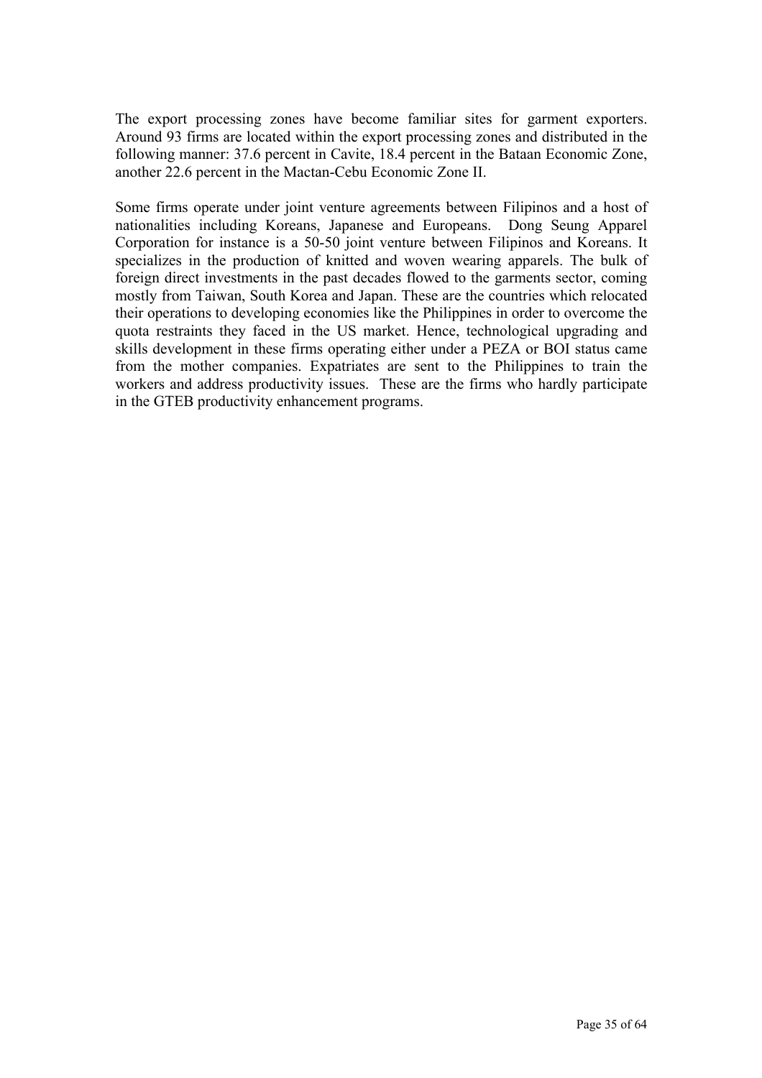The export processing zones have become familiar sites for garment exporters. Around 93 firms are located within the export processing zones and distributed in the following manner: 37.6 percent in Cavite, 18.4 percent in the Bataan Economic Zone, another 22.6 percent in the Mactan-Cebu Economic Zone II.

Some firms operate under joint venture agreements between Filipinos and a host of nationalities including Koreans, Japanese and Europeans. Dong Seung Apparel Corporation for instance is a 50-50 joint venture between Filipinos and Koreans. It specializes in the production of knitted and woven wearing apparels. The bulk of foreign direct investments in the past decades flowed to the garments sector, coming mostly from Taiwan, South Korea and Japan. These are the countries which relocated their operations to developing economies like the Philippines in order to overcome the quota restraints they faced in the US market. Hence, technological upgrading and skills development in these firms operating either under a PEZA or BOI status came from the mother companies. Expatriates are sent to the Philippines to train the workers and address productivity issues. These are the firms who hardly participate in the GTEB productivity enhancement programs.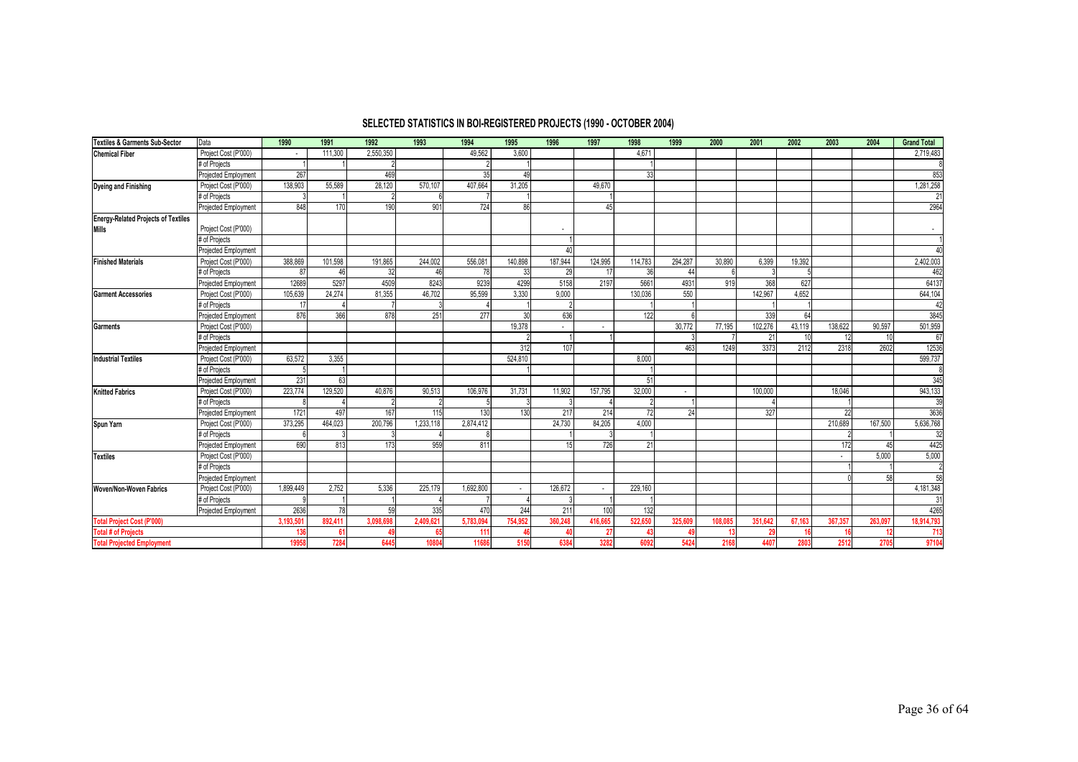| SELECTED STATISTICS IN BOI-REGISTERED PROJECTS (1990 - OCTOBER 2004) |  |
|----------------------------------------------------------------------|--|
|                                                                      |  |

| <b>Textiles &amp; Garments Sub-Sector</b>  | Data                        | 1990      | 1991    | 1992      | 1993      | 1994      | 1995    | 1996       | 1997    | 1998    | 1999    | 2000    | 2001    | 2002   | 2003    | 2004    | <b>Grand Total</b> |
|--------------------------------------------|-----------------------------|-----------|---------|-----------|-----------|-----------|---------|------------|---------|---------|---------|---------|---------|--------|---------|---------|--------------------|
| <b>Chemical Fiber</b>                      | Project Cost (P'000)        |           | 111,300 | 2,550,350 |           | 49.562    | 3,600   |            |         | 4,671   |         |         |         |        |         |         | 2,719,483          |
|                                            | # of Projects               |           |         |           |           |           |         |            |         |         |         |         |         |        |         |         |                    |
|                                            | Projected Employment        | 267       |         | 469       |           | 35        | 49      |            |         | 33      |         |         |         |        |         |         | 853                |
| <b>Dyeing and Finishing</b>                | Project Cost (P'000)        | 138,903   | 55.589  | 28.120    | 570.107   | 407.664   | 31.205  |            | 49.670  |         |         |         |         |        |         |         | 1,281,258          |
|                                            | # of Projects               |           |         |           |           |           |         |            |         |         |         |         |         |        |         |         | 21                 |
|                                            | Projected Employment        | 848       | 170     | 190       | 901       | 724       | 86      |            | 45      |         |         |         |         |        |         |         | 2964               |
| <b>Energy-Related Projects of Textiles</b> |                             |           |         |           |           |           |         |            |         |         |         |         |         |        |         |         |                    |
| <b>Mills</b>                               | Project Cost (P'000)        |           |         |           |           |           |         |            |         |         |         |         |         |        |         |         |                    |
|                                            | # of Proiects               |           |         |           |           |           |         |            |         |         |         |         |         |        |         |         |                    |
|                                            | Projected Employment        |           |         |           |           |           |         | $\Delta f$ |         |         |         |         |         |        |         |         |                    |
| <b>Finished Materials</b>                  | Project Cost (P'000)        | 388,869   | 101.598 | 191.865   | 244,002   | 556,081   | 140,898 | 187,944    | 124,995 | 114.783 | 294.287 | 30.890  | 6.399   | 19.392 |         |         | 2,402,003          |
|                                            | # of Projects               | 87        | 46      | 32        | 46        | 78        | 33      | 29         | 17      | 36      | 44      |         |         |        |         |         | 462                |
|                                            | Projected Employment        | 12689     | 5297    | 4509      | 8243      | 9239      | 4299    | 5158       | 2197    | 5661    | 4931    | 919     | 368     | 627    |         |         | 64137              |
| <b>Garment Accessories</b>                 | Project Cost (P'000)        | 105,639   | 24.274  | 81.355    | 46,702    | 95,599    | 3,330   | 9,000      |         | 130.036 | 550     |         | 142.967 | 4.652  |         |         | 644,104            |
|                                            | # of Proiects               | 17        |         |           |           |           |         |            |         |         |         |         |         |        |         |         | 42                 |
|                                            | Projected Employment        | 876       | 366     | 878       | 251       | 277       | 30      | 636        |         | 122     |         |         | 339     | 64     |         |         | 3845               |
| <b>Garments</b>                            | Project Cost (P'000)        |           |         |           |           |           | 19.378  |            |         |         | 30.772  | 77.195  | 102.276 | 43,119 | 138,622 | 90.597  | 501,959            |
|                                            | # of Proiects               |           |         |           |           |           |         |            |         |         |         |         | 21      | 10     | 12      |         | 67                 |
|                                            | Projected Employment        |           |         |           |           |           | 312     | 107        |         |         | 463     | 1249    | 3373    | 2112   | 2318    | 2602    | 12536              |
| <b>Industrial Textiles</b>                 | Project Cost (P'000)        | 63.572    | 3,355   |           |           |           | 524.810 |            |         | 8.000   |         |         |         |        |         |         | 599,737            |
|                                            | # of Projects               |           |         |           |           |           |         |            |         |         |         |         |         |        |         |         |                    |
|                                            | <b>Projected Employment</b> | 231       | 63      |           |           |           |         |            |         | 51      |         |         |         |        |         |         | 345                |
| <b>Knitted Fabrics</b>                     | Project Cost (P'000)        | 223,774   | 129.520 | 40,876    | 90,513    | 106,976   | 31,731  | 11,902     | 157,795 | 32,000  |         |         | 100,000 |        | 18,046  |         | 943,133            |
|                                            | # of Proiects               |           |         |           |           |           |         |            |         |         |         |         |         |        |         |         | 39                 |
|                                            | <b>Projected Employment</b> | 1721      | 497     | 167       | 115       | 130       | 130     | 217        | 214     |         | 24      |         | 327     |        | 22      |         | 3636               |
| Spun Yarn                                  | Project Cost (P'000)        | 373,295   | 464,023 | 200,796   | 1,233,118 | 2,874,412 |         | 24,730     | 84,205  | 4,000   |         |         |         |        | 210,689 | 167,500 | 5,636,768          |
|                                            | # of Projects               |           |         |           |           |           |         |            |         |         |         |         |         |        |         |         | 32                 |
|                                            | Projected Employment        | 690       | 813     | 173       | 959       | 811       |         |            | 726     | 21      |         |         |         |        | 172     | 45      | 4425               |
| <b>Textiles</b>                            | Project Cost (P'000)        |           |         |           |           |           |         |            |         |         |         |         |         |        |         | 5,000   | 5,000              |
|                                            | # of Projects               |           |         |           |           |           |         |            |         |         |         |         |         |        |         |         |                    |
|                                            | <b>Projected Employment</b> |           |         |           |           |           |         |            |         |         |         |         |         |        |         | 58      | 58                 |
| <b>Woven/Non-Woven Fabrics</b>             | Project Cost (P'000)        | 1,899,449 | 2,752   | 5,336     | 225,179   | 1,692,800 |         | 126,672    |         | 229,160 |         |         |         |        |         |         | 4,181,348          |
|                                            | # of Projects               |           |         |           |           |           |         |            |         |         |         |         |         |        |         |         | 31                 |
|                                            | Projected Employment        | 2636      | 78      | 59        | 335       | 470       | 244     | 211        | 100     | 132     |         |         |         |        |         |         | 4265               |
| <b>Total Project Cost (P'000)</b>          |                             | 3,193,501 | 892.411 | 3.098.698 | 2,409,621 | 5,783,094 | 754.952 | 360.248    | 416,665 | 522,650 | 325,609 | 108.085 | 351.642 | 67.163 | 367,357 | 263.097 | 18,914,793         |
| <b>Total # of Projects</b>                 |                             |           |         |           |           | 111       |         |            |         |         |         |         |         |        |         |         | 713                |
| <b>Total Projected Employment</b>          |                             | 19958     | 7284    | 6445      | 10804     | 11686     | 5150    | 6384       | 3282    | 6092    | 5424    | 2168    | 4407    | 2803   | 2512    | 2705    | 97104              |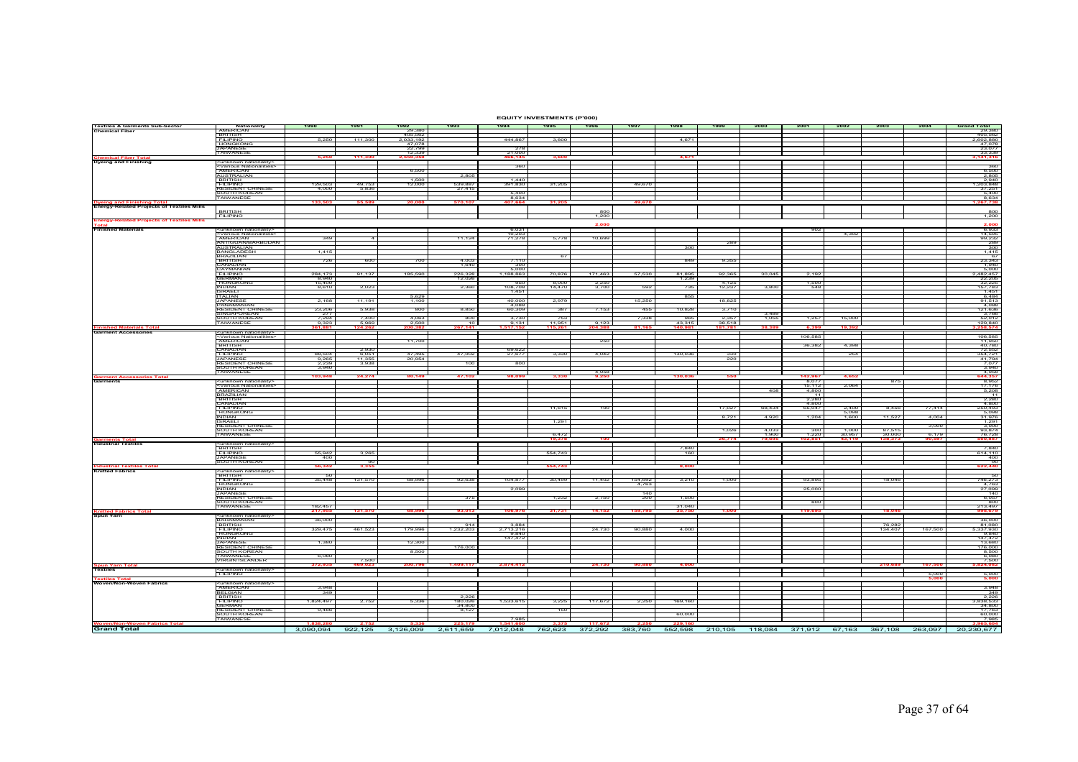| Textiles & Garments Sub-Sector<br>Chemical Fiber                                                                                                 | <b>Nationality</b><br>AMERICAN                                                                                                                                                               | 1990                    | 1991                     | 1992<br>29.380        | 1993                       | 1994                   | 1995    | 1996    | 1997             | 1998         | 1999       | 2000                                   | 2001           | 2002                  | 2003    | 2004    |                                                                             |
|--------------------------------------------------------------------------------------------------------------------------------------------------|----------------------------------------------------------------------------------------------------------------------------------------------------------------------------------------------|-------------------------|--------------------------|-----------------------|----------------------------|------------------------|---------|---------|------------------|--------------|------------|----------------------------------------|----------------|-----------------------|---------|---------|-----------------------------------------------------------------------------|
|                                                                                                                                                  | <b>BRITISH</b>                                                                                                                                                                               |                         |                          | 405,562               |                            |                        |         |         |                  |              |            |                                        |                |                       |         |         | Grand Total<br>29,380<br>405,562                                            |
|                                                                                                                                                  | <b>FILIPINO</b>                                                                                                                                                                              | 5,250                   | 111,300                  |                       |                            | 444,867                | 3,600   |         |                  | 4,671        |            |                                        |                |                       |         |         |                                                                             |
|                                                                                                                                                  |                                                                                                                                                                                              |                         |                          | 2,033,192<br>47.078   |                            |                        |         |         |                  |              |            |                                        |                |                       |         |         |                                                                             |
|                                                                                                                                                  | <b>HONGKONG</b><br>JAPANESE                                                                                                                                                                  |                         |                          | 22.799                |                            |                        |         |         |                  |              |            |                                        |                |                       |         |         |                                                                             |
|                                                                                                                                                  | <b>TAIWANESE</b>                                                                                                                                                                             |                         |                          | 12,339                |                            | 21,000                 |         |         |                  |              |            |                                        |                |                       |         |         |                                                                             |
| <b>Chemical Fiber Total</b><br>Dyeing and Finishing                                                                                              |                                                                                                                                                                                              |                         | 111.3                    |                       |                            | 66.14                  |         |         |                  |              |            |                                        |                |                       |         |         | $\frac{2,602,880}{47,078}$ $\frac{23,077}{33,339}$ 1,141,316                |
|                                                                                                                                                  | <unknown nationality<="" td=""><td></td><td></td><td></td><td></td><td>360</td><td></td><td></td><td></td><td></td><td></td><td></td><td></td><td></td><td></td><td></td><td></td></unknown> |                         |                          |                       |                            | 360                    |         |         |                  |              |            |                                        |                |                       |         |         |                                                                             |
|                                                                                                                                                  | <various nationalities=""><br/>AMERICAN</various>                                                                                                                                            |                         |                          | 6,500                 |                            |                        |         |         |                  |              |            |                                        |                |                       |         |         | $rac{360}{6.500}$                                                           |
|                                                                                                                                                  | AUSTRALIAN                                                                                                                                                                                   |                         |                          |                       | 2,805                      |                        |         |         |                  |              |            |                                        |                |                       |         |         | 2,805                                                                       |
|                                                                                                                                                  | <b>BRITISH</b>                                                                                                                                                                               |                         |                          | 1,500                 |                            | 1,440                  |         |         |                  |              |            |                                        |                |                       |         |         | 2,940                                                                       |
|                                                                                                                                                  | <b>FILIPINO</b>                                                                                                                                                                              | $\frac{129,503}{4,000}$ | 49,753<br>5,836          | 12,000                | 539,887<br>27,415          | 391.830                | 1.205   |         | 49.670           |              |            |                                        |                |                       |         |         | 203,848<br>37,251                                                           |
|                                                                                                                                                  | <b>ESIDENT CHINESE</b>                                                                                                                                                                       |                         |                          |                       |                            |                        |         |         |                  |              |            |                                        |                |                       |         |         |                                                                             |
|                                                                                                                                                  | SOUTH KOREAN<br><b><i>FAIWANESE</i></b>                                                                                                                                                      |                         |                          |                       |                            | 5,400<br>8.634         |         |         |                  |              |            |                                        |                |                       |         |         | 5,400                                                                       |
|                                                                                                                                                  |                                                                                                                                                                                              |                         |                          |                       |                            |                        |         |         |                  |              |            |                                        |                |                       |         |         | 8,634<br>267,738                                                            |
| <b>Energy-Related Projects of Textiles Mills</b>                                                                                                 |                                                                                                                                                                                              |                         |                          |                       |                            |                        |         |         |                  |              |            |                                        |                |                       |         |         |                                                                             |
|                                                                                                                                                  | <b>BRITISH</b>                                                                                                                                                                               |                         |                          |                       |                            |                        |         | 800     |                  |              |            |                                        |                |                       |         |         | 800                                                                         |
|                                                                                                                                                  | <b>FILIPINO</b>                                                                                                                                                                              |                         |                          |                       |                            |                        |         | 1.200   |                  |              |            |                                        |                |                       |         |         | 1,200                                                                       |
| <b>Energy-Related Projects of Textiles Mills</b>                                                                                                 |                                                                                                                                                                                              |                         |                          |                       |                            |                        |         |         |                  |              |            |                                        |                |                       |         |         |                                                                             |
| Total<br>Finished Materials                                                                                                                      |                                                                                                                                                                                              |                         |                          |                       |                            |                        |         | 2,000   |                  |              |            |                                        |                |                       |         |         | 2,00                                                                        |
|                                                                                                                                                  | <unknown_nationality><br/><various_nationalities></various_nationalities></unknown_nationality>                                                                                              |                         |                          |                       |                            | 6,031<br>10,203        |         |         |                  |              |            |                                        | 902            | 4.392                 |         |         | $\frac{6,933}{14.595}$                                                      |
|                                                                                                                                                  | AMERICAN                                                                                                                                                                                     | 349                     |                          |                       | 11 124                     | 71.275                 | 5.778   | 10.69c  |                  |              |            |                                        |                |                       |         |         |                                                                             |
|                                                                                                                                                  | NTIGUAN/BARBUDAN                                                                                                                                                                             |                         |                          |                       |                            |                        |         |         |                  |              | 289        |                                        |                |                       |         |         | $\begin{array}{r}\n 99,232 \\  \hline\n 289 \\  \hline\n 300\n \end{array}$ |
|                                                                                                                                                  | AUSTRALIAN                                                                                                                                                                                   |                         |                          |                       |                            |                        |         |         |                  | 300          |            |                                        |                |                       |         |         |                                                                             |
|                                                                                                                                                  | <b>BANGLADESH</b>                                                                                                                                                                            | 1,415                   |                          |                       |                            |                        |         |         |                  |              |            |                                        |                |                       |         |         | 1,415                                                                       |
|                                                                                                                                                  | RAZILIAN<br><b>BRITISH</b>                                                                                                                                                                   | 726                     | 60                       |                       | 400                        | 7110                   | $-67$   |         |                  | 849          | 9.355      |                                        |                |                       |         |         | - 67                                                                        |
|                                                                                                                                                  | ANADIAN                                                                                                                                                                                      |                         |                          |                       | 7,640                      |                        |         |         |                  |              |            |                                        |                |                       |         |         |                                                                             |
|                                                                                                                                                  | <b>CAYMANIAN</b>                                                                                                                                                                             |                         |                          |                       |                            | $\frac{300}{5.000}$    |         |         |                  |              |            |                                        |                |                       |         |         | $\frac{23,343}{1,940}$                                                      |
|                                                                                                                                                  | <b>FILIPINO</b>                                                                                                                                                                              | 284 173                 | 91.137                   | 185.590               | 226,328<br>12,026          | 1 188 863              | 70.876  | 171.463 | 57.530           | 81.895       | 92.365     | 30.045                                 | 2.192          |                       |         |         |                                                                             |
|                                                                                                                                                  | ERMAN                                                                                                                                                                                        | 8,940                   |                          |                       |                            |                        |         |         |                  | 1.239        |            |                                        |                |                       |         |         | 2,482,457<br>22,205<br>32,225                                               |
|                                                                                                                                                  | HONGKONG                                                                                                                                                                                     | 15,400<br>8.610         |                          |                       |                            | 950                    | 8,000   | 2,250   |                  | <b>735</b>   | 4,125      | 3.800                                  | 1,500<br>548   |                       |         |         |                                                                             |
|                                                                                                                                                  | NDIAN<br>SRAELI                                                                                                                                                                              |                         | 2,023                    |                       | 2,360                      | 108,708<br>1,451       | 14,470  | 3,700   | 592              |              | 12,237     |                                        |                |                       |         |         | 157,783<br>1,451                                                            |
|                                                                                                                                                  | TAI IAN                                                                                                                                                                                      |                         |                          |                       |                            |                        |         |         |                  | 855          |            |                                        |                |                       |         |         |                                                                             |
|                                                                                                                                                  | APANESE                                                                                                                                                                                      | 2,168                   | 11,191                   | $\frac{5,629}{1,100}$ |                            | 40,000                 | 2,979   |         | 15,250           |              | 18,825     |                                        |                |                       |         |         | $\frac{6,484}{91,513}$                                                      |
|                                                                                                                                                  | ANAMANIAN                                                                                                                                                                                    |                         |                          |                       |                            | $\frac{4,088}{60,309}$ |         |         |                  |              |            |                                        |                |                       |         |         | $\begin{array}{r} 4,088 \\ 121,636 \\ \hline 3,766 \\ 52,012 \end{array}$   |
|                                                                                                                                                  | RESIDENT CHINESE<br>SINGAPOREAN<br>SOUTH KOREAN                                                                                                                                              | 23.206                  | 5.938                    | BDf                   | 8.850                      |                        | 387     | 7.153   | 45 <sup>e</sup>  | 10.828       | 3.710      |                                        |                |                       |         |         |                                                                             |
|                                                                                                                                                  |                                                                                                                                                                                              | $\frac{277}{7.294}$     | 7.400                    | 4.063                 | 800                        | 3.730                  | 753     |         | 7.335            | GRF          | 2.357      | 3,489<br>1.055                         | 1,257          | 15.000                |         |         |                                                                             |
|                                                                                                                                                  | <b>TAIWANESE</b>                                                                                                                                                                             | 9,323                   | 5,969                    | 2,500                 | $\overline{10}$            | 9,131                  | 11,951  | 9,123   |                  | 43,315       | 38,518     |                                        |                |                       |         |         | 129,840                                                                     |
|                                                                                                                                                  |                                                                                                                                                                                              | 361,881                 | 124,262                  | 200,38                | 267,141                    | 1,517,152              | 115,261 | 204,388 | 81,165           | 140,981      | 181,781    | 38,389                                 | 6,39           | 19,392                |         |         | 3,258,574                                                                   |
| <b>Finished Materials Total</b><br>Garment Accessories                                                                                           | nknown                                                                                                                                                                                       |                         |                          |                       |                            |                        |         |         |                  |              |            |                                        |                |                       |         |         |                                                                             |
|                                                                                                                                                  | <various nationalities=""></various>                                                                                                                                                         |                         |                          |                       |                            |                        |         |         |                  |              |            |                                        | 106,585        |                       |         |         | 106,585<br>11,950                                                           |
|                                                                                                                                                  | AMERICAN                                                                                                                                                                                     |                         |                          | 11,700                |                            |                        |         | 250     |                  |              |            |                                        | 36,382         |                       |         |         |                                                                             |
|                                                                                                                                                  | <b>BRITISH</b>                                                                                                                                                                               |                         |                          |                       |                            |                        |         |         |                  |              |            |                                        |                | 4,398                 |         |         | $\begin{array}{r} 40,780 \\ 72,652 \\ 354,721 \\ 41,794 \end{array}$        |
|                                                                                                                                                  | CANADIAN<br>FILIPINO<br>JAPANESE                                                                                                                                                             | 88,504<br>9.265         | 2,930<br>6,051<br>11,355 | 47,495<br>20,954      | 47,00                      | 69,622<br>27,677       | 3,330   | 4,042   |                  | 130,03       | 330<br>220 |                                        |                | 254                   |         |         |                                                                             |
|                                                                                                                                                  |                                                                                                                                                                                              |                         |                          |                       |                            |                        |         |         |                  |              |            |                                        |                |                       |         |         |                                                                             |
|                                                                                                                                                  | <b>RESIDENT CHINESE</b>                                                                                                                                                                      | 2.239                   | 3.935                    |                       | 10 <sub>0</sub>            | 800                    |         |         |                  |              |            |                                        |                |                       |         |         | 7.077                                                                       |
|                                                                                                                                                  | SOUTH KOREAN                                                                                                                                                                                 | 3,940                   |                          |                       |                            |                        |         |         |                  |              |            |                                        |                |                       |         |         | $\frac{3,940}{4,958}$                                                       |
| arment Acces                                                                                                                                     | TAIWANESE                                                                                                                                                                                    |                         |                          |                       |                            |                        |         | 4,958   |                  |              |            |                                        |                |                       |         |         |                                                                             |
| Garments                                                                                                                                         |                                                                                                                                                                                              |                         |                          |                       |                            |                        |         |         |                  |              |            |                                        | 8,077          |                       | 875     |         |                                                                             |
|                                                                                                                                                  |                                                                                                                                                                                              |                         |                          |                       |                            |                        |         |         |                  |              |            |                                        |                |                       |         |         |                                                                             |
|                                                                                                                                                  | <unknown nationality=""></unknown>                                                                                                                                                           |                         |                          |                       |                            |                        |         |         |                  |              |            |                                        | 15.112         |                       |         |         |                                                                             |
|                                                                                                                                                  | Various Nationalities><br>AMERICAN                                                                                                                                                           |                         |                          |                       |                            |                        |         |         |                  |              |            |                                        | 4,800          | 2,064                 |         |         |                                                                             |
|                                                                                                                                                  | <b>BRAZILIAN</b>                                                                                                                                                                             |                         |                          |                       |                            |                        |         |         |                  |              |            |                                        | ┯              |                       |         |         | 8,952<br>17,176<br>5,208<br>11                                              |
|                                                                                                                                                  | <b>BRITISH</b>                                                                                                                                                                               |                         |                          |                       |                            |                        |         |         |                  |              |            |                                        |                |                       |         |         |                                                                             |
|                                                                                                                                                  | ANADIAN                                                                                                                                                                                      |                         |                          |                       |                            |                        |         |         |                  |              |            |                                        | 2,280<br>4,800 |                       |         |         |                                                                             |
|                                                                                                                                                  | FILIPINO<br>HONGKONG                                                                                                                                                                         |                         |                          |                       |                            |                        | 11,615  | 100     |                  |              | 17,027     | 68,434                                 | 65,047         | $\frac{2,400}{5,098}$ | 8,456   | 77,414  |                                                                             |
|                                                                                                                                                  | NDIAN                                                                                                                                                                                        |                         |                          |                       |                            |                        |         |         |                  |              |            | 4,920                                  | 1,204          | 1,600                 | 11,527  | 4,004   | $\frac{2,280}{4,800}$<br>$\frac{250,493}{5,098}$                            |
|                                                                                                                                                  | <b>SRAELL</b>                                                                                                                                                                                |                         |                          |                       |                            |                        | 1.291   |         |                  |              | 8,721      |                                        |                |                       |         |         |                                                                             |
|                                                                                                                                                  | <b>ESIDENT CHINESE</b>                                                                                                                                                                       |                         |                          |                       |                            |                        |         |         |                  |              |            |                                        |                |                       |         | 3,000   | $\frac{31,976}{3,000}$                                                      |
|                                                                                                                                                  | SOUTH KOREAN                                                                                                                                                                                 |                         |                          |                       |                            |                        |         |         |                  |              | 1,026      | 4.033                                  | 300            | 1000                  | 87.515  |         | 93,874                                                                      |
|                                                                                                                                                  | TAIWANESE                                                                                                                                                                                    |                         |                          |                       |                            |                        | 6,472   |         |                  |              |            | 1,900                                  | 1,220          | 30,957<br>43.111      | 30,000  | 6,179   |                                                                             |
|                                                                                                                                                  |                                                                                                                                                                                              |                         |                          |                       |                            |                        |         |         |                  |              | 26,774     |                                        |                |                       | 138,37  |         | 76,728<br>500,887                                                           |
|                                                                                                                                                  | <unknown nat<br="">BRITISH</unknown>                                                                                                                                                         |                         |                          |                       |                            |                        |         |         |                  |              |            |                                        |                |                       |         |         |                                                                             |
|                                                                                                                                                  | <b>FILIPINO</b>                                                                                                                                                                              | 55,942                  | 3,265                    |                       |                            |                        | 554,743 |         |                  | 7,840<br>160 |            |                                        |                |                       |         |         | 7,840<br>614,110                                                            |
|                                                                                                                                                  | <b>APANES</b>                                                                                                                                                                                |                         |                          |                       |                            |                        |         |         |                  |              |            |                                        |                |                       |         |         | 40                                                                          |
|                                                                                                                                                  | SOUTH KOREAN                                                                                                                                                                                 |                         | 90                       |                       |                            |                        |         |         |                  |              |            |                                        |                |                       |         |         | $\frac{90}{22.440}$                                                         |
|                                                                                                                                                  |                                                                                                                                                                                              |                         |                          |                       |                            |                        |         |         |                  |              |            |                                        |                |                       |         |         |                                                                             |
|                                                                                                                                                  | <b>BRITISH</b>                                                                                                                                                                               | 50                      |                          |                       |                            |                        |         |         |                  |              |            |                                        |                |                       |         |         | 50                                                                          |
|                                                                                                                                                  | <b>FILIPINO</b>                                                                                                                                                                              | 35,448                  | 131,570                  | 68,996                | 92,638                     | 104,877                | 30,499  | 11,402  |                  | 3,210        | 1,000      |                                        | 93,89          |                       | 18,046  |         |                                                                             |
|                                                                                                                                                  | HONGKON<br>INDIAN                                                                                                                                                                            |                         |                          |                       |                            | 2.099                  |         |         | 154,692<br>4,763 |              |            |                                        | 25,000         |                       |         |         |                                                                             |
|                                                                                                                                                  | APANESE                                                                                                                                                                                      |                         |                          |                       |                            |                        |         |         | 140              |              |            |                                        |                |                       |         |         |                                                                             |
|                                                                                                                                                  |                                                                                                                                                                                              |                         |                          |                       | 270                        |                        | 1,23    | 2.750   | 201              | 1.50         |            |                                        |                |                       |         |         | $\frac{746,273}{4,763}$ $\frac{27,099}{140}$<br>6.057                       |
|                                                                                                                                                  | RESIDENT CHINESE<br>SOUTH KOREAN                                                                                                                                                             |                         |                          |                       |                            |                        |         |         |                  |              |            |                                        | 800            |                       |         |         | 800                                                                         |
|                                                                                                                                                  | <b>TAIWANESE</b>                                                                                                                                                                             |                         | 31.5                     |                       |                            |                        | 31.73   |         |                  | 31,040       |            |                                        | 119.6          |                       | 18.0    |         | 213,497                                                                     |
|                                                                                                                                                  | unknown nat                                                                                                                                                                                  | 182,457<br>217,955      |                          |                       |                            |                        |         | 14,16   |                  |              |            |                                        |                |                       |         |         | 98,67                                                                       |
| <b>Knitted Fabrics Total</b><br>Spun Yarn                                                                                                        | AHAMANIAN                                                                                                                                                                                    | 36,00                   |                          |                       |                            |                        |         |         |                  |              |            |                                        |                |                       |         |         |                                                                             |
|                                                                                                                                                  | <b>BRITISH</b>                                                                                                                                                                               |                         |                          |                       | 914                        | 3.884                  |         |         |                  |              |            |                                        |                |                       | 76,282  |         | 36,000<br>81,080                                                            |
|                                                                                                                                                  |                                                                                                                                                                                              | 329,475                 | 461,523                  | 179,996               | 1,232,203                  |                        |         | 24,730  | 90,880           | 4,000        |            |                                        |                |                       | 134,407 | 167,500 |                                                                             |
|                                                                                                                                                  | FILIPINO<br>HONGKONG                                                                                                                                                                         |                         |                          |                       |                            | 2,713,216<br>9,840     |         |         |                  |              |            |                                        |                |                       |         |         | 5,337,930<br>9,840                                                          |
|                                                                                                                                                  | <b>INDIAN</b>                                                                                                                                                                                |                         |                          |                       |                            | 147.472                |         |         |                  |              |            |                                        |                |                       |         |         | 147.472                                                                     |
|                                                                                                                                                  | APANESE<br><b>RESIDENT CHINESE</b>                                                                                                                                                           | 1,380                   |                          | 12,300                | 176,000                    |                        |         |         |                  |              |            |                                        |                |                       |         |         | 13,680                                                                      |
|                                                                                                                                                  | SOUTH KOREAN                                                                                                                                                                                 |                         |                          | 8.500                 |                            |                        |         |         |                  |              |            |                                        |                |                       |         |         | 8.500                                                                       |
|                                                                                                                                                  | AIWANESE                                                                                                                                                                                     |                         |                          |                       |                            |                        |         |         |                  |              |            |                                        |                |                       |         |         |                                                                             |
|                                                                                                                                                  | /IRGIN ISLANDER                                                                                                                                                                              |                         | $\frac{7,500}{9,22}$     |                       |                            |                        |         |         |                  |              |            |                                        |                |                       |         |         |                                                                             |
| pun Yarn Tota                                                                                                                                    |                                                                                                                                                                                              |                         |                          |                       |                            |                        |         |         |                  |              |            |                                        |                |                       |         |         |                                                                             |
| <mark>Spun Yaı</mark><br>Textiles                                                                                                                |                                                                                                                                                                                              |                         |                          |                       |                            |                        |         |         |                  |              |            |                                        |                |                       |         |         |                                                                             |
|                                                                                                                                                  | <unknown nationality=""><br/>FILIPINO</unknown>                                                                                                                                              |                         |                          |                       |                            |                        |         |         |                  |              |            |                                        |                |                       |         | 5,000   | $\frac{5,000}{5,000}$                                                       |
|                                                                                                                                                  | unknown nationality>                                                                                                                                                                         |                         |                          |                       |                            |                        |         |         |                  |              |            |                                        |                |                       |         |         |                                                                             |
|                                                                                                                                                  | AMERICAN                                                                                                                                                                                     | 3.948                   |                          |                       |                            |                        |         |         |                  |              |            |                                        |                |                       |         |         | 3,948                                                                       |
|                                                                                                                                                  | <b>REI GIAN</b>                                                                                                                                                                              | 349                     |                          |                       |                            |                        |         |         |                  |              |            |                                        |                |                       |         |         | 349                                                                         |
|                                                                                                                                                  | BRITISH<br><b>FILIPINO</b>                                                                                                                                                                   |                         |                          |                       |                            |                        |         |         |                  |              |            |                                        |                |                       |         |         |                                                                             |
| <b>Garments Lyses</b><br>Industrial Textiler<br><b>Industrial Textiles Total</b><br>Knitted Fabrics<br>Textiles Total<br>Woven/Non-Woven Fabrics | <b>GERMAN</b>                                                                                                                                                                                | 1.824.497               | 2,752                    | 5.336                 | 2,226<br>180.026<br>34,800 | 1,533,615              | 3,225   | 117,672 | 2,250            | 169,160      |            |                                        |                |                       |         |         | $\frac{2,226}{3.838.533}$<br>34,800                                         |
|                                                                                                                                                  | RESIDENT CHINESE                                                                                                                                                                             | 9.486                   |                          |                       | 8,127                      |                        | 15      |         |                  |              |            |                                        |                |                       |         |         | 17,763                                                                      |
|                                                                                                                                                  |                                                                                                                                                                                              |                         |                          |                       |                            |                        |         |         |                  | 60,00        |            |                                        |                |                       |         |         |                                                                             |
|                                                                                                                                                  | SOUTH KOREAN<br>TAIWANESE                                                                                                                                                                    |                         |                          |                       |                            | 7.985                  |         |         |                  |              |            |                                        |                |                       |         |         |                                                                             |
| <b>Grand Total</b>                                                                                                                               |                                                                                                                                                                                              | 3,090,094               | 922,125                  | 3,126,009             | 2,611,659                  | 7,012,048              | 762,623 | 372,292 | 383,760          | 552,598      |            | 210,105 118,084 371,912 67,163 367,108 |                |                       |         | 263,097 | $\frac{\frac{8.866}{6,080}}{7,500}$<br>$\frac{60,000}{7,985}$<br>20,230,677 |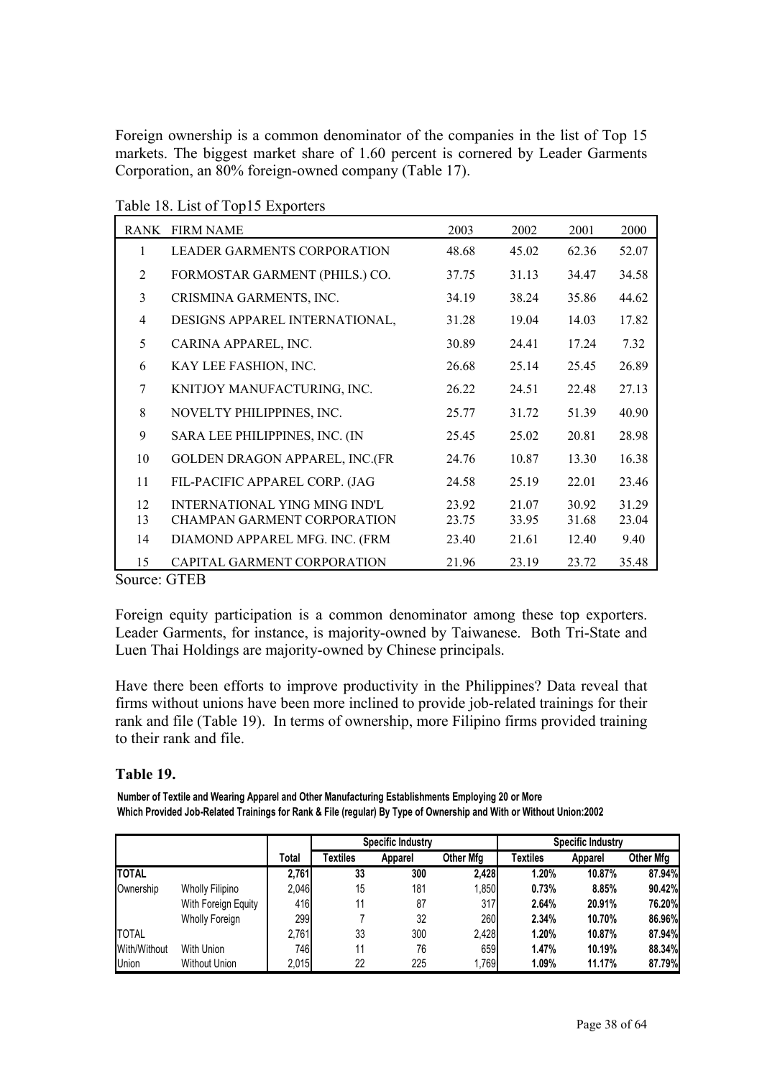Foreign ownership is a common denominator of the companies in the list of Top 15 markets. The biggest market share of 1.60 percent is cornered by Leader Garments Corporation, an 80% foreign-owned company (Table 17).

|                | RANK FIRM NAME                        | 2003  | 2002  | 2001  | 2000  |
|----------------|---------------------------------------|-------|-------|-------|-------|
| 1              | <b>LEADER GARMENTS CORPORATION</b>    | 48.68 | 45.02 | 62.36 | 52.07 |
| $\overline{2}$ | FORMOSTAR GARMENT (PHILS.) CO.        | 37.75 | 31.13 | 34.47 | 34.58 |
| 3              | CRISMINA GARMENTS, INC.               | 34.19 | 38.24 | 35.86 | 44.62 |
| 4              | DESIGNS APPAREL INTERNATIONAL,        | 31.28 | 19.04 | 14.03 | 17.82 |
| 5              | CARINA APPAREL, INC.                  | 30.89 | 24.41 | 17.24 | 7.32  |
| 6              | KAY LEE FASHION, INC.                 | 26.68 | 25.14 | 25.45 | 26.89 |
| 7              | KNITJOY MANUFACTURING, INC.           | 26.22 | 24.51 | 22.48 | 27.13 |
| 8              | NOVELTY PHILIPPINES, INC.             | 25.77 | 31.72 | 51.39 | 40.90 |
| 9              | SARA LEE PHILIPPINES, INC. (IN        | 25.45 | 25.02 | 20.81 | 28.98 |
| 10             | <b>GOLDEN DRAGON APPAREL, INC.(FR</b> | 24.76 | 10.87 | 13.30 | 16.38 |
| 11             | FIL-PACIFIC APPAREL CORP. (JAG        | 24.58 | 25.19 | 22.01 | 23.46 |
| 12             | INTERNATIONAL YING MING IND'L         | 23.92 | 21.07 | 30.92 | 31.29 |
| 13             | <b>CHAMPAN GARMENT CORPORATION</b>    | 23.75 | 33.95 | 31.68 | 23.04 |
| 14             | DIAMOND APPAREL MFG. INC. (FRM        | 23.40 | 21.61 | 12.40 | 9.40  |
| 15             | CAPITAL GARMENT CORPORATION           | 21.96 | 23.19 | 23.72 | 35.48 |

Table 18. List of Top15 Exporters

Source: GTEB

Foreign equity participation is a common denominator among these top exporters. Leader Garments, for instance, is majority-owned by Taiwanese. Both Tri-State and Luen Thai Holdings are majority-owned by Chinese principals.

Have there been efforts to improve productivity in the Philippines? Data reveal that firms without unions have been more inclined to provide job-related trainings for their rank and file (Table 19). In terms of ownership, more Filipino firms provided training to their rank and file.

#### **Table 19.**

**Number of Textile and Wearing Apparel and Other Manufacturing Establishments Employing 20 or More Which Provided Job-Related Trainings for Rank & File (regular) By Type of Ownership and With or Without Union:2002**

|              |                        |       |          | <b>Specific Industry</b> |           |          | <b>Specific Industry</b> |           |
|--------------|------------------------|-------|----------|--------------------------|-----------|----------|--------------------------|-----------|
|              |                        | Total | Textiles | Apparel                  | Other Mfg | Textiles | Apparel                  | Other Mfg |
| <b>TOTAL</b> |                        | 2,761 | 33       | 300                      | 2,428     | 1.20%    | 10.87%                   | 87.94%    |
| Ownership    | <b>Wholly Filipino</b> | 2,046 | 15       | 181                      | 1,850     | 0.73%    | 8.85%                    | 90.42%    |
|              | With Foreign Equity    | 416   | 11       | 87                       | 317       | 2.64%    | 20.91%                   | 76.20%    |
|              | Wholly Foreign         | 299   |          | 32                       | 260       | 2.34%    | 10.70%                   | 86.96%    |
| <b>TOTAL</b> |                        | 2.761 | 33       | 300                      | 2,428     | 1.20%    | 10.87%                   | 87.94%    |
| With/Without | With Union             | 746   | 11       | 76                       | 659       | 1.47%    | 10.19%                   | 88.34%    |
| <b>Union</b> | <b>Without Union</b>   | 2,015 | 22       | 225                      | 1,769     | 1.09%    | 11.17%                   | 87.79%    |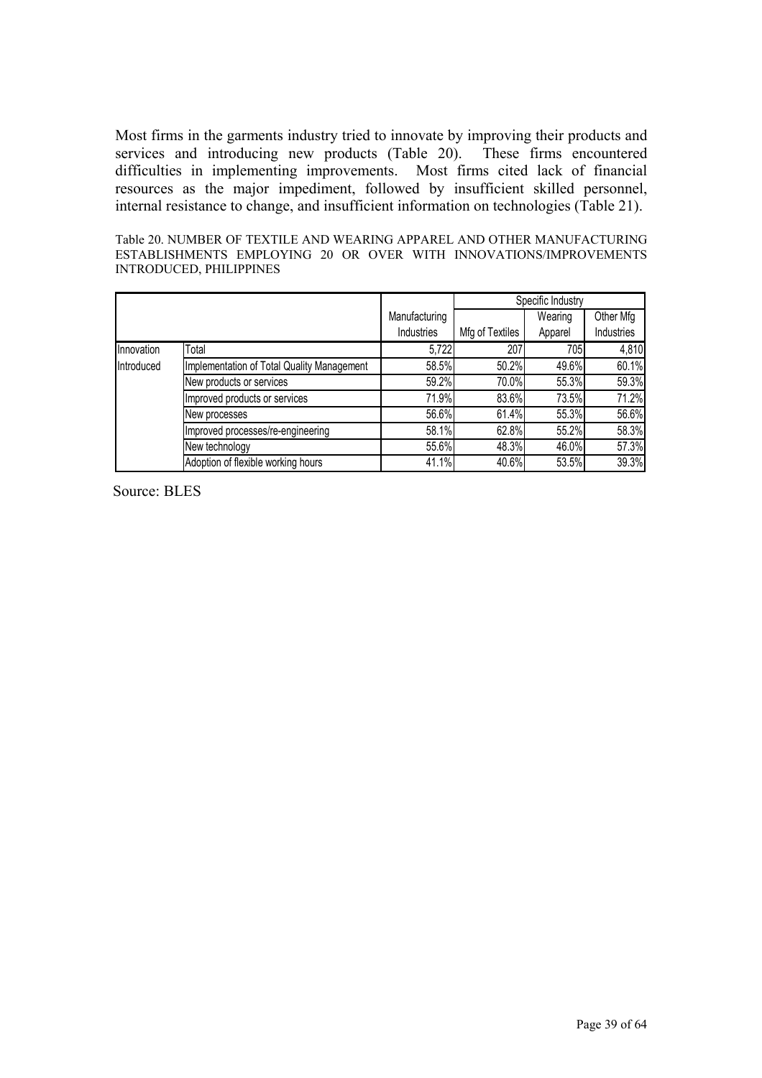Most firms in the garments industry tried to innovate by improving their products and services and introducing new products (Table 20). These firms encountered difficulties in implementing improvements. Most firms cited lack of financial resources as the major impediment, followed by insufficient skilled personnel, internal resistance to change, and insufficient information on technologies (Table 21).

Table 20. NUMBER OF TEXTILE AND WEARING APPAREL AND OTHER MANUFACTURING ESTABLISHMENTS EMPLOYING 20 OR OVER WITH INNOVATIONS/IMPROVEMENTS INTRODUCED, PHILIPPINES

|                   |                                            |               |                 | Specific Industry |            |
|-------------------|--------------------------------------------|---------------|-----------------|-------------------|------------|
|                   |                                            | Manufacturing |                 | Wearing           | Other Mfg  |
|                   |                                            | Industries    | Mfg of Textiles | Apparel           | Industries |
| <b>Innovation</b> | Total                                      | 5,722         | 207             | 705               | 4,810      |
| Introduced        | Implementation of Total Quality Management | 58.5%         | 50.2%           | 49.6%             | 60.1%      |
|                   | New products or services                   | 59.2%         | 70.0%           | 55.3%             | 59.3%      |
|                   | Improved products or services              | 71.9%         | 83.6%           | 73.5%             | 71.2%      |
|                   | New processes                              | 56.6%         | 61.4%           | 55.3%             | 56.6%      |
|                   | Improved processes/re-engineering          | 58.1%         | 62.8%           | 55.2%             | 58.3%      |
|                   | New technology                             | 55.6%         | 48.3%           | 46.0%             | 57.3%      |
|                   | Adoption of flexible working hours         | 41.1%         | 40.6%           | 53.5%             | 39.3%      |

Source: BLES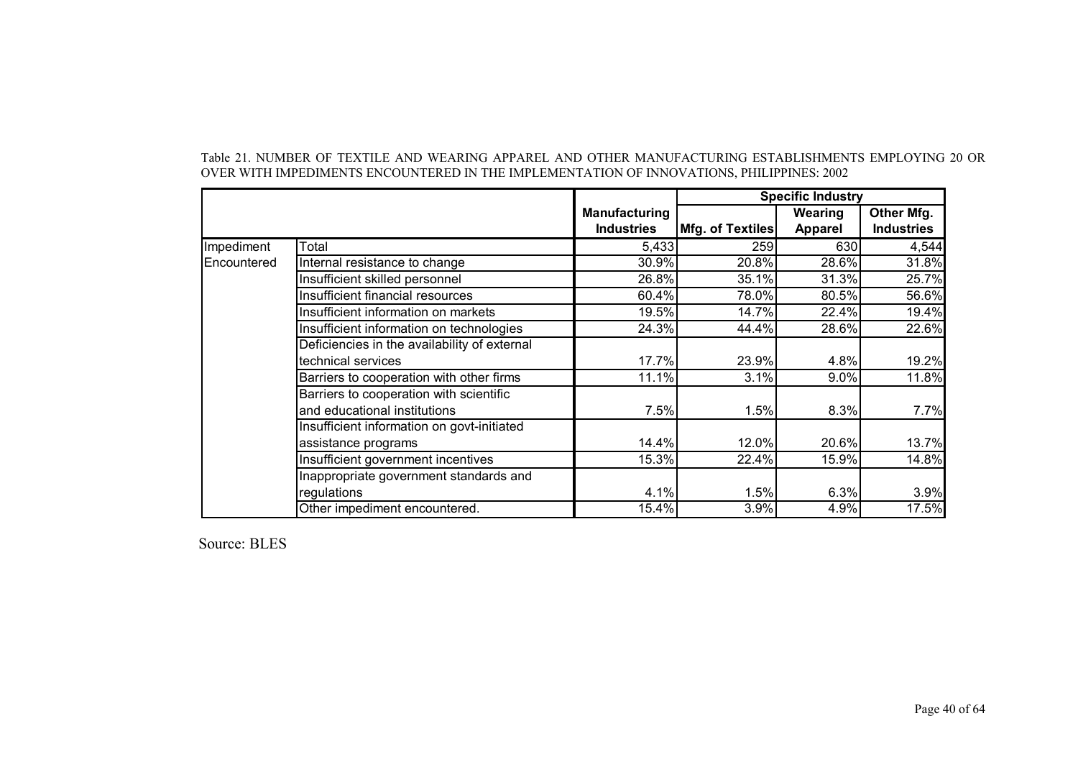|                   |                                              |                   |                  | <b>Specific Industry</b> |                   |
|-------------------|----------------------------------------------|-------------------|------------------|--------------------------|-------------------|
|                   |                                              | Manufacturing     |                  | Wearing                  | Other Mfg.        |
|                   |                                              | <b>Industries</b> | Mfg. of Textiles | <b>Apparel</b>           | <b>Industries</b> |
| <b>Impediment</b> | Total                                        | 5,433             | 259              | 630                      | 4,544             |
| Encountered       | Internal resistance to change                | 30.9%             | 20.8%            | 28.6%                    | 31.8%             |
|                   | Insufficient skilled personnel               | 26.8%             | 35.1%            | 31.3%                    | 25.7%             |
|                   | <b>Insufficient financial resources</b>      | 60.4%             | 78.0%            | 80.5%                    | 56.6%             |
|                   | Insufficient information on markets          | 19.5%             | 14.7%            | 22.4%                    | 19.4%             |
|                   | Insufficient information on technologies     | 24.3%             | 44.4%            | 28.6%                    | 22.6%             |
|                   | Deficiencies in the availability of external |                   |                  |                          |                   |
|                   | technical services                           | 17.7%             | 23.9%            | 4.8%                     | 19.2%             |
|                   | Barriers to cooperation with other firms     | 11.1%             | 3.1%             | 9.0%                     | 11.8%             |
|                   | Barriers to cooperation with scientific      |                   |                  |                          |                   |
|                   | and educational institutions                 | 7.5%              | 1.5%             | 8.3%                     | 7.7%              |
|                   | Insufficient information on govt-initiated   |                   |                  |                          |                   |
|                   | assistance programs                          | 14.4%             | 12.0%            | 20.6%                    | 13.7%             |
|                   | Insufficient government incentives           | 15.3%             | 22.4%            | 15.9%                    | 14.8%             |
|                   | Inappropriate government standards and       |                   |                  |                          |                   |
|                   | regulations                                  | 4.1%              | 1.5%             | 6.3%                     | 3.9%              |
|                   | Other impediment encountered.                | 15.4%             | 3.9%             | 4.9%                     | 17.5%             |

Table 21. NUMBER OF TEXTILE AND WEARING APPAREL AND OTHER MANUFACTURING ESTABLISHMENTS EMPLOYING 20 OR OVER WITH IMPEDIMENTS ENCOUNTERED IN THE IMPLEMENTATION OF INNOVATIONS, PHILIPPINES: 2002

Source: BLES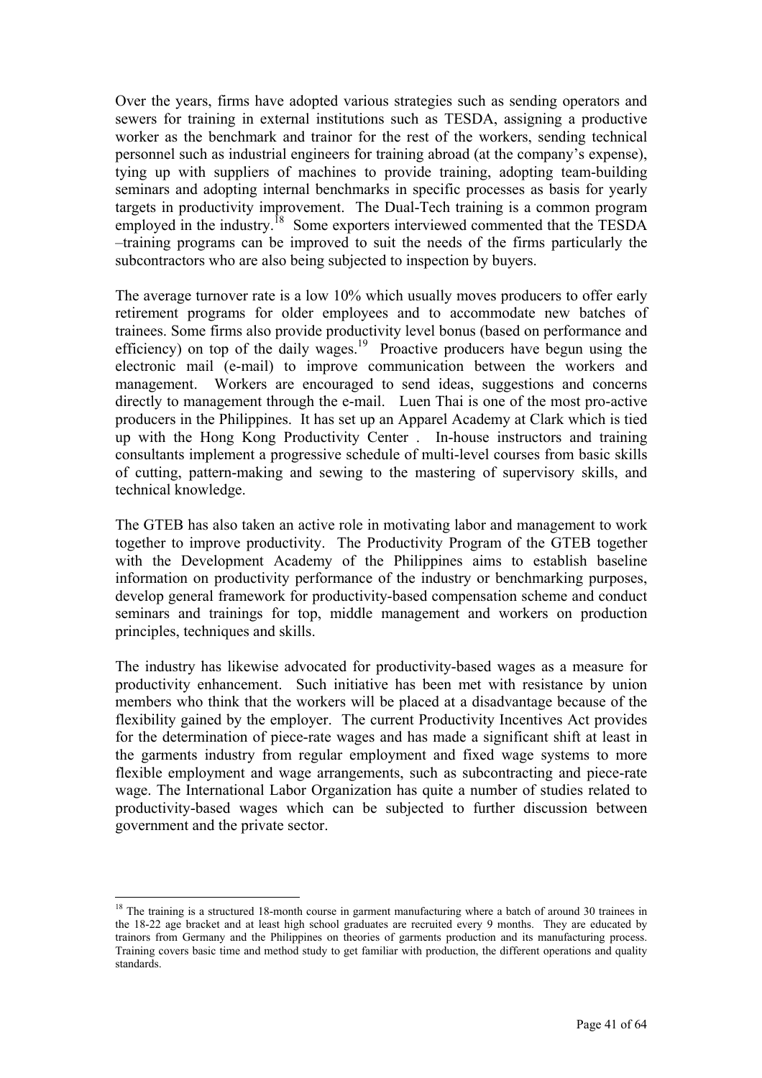Over the years, firms have adopted various strategies such as sending operators and sewers for training in external institutions such as TESDA, assigning a productive worker as the benchmark and trainor for the rest of the workers, sending technical personnel such as industrial engineers for training abroad (at the company's expense), tying up with suppliers of machines to provide training, adopting team-building seminars and adopting internal benchmarks in specific processes as basis for yearly targets in productivity improvement. The Dual-Tech training is a common program employed in the industry.<sup>18</sup> Some exporters interviewed commented that the TESDA –training programs can be improved to suit the needs of the firms particularly the subcontractors who are also being subjected to inspection by buyers.

The average turnover rate is a low 10% which usually moves producers to offer early retirement programs for older employees and to accommodate new batches of trainees. Some firms also provide productivity level bonus (based on performance and efficiency) on top of the daily wages.<sup>19</sup> Proactive producers have begun using the electronic mail (e-mail) to improve communication between the workers and management. Workers are encouraged to send ideas, suggestions and concerns directly to management through the e-mail. Luen Thai is one of the most pro-active producers in the Philippines. It has set up an Apparel Academy at Clark which is tied up with the Hong Kong Productivity Center . In-house instructors and training consultants implement a progressive schedule of multi-level courses from basic skills of cutting, pattern-making and sewing to the mastering of supervisory skills, and technical knowledge.

The GTEB has also taken an active role in motivating labor and management to work together to improve productivity. The Productivity Program of the GTEB together with the Development Academy of the Philippines aims to establish baseline information on productivity performance of the industry or benchmarking purposes, develop general framework for productivity-based compensation scheme and conduct seminars and trainings for top, middle management and workers on production principles, techniques and skills.

The industry has likewise advocated for productivity-based wages as a measure for productivity enhancement. Such initiative has been met with resistance by union members who think that the workers will be placed at a disadvantage because of the flexibility gained by the employer. The current Productivity Incentives Act provides for the determination of piece-rate wages and has made a significant shift at least in the garments industry from regular employment and fixed wage systems to more flexible employment and wage arrangements, such as subcontracting and piece-rate wage. The International Labor Organization has quite a number of studies related to productivity-based wages which can be subjected to further discussion between government and the private sector.

 $\overline{a}$ 

<sup>&</sup>lt;sup>18</sup> The training is a structured 18-month course in garment manufacturing where a batch of around 30 trainees in the 18-22 age bracket and at least high school graduates are recruited every 9 months. They are educated by trainors from Germany and the Philippines on theories of garments production and its manufacturing process. Training covers basic time and method study to get familiar with production, the different operations and quality standards.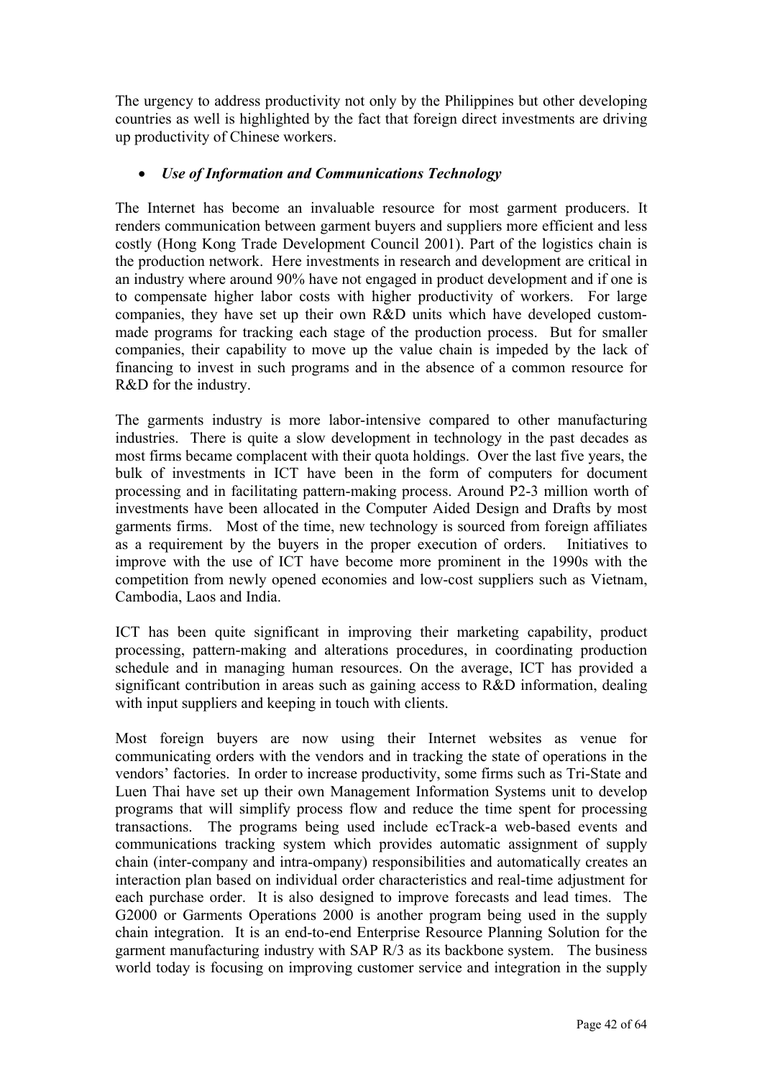The urgency to address productivity not only by the Philippines but other developing countries as well is highlighted by the fact that foreign direct investments are driving up productivity of Chinese workers.

## • *Use of Information and Communications Technology*

The Internet has become an invaluable resource for most garment producers. It renders communication between garment buyers and suppliers more efficient and less costly (Hong Kong Trade Development Council 2001). Part of the logistics chain is the production network. Here investments in research and development are critical in an industry where around 90% have not engaged in product development and if one is to compensate higher labor costs with higher productivity of workers. For large companies, they have set up their own R&D units which have developed custommade programs for tracking each stage of the production process. But for smaller companies, their capability to move up the value chain is impeded by the lack of financing to invest in such programs and in the absence of a common resource for R&D for the industry.

The garments industry is more labor-intensive compared to other manufacturing industries. There is quite a slow development in technology in the past decades as most firms became complacent with their quota holdings. Over the last five years, the bulk of investments in ICT have been in the form of computers for document processing and in facilitating pattern-making process. Around P2-3 million worth of investments have been allocated in the Computer Aided Design and Drafts by most garments firms. Most of the time, new technology is sourced from foreign affiliates as a requirement by the buyers in the proper execution of orders. Initiatives to improve with the use of ICT have become more prominent in the 1990s with the competition from newly opened economies and low-cost suppliers such as Vietnam, Cambodia, Laos and India.

ICT has been quite significant in improving their marketing capability, product processing, pattern-making and alterations procedures, in coordinating production schedule and in managing human resources. On the average, ICT has provided a significant contribution in areas such as gaining access to R&D information, dealing with input suppliers and keeping in touch with clients.

Most foreign buyers are now using their Internet websites as venue for communicating orders with the vendors and in tracking the state of operations in the vendors' factories. In order to increase productivity, some firms such as Tri-State and Luen Thai have set up their own Management Information Systems unit to develop programs that will simplify process flow and reduce the time spent for processing transactions. The programs being used include ecTrack-a web-based events and communications tracking system which provides automatic assignment of supply chain (inter-company and intra-ompany) responsibilities and automatically creates an interaction plan based on individual order characteristics and real-time adjustment for each purchase order. It is also designed to improve forecasts and lead times. The G2000 or Garments Operations 2000 is another program being used in the supply chain integration. It is an end-to-end Enterprise Resource Planning Solution for the garment manufacturing industry with SAP R/3 as its backbone system. The business world today is focusing on improving customer service and integration in the supply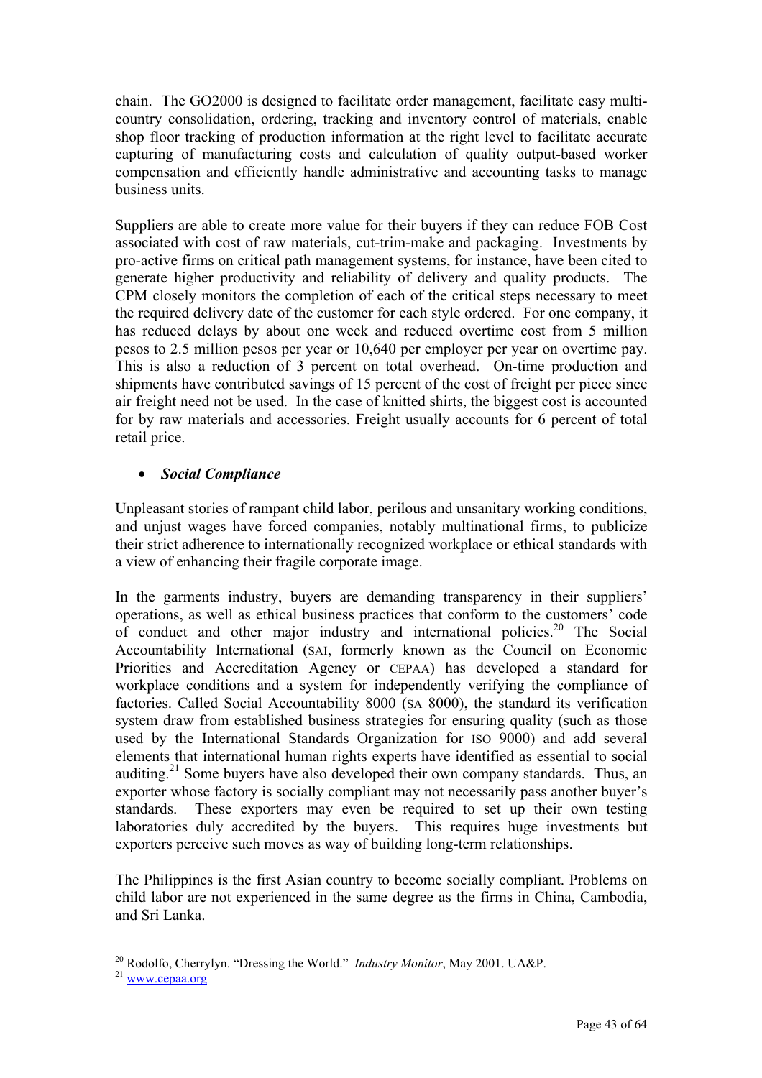chain. The GO2000 is designed to facilitate order management, facilitate easy multicountry consolidation, ordering, tracking and inventory control of materials, enable shop floor tracking of production information at the right level to facilitate accurate capturing of manufacturing costs and calculation of quality output-based worker compensation and efficiently handle administrative and accounting tasks to manage business units.

Suppliers are able to create more value for their buyers if they can reduce FOB Cost associated with cost of raw materials, cut-trim-make and packaging. Investments by pro-active firms on critical path management systems, for instance, have been cited to generate higher productivity and reliability of delivery and quality products. The CPM closely monitors the completion of each of the critical steps necessary to meet the required delivery date of the customer for each style ordered. For one company, it has reduced delays by about one week and reduced overtime cost from 5 million pesos to 2.5 million pesos per year or 10,640 per employer per year on overtime pay. This is also a reduction of 3 percent on total overhead. On-time production and shipments have contributed savings of 15 percent of the cost of freight per piece since air freight need not be used. In the case of knitted shirts, the biggest cost is accounted for by raw materials and accessories. Freight usually accounts for 6 percent of total retail price.

## • *Social Compliance*

Unpleasant stories of rampant child labor, perilous and unsanitary working conditions, and unjust wages have forced companies, notably multinational firms, to publicize their strict adherence to internationally recognized workplace or ethical standards with a view of enhancing their fragile corporate image.

In the garments industry, buyers are demanding transparency in their suppliers' operations, as well as ethical business practices that conform to the customers' code of conduct and other major industry and international policies.<sup>20</sup> The Social Accountability International (SAI, formerly known as the Council on Economic Priorities and Accreditation Agency or CEPAA) has developed a standard for workplace conditions and a system for independently verifying the compliance of factories. Called Social Accountability 8000 (SA 8000), the standard its verification system draw from established business strategies for ensuring quality (such as those used by the International Standards Organization for ISO 9000) and add several elements that international human rights experts have identified as essential to social auditing.<sup>21</sup> Some buyers have also developed their own company standards. Thus, an exporter whose factory is socially compliant may not necessarily pass another buyer's standards. These exporters may even be required to set up their own testing laboratories duly accredited by the buyers. This requires huge investments but exporters perceive such moves as way of building long-term relationships.

The Philippines is the first Asian country to become socially compliant. Problems on child labor are not experienced in the same degree as the firms in China, Cambodia, and Sri Lanka.

 $\overline{a}$ 

<sup>&</sup>lt;sup>20</sup> Rodolfo, Cherrylyn. "Dressing the World." *Industry Monitor*, May 2001. UA&P.<br><sup>21</sup> www.cepaa.org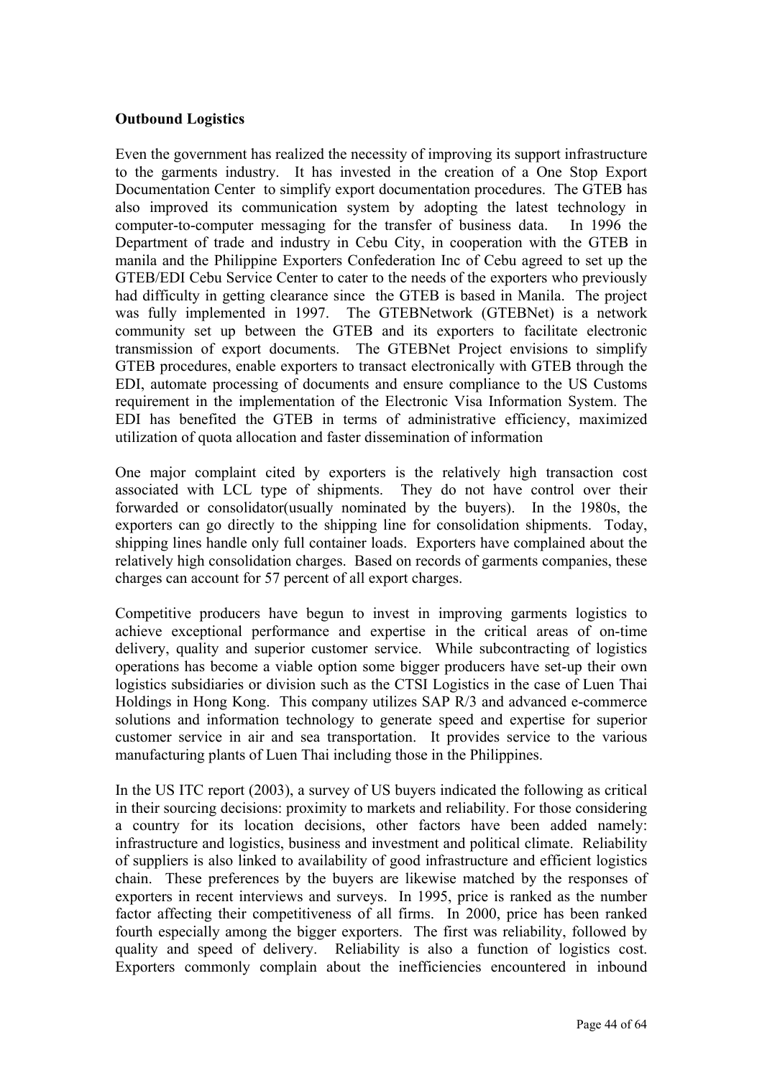#### **Outbound Logistics**

Even the government has realized the necessity of improving its support infrastructure to the garments industry. It has invested in the creation of a One Stop Export Documentation Center to simplify export documentation procedures. The GTEB has also improved its communication system by adopting the latest technology in computer-to-computer messaging for the transfer of business data. In 1996 the Department of trade and industry in Cebu City, in cooperation with the GTEB in manila and the Philippine Exporters Confederation Inc of Cebu agreed to set up the GTEB/EDI Cebu Service Center to cater to the needs of the exporters who previously had difficulty in getting clearance since the GTEB is based in Manila. The project was fully implemented in 1997. The GTEBNetwork (GTEBNet) is a network community set up between the GTEB and its exporters to facilitate electronic transmission of export documents. The GTEBNet Project envisions to simplify GTEB procedures, enable exporters to transact electronically with GTEB through the EDI, automate processing of documents and ensure compliance to the US Customs requirement in the implementation of the Electronic Visa Information System. The EDI has benefited the GTEB in terms of administrative efficiency, maximized utilization of quota allocation and faster dissemination of information

One major complaint cited by exporters is the relatively high transaction cost associated with LCL type of shipments. They do not have control over their forwarded or consolidator(usually nominated by the buyers). In the 1980s, the exporters can go directly to the shipping line for consolidation shipments. Today, shipping lines handle only full container loads. Exporters have complained about the relatively high consolidation charges. Based on records of garments companies, these charges can account for 57 percent of all export charges.

Competitive producers have begun to invest in improving garments logistics to achieve exceptional performance and expertise in the critical areas of on-time delivery, quality and superior customer service. While subcontracting of logistics operations has become a viable option some bigger producers have set-up their own logistics subsidiaries or division such as the CTSI Logistics in the case of Luen Thai Holdings in Hong Kong. This company utilizes SAP R/3 and advanced e-commerce solutions and information technology to generate speed and expertise for superior customer service in air and sea transportation. It provides service to the various manufacturing plants of Luen Thai including those in the Philippines.

In the US ITC report (2003), a survey of US buyers indicated the following as critical in their sourcing decisions: proximity to markets and reliability. For those considering a country for its location decisions, other factors have been added namely: infrastructure and logistics, business and investment and political climate. Reliability of suppliers is also linked to availability of good infrastructure and efficient logistics chain. These preferences by the buyers are likewise matched by the responses of exporters in recent interviews and surveys. In 1995, price is ranked as the number factor affecting their competitiveness of all firms. In 2000, price has been ranked fourth especially among the bigger exporters. The first was reliability, followed by quality and speed of delivery. Reliability is also a function of logistics cost. Exporters commonly complain about the inefficiencies encountered in inbound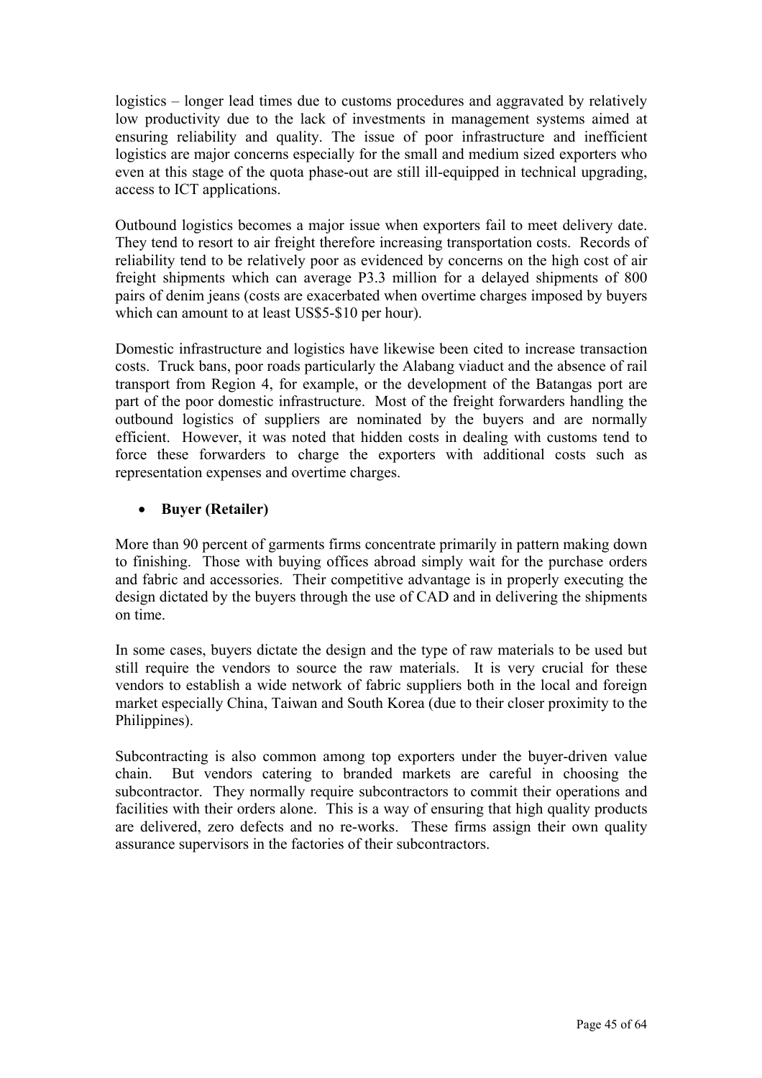logistics – longer lead times due to customs procedures and aggravated by relatively low productivity due to the lack of investments in management systems aimed at ensuring reliability and quality. The issue of poor infrastructure and inefficient logistics are major concerns especially for the small and medium sized exporters who even at this stage of the quota phase-out are still ill-equipped in technical upgrading, access to ICT applications.

Outbound logistics becomes a major issue when exporters fail to meet delivery date. They tend to resort to air freight therefore increasing transportation costs. Records of reliability tend to be relatively poor as evidenced by concerns on the high cost of air freight shipments which can average P3.3 million for a delayed shipments of 800 pairs of denim jeans (costs are exacerbated when overtime charges imposed by buyers which can amount to at least US\$5-\$10 per hour).

Domestic infrastructure and logistics have likewise been cited to increase transaction costs. Truck bans, poor roads particularly the Alabang viaduct and the absence of rail transport from Region 4, for example, or the development of the Batangas port are part of the poor domestic infrastructure. Most of the freight forwarders handling the outbound logistics of suppliers are nominated by the buyers and are normally efficient. However, it was noted that hidden costs in dealing with customs tend to force these forwarders to charge the exporters with additional costs such as representation expenses and overtime charges.

## • **Buyer (Retailer)**

More than 90 percent of garments firms concentrate primarily in pattern making down to finishing. Those with buying offices abroad simply wait for the purchase orders and fabric and accessories. Their competitive advantage is in properly executing the design dictated by the buyers through the use of CAD and in delivering the shipments on time.

In some cases, buyers dictate the design and the type of raw materials to be used but still require the vendors to source the raw materials. It is very crucial for these vendors to establish a wide network of fabric suppliers both in the local and foreign market especially China, Taiwan and South Korea (due to their closer proximity to the Philippines).

Subcontracting is also common among top exporters under the buyer-driven value chain. But vendors catering to branded markets are careful in choosing the subcontractor. They normally require subcontractors to commit their operations and facilities with their orders alone. This is a way of ensuring that high quality products are delivered, zero defects and no re-works. These firms assign their own quality assurance supervisors in the factories of their subcontractors.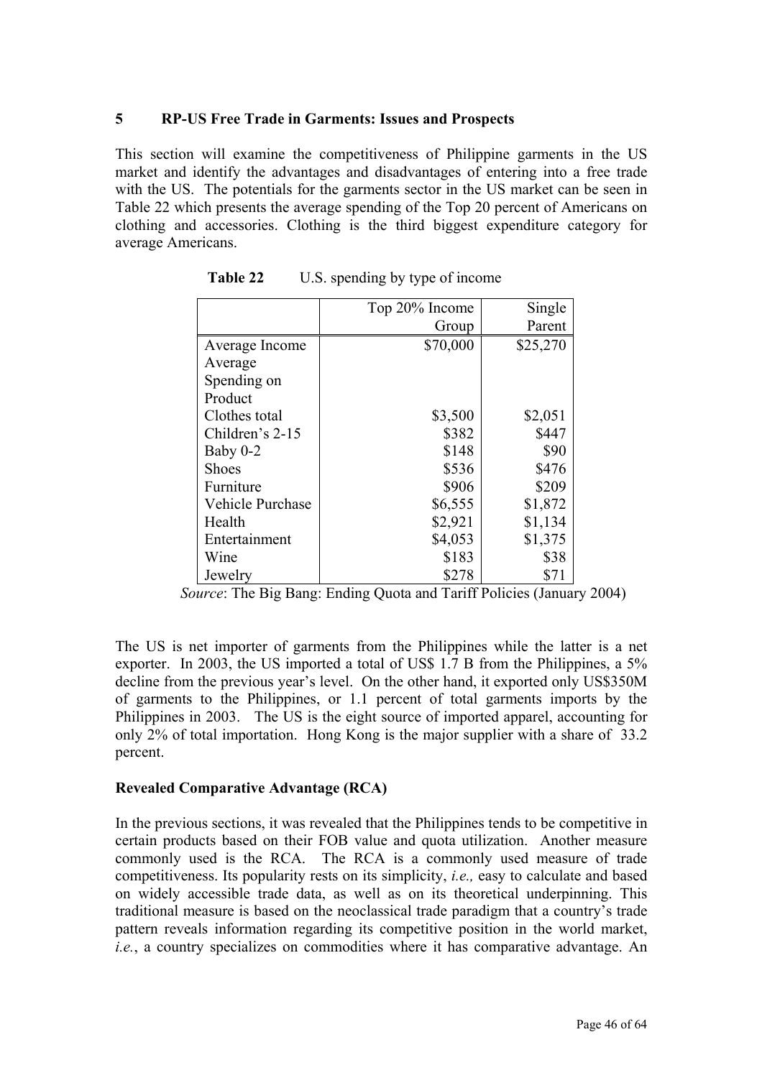## **5 RP-US Free Trade in Garments: Issues and Prospects**

This section will examine the competitiveness of Philippine garments in the US market and identify the advantages and disadvantages of entering into a free trade with the US. The potentials for the garments sector in the US market can be seen in Table 22 which presents the average spending of the Top 20 percent of Americans on clothing and accessories. Clothing is the third biggest expenditure category for average Americans.

|                  | Top 20% Income | Single   |
|------------------|----------------|----------|
|                  | Group          | Parent   |
| Average Income   | \$70,000       | \$25,270 |
| Average          |                |          |
| Spending on      |                |          |
| Product          |                |          |
| Clothes total    | \$3,500        | \$2,051  |
| Children's 2-15  | \$382          | \$447    |
| Baby 0-2         | \$148          | \$90     |
| <b>Shoes</b>     | \$536          | \$476    |
| Furniture        | \$906          | \$209    |
| Vehicle Purchase | \$6,555        | \$1,872  |
| Health           | \$2,921        | \$1,134  |
| Entertainment    | \$4,053        | \$1,375  |
| Wine             | \$183          | \$38     |
| Jewelry          | \$278          | \$71     |

**Table 22** U.S. spending by type of income

 *Source*: The Big Bang: Ending Quota and Tariff Policies (January 2004)

The US is net importer of garments from the Philippines while the latter is a net exporter. In 2003, the US imported a total of US\$ 1.7 B from the Philippines, a 5% decline from the previous year's level. On the other hand, it exported only US\$350M of garments to the Philippines, or 1.1 percent of total garments imports by the Philippines in 2003. The US is the eight source of imported apparel, accounting for only 2% of total importation. Hong Kong is the major supplier with a share of 33.2 percent.

#### **Revealed Comparative Advantage (RCA)**

In the previous sections, it was revealed that the Philippines tends to be competitive in certain products based on their FOB value and quota utilization. Another measure commonly used is the RCA. The RCA is a commonly used measure of trade competitiveness. Its popularity rests on its simplicity, *i.e.,* easy to calculate and based on widely accessible trade data, as well as on its theoretical underpinning. This traditional measure is based on the neoclassical trade paradigm that a country's trade pattern reveals information regarding its competitive position in the world market, *i.e.*, a country specializes on commodities where it has comparative advantage. An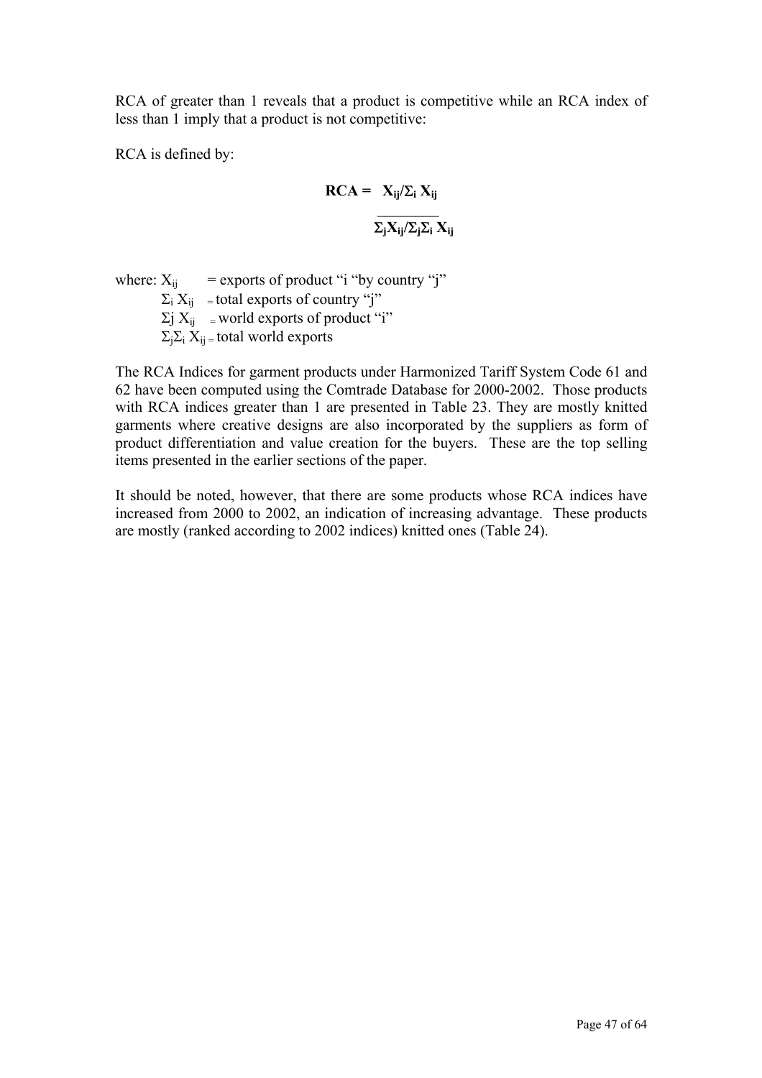RCA of greater than 1 reveals that a product is competitive while an RCA index of less than 1 imply that a product is not competitive:

RCA is defined by:

$$
RCA = X_{ij}/\Sigma_i X_{ij}
$$

$$
\overline{\Sigma_j X_{ij}/\Sigma_j \Sigma_i X_{ij}}
$$

where:  $X_{ij}$  = exports of product "i "by country "j"  $\Sigma_i$   $X_{ii}$  = total exports of country "j"  $\Sigma$ j  $X_{ii}$  = world exports of product "i"  $\Sigma_i \Sigma_i$  X<sub>ij =</sub> total world exports

The RCA Indices for garment products under Harmonized Tariff System Code 61 and 62 have been computed using the Comtrade Database for 2000-2002. Those products with RCA indices greater than 1 are presented in Table 23. They are mostly knitted garments where creative designs are also incorporated by the suppliers as form of product differentiation and value creation for the buyers. These are the top selling items presented in the earlier sections of the paper.

It should be noted, however, that there are some products whose RCA indices have increased from 2000 to 2002, an indication of increasing advantage. These products are mostly (ranked according to 2002 indices) knitted ones (Table 24).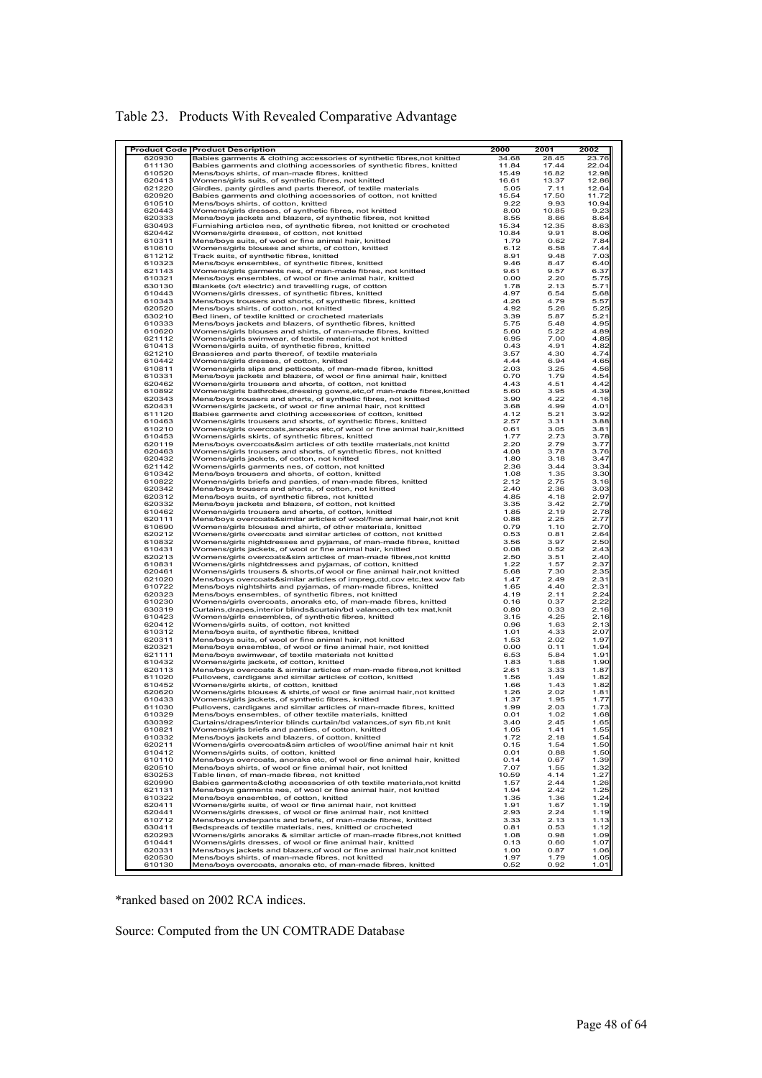| <b>Product Code</b> | <b>Product Description</b>                                                                                                                      | 2000           | 2001<br>28.45 | 2002           |
|---------------------|-------------------------------------------------------------------------------------------------------------------------------------------------|----------------|---------------|----------------|
| 620930<br>611130    | Babies garments & clothing accessories of synthetic fibres,not knitted<br>Babies garments and clothing accessories of synthetic fibres, knitted | 34.68<br>11.84 | 17.44         | 23.76<br>22.04 |
| 610520              | Mens/boys shirts, of man-made fibres, knitted                                                                                                   | 15.49          | 16.82         | 12.98          |
| 620413              | Womens/girls suits, of synthetic fibres, not knitted                                                                                            | 16.61          | 13.37         | 12.86          |
| 621220              | Girdles, panty girdles and parts thereof, of textile materials                                                                                  | 5.05           | 7.11          | 12.64          |
| 620920              | Babies garments and clothing accessories of cotton, not knitted                                                                                 | 15.54          | 17.50         | 11.72          |
| 610510              | Mens/boys shirts, of cotton, knitted                                                                                                            | 9.22           | 9.93          | 10.94          |
| 620443              | Womens/girls dresses, of synthetic fibres, not knitted                                                                                          | 8.00           | 10.85         | 9.23           |
| 620333              | Mens/boys jackets and blazers, of synthetic fibres, not knitted                                                                                 | 8.55           | 8.66          | 8.64           |
| 630493<br>620442    | Furnishing articles nes, of synthetic fibres, not knitted or crocheted                                                                          | 15.34<br>10.84 | 12.35<br>9.91 | 8.63<br>8.06   |
| 610311              | Womens/girls dresses, of cotton, not knitted<br>Mens/boys suits, of wool or fine animal hair, knitted                                           | 1.79           | 0.62          | 7.84           |
| 610610              | Womens/girls blouses and shirts, of cotton, knitted                                                                                             | 6.12           | 6.58          | 7.44           |
| 611212              | Track suits, of synthetic fibres, knitted                                                                                                       | 8.91           | 9.48          | 7.03           |
| 610323              | Mens/boys ensembles, of synthetic fibres, knitted                                                                                               | 9.46           | 8.47          | 6.40           |
| 621143              | Womens/girls garments nes, of man-made fibres, not knitted                                                                                      | 9.61           | 9.57          | 6.37           |
| 610321              | Mens/boys ensembles, of wool or fine animal hair, knitted                                                                                       | 0.00           | 2.20          | 5.75           |
| 630130              | Blankets (o/t electric) and travelling rugs, of cotton                                                                                          | 1.78           | 2.13          | 5.71           |
| 610443              | Womens/girls dresses, of synthetic fibres, knitted                                                                                              | 4.97           | 6.54          | 5.68           |
| 610343<br>620520    | Mens/boys trousers and shorts, of synthetic fibres, knitted                                                                                     | 4.26<br>4.92   | 4.79<br>5.26  | 5.57<br>5.25   |
| 630210              | Mens/boys shirts, of cotton, not knitted<br>Bed linen, of textile knitted or crocheted materials                                                | 3.39           | 5.87          | 5.21           |
| 610333              | Mens/boys jackets and blazers, of synthetic fibres, knitted                                                                                     | 5.75           | 5.48          | 4.95           |
| 610620              | Womens/girls blouses and shirts, of man-made fibres, knitted                                                                                    | 5.60           | 5.22          | 4.89           |
| 621112              | Womens/girls swimwear, of textile materials, not knitted                                                                                        | 6.95           | 7.00          | 4.85           |
| 610413              | Womens/girls suits, of synthetic fibres, knitted                                                                                                | 0.43           | 4.91          | 4.82           |
| 621210              | Brassieres and parts thereof, of textile materials                                                                                              | 3.57           | 4.30          | 4.74           |
| 610442              | Womens/girls dresses, of cotton, knitted                                                                                                        | 4.44           | 6.94          | 4.65           |
| 610811              | Womens/girls slips and petticoats, of man-made fibres, knitted                                                                                  | 2.03           | 3.25          | 4.56           |
| 610331              | Mens/boys jackets and blazers, of wool or fine animal hair, knitted                                                                             | 0.70           | 1.79          | 4.54           |
| 620462<br>610892    | Womens/girls trousers and shorts, of cotton, not knitted                                                                                        | 4.43           | 4.51          | 4.42           |
| 620343              | Womens/girls bathrobes, dressing gowns, etc, of man-made fibres, knitted<br>Mens/boys trousers and shorts, of synthetic fibres, not knitted     | 5.60<br>3.90   | 3.95<br>4.22  | 4.39<br>4.16   |
| 620431              | Womens/girls jackets, of wool or fine animal hair, not knitted                                                                                  | 3.68           | 4.99          | 4.01           |
| 611120              | Babies garments and clothing accessories of cotton, knitted                                                                                     | 4.12           | 5.21          | 3.92           |
| 610463              | Womens/girls trousers and shorts, of synthetic fibres, knitted                                                                                  | 2.57           | 3.31          | 3.88           |
| 610210              | Womens/girls overcoats, anoraks etc, of wool or fine animal hair, knitted                                                                       | 0.61           | 3.05          | 3.81           |
| 610453              | Womens/girls skirts, of synthetic fibres, knitted                                                                                               | 1.77           | 2.73          | 3.78           |
| 620119              | Mens/boys overcoats∼ articles of oth textile materials, not knittd                                                                              | 2.20           | 2.79          | 3.77           |
| 620463              | Womens/girls trousers and shorts, of synthetic fibres, not knitted                                                                              | 4.08           | 3.78          | 3.76           |
| 620432              | Womens/girls jackets, of cotton, not knitted                                                                                                    | 1.80           | 3.18          | 3.47           |
| 621142              | Womens/girls garments nes, of cotton, not knitted                                                                                               | 2.36           | 3.44          | 3.34           |
| 610342<br>610822    | Mens/boys trousers and shorts, of cotton, knitted<br>Womens/girls briefs and panties, of man-made fibres, knitted                               | 1.08<br>2.12   | 1.35<br>2.75  | 3.30<br>3.16   |
| 620342              | Mens/boys trousers and shorts, of cotton, not knitted                                                                                           | 2.40           | 2.36          | 3.03           |
| 620312              | Mens/boys suits, of synthetic fibres, not knitted                                                                                               | 4.85           | 4.18          | 2.97           |
| 620332              | Mens/boys jackets and blazers, of cotton, not knitted                                                                                           | 3.35           | 3.42          | 2.79           |
| 610462              | Womens/girls trousers and shorts, of cotton, knitted                                                                                            | 1.85           | 2.19          | 2.78           |
| 620111              | Mens/boys overcoats&similar articles of wool/fine animal hair,not knit                                                                          | 0.88           | 2.25          | 2.77           |
| 610690              | Womens/girls blouses and shirts, of other materials, knitted                                                                                    | 0.79           | 1.10          | 2.70           |
| 620212              | Womens/girls overcoats and similar articles of cotton, not knitted                                                                              | 0.53           | 0.81          | 2.64           |
| 610832              | Womens/girls nightdresses and pyjamas, of man-made fibres, knitted                                                                              | 3.56           | 3.97          | 2.50           |
| 610431<br>620213    | Womens/girls jackets, of wool or fine animal hair, knitted<br>Womens/girls overcoats∼ articles of man-made fibres,not knittd                    | 0.08<br>2.50   | 0.52<br>3.51  | 2.43<br>2.40   |
| 610831              | Womens/girls nightdresses and pyjamas, of cotton, knitted                                                                                       | 1.22           | 1.57          | 2.37           |
| 620461              | Womens/girls trousers & shorts,of wool or fine animal hair,not knitted                                                                          | 5.68           | 7.30          | 2.35           |
| 621020              | Mens/boys overcoats&similar articles of impreg,ctd,cov etc,tex wov fab                                                                          | 1.47           | 2.49          | 2.31           |
| 610722              | Mens/boys nightshirts and pyjamas, of man-made fibres, knitted                                                                                  | 1.65           | 4.40          | 2.31           |
| 620323              | Mens/boys ensembles, of synthetic fibres, not knitted                                                                                           | 4.19           | 2.11          | 2.24           |
| 610230              | Womens/girls overcoats, anoraks etc, of man-made fibres, knitted                                                                                | 0.16           | 0.37          | 2.22           |
| 630319              | Curtains, drapes, interior blinds&curtain/bd valances, oth tex mat, knit                                                                        | 0.80           | 0.33          | 2.16           |
| 610423              | Womens/girls ensembles, of synthetic fibres, knitted                                                                                            | 3.15           | 4.25<br>1.63  | 2.16           |
| 620412<br>610312    | Womens/girls suits, of cotton, not knitted<br>Mens/boys suits, of synthetic fibres, knitted                                                     | 0.96<br>1.01   | 4.33          | 2.13<br>2.07   |
| 620311              | Mens/boys suits, of wool or fine animal hair, not knitted                                                                                       | 1.53           | 2.02          | 1.97           |
| 620321              | Mens/boys ensembles, of wool or fine animal hair, not knitted                                                                                   | 0.00           | 0.11          | 1.94           |
| 621111              | Mens/boys swimwear, of textile materials not knitted                                                                                            | 6.53           | 5.84          | 1.91           |
| 610432              | Womens/girls jackets, of cotton, knitted                                                                                                        | 1.83           | 1.68          | 1.90           |
| 620113              | Mens/boys overcoats & similar articles of man-made fibres, not knitted                                                                          | 2.61           | 3.33          | 1.87           |
| 611020              | Pullovers, cardigans and similar articles of cotton, knitted                                                                                    | 1.56           | 1.49          | 1.82           |
| 610452              | Womens/girls skirts, of cotton, knitted                                                                                                         | 1.66           | 1.43          | 1.82           |
| 620620<br>610433    | Womens/girls blouses & shirts, of wool or fine animal hair, not knitted<br>Womens/girls jackets, of synthetic fibres, knitted                   | 1.26<br>1.37   | 2.02<br>1.95  | 1.81<br>1.77   |
| 611030              | Pullovers, cardigans and similar articles of man-made fibres, knitted                                                                           | 1.99           | 2.03          | 1.73           |
| 610329              | Mens/boys ensembles, of other textile materials, knitted                                                                                        | 0.01           | 1.02          | 1.68           |
| 630392              | Curtains/drapes/interior blinds curtain/bd valances, of syn fib, nt knit                                                                        | 3.40           | 2.45          | 1.65           |
| 610821              | Womens/girls briefs and panties, of cotton, knitted                                                                                             | 1.05           | 1.41          | 1.55           |
| 610332              | Mens/boys jackets and blazers, of cotton, knitted                                                                                               | 1.72           | 2.18          | 1.54           |
| 620211              | Womens/girls overcoats∼ articles of wool/fine animal hair nt knit                                                                               | 0.15           | 1.54          | 1.50           |
| 610412              | Womens/girls suits, of cotton, knitted                                                                                                          | 0.01           | 0.88          | 1.50           |
| 610110              | Mens/boys overcoats, anoraks etc, of wool or fine animal hair, knitted                                                                          | 0.14           | 0.67          | 1.39           |
| 620510<br>630253    | Mens/boys shirts, of wool or fine animal hair, not knitted<br>Table linen, of man-made fibres, not knitted                                      | 7.07<br>10.59  | 1.55<br>4.14  | 1.32<br>1.27   |
| 620990              | Babies garments&clothg accessories of oth textile materials, not knittd                                                                         | 1.57           | 2.44          | 1.26           |
| 621131              | Mens/boys garments nes, of wool or fine animal hair, not knitted                                                                                | 1.94           | 2.42          | 1.25           |
| 610322              | Mens/boys ensembles, of cotton, knitted                                                                                                         | 1.35           | 1.36          | 1.24           |
| 620411              | Womens/girls suits, of wool or fine animal hair, not knitted                                                                                    | 1.91           | 1.67          | 1.19           |
| 620441              | Womens/girls dresses, of wool or fine animal hair, not knitted                                                                                  | 2.93           | 2.24          | 1.19           |
| 610712              | Mens/boys underpants and briefs, of man-made fibres, knitted                                                                                    | 3.33           | 2.13          | 1.13           |
| 630411              | Bedspreads of textile materials, nes, knitted or crocheted                                                                                      | 0.81           | 0.53          | 1.12           |
| 620293              | Womens/girls anoraks & similar article of man-made fibres,not knitted                                                                           | 1.08           | 0.98          | 1.09           |
| 610441<br>620331    | Womens/girls dresses, of wool or fine animal hair, knitted<br>Mens/boys jackets and blazers, of wool or fine animal hair, not knitted           | 0.13<br>1.00   | 0.60<br>0.87  | 1.07<br>1.06   |
| 620530              | Mens/boys shirts, of man-made fibres, not knitted                                                                                               | 1.97           | 1.79          | 1.05           |
| 610130              | Mens/boys overcoats, anoraks etc, of man-made fibres, knitted                                                                                   | 0.52           | 0.92          | 1.01           |
|                     |                                                                                                                                                 |                |               |                |

Table 23. Products With Revealed Comparative Advantage

\*ranked based on 2002 RCA indices.

Source: Computed from the UN COMTRADE Database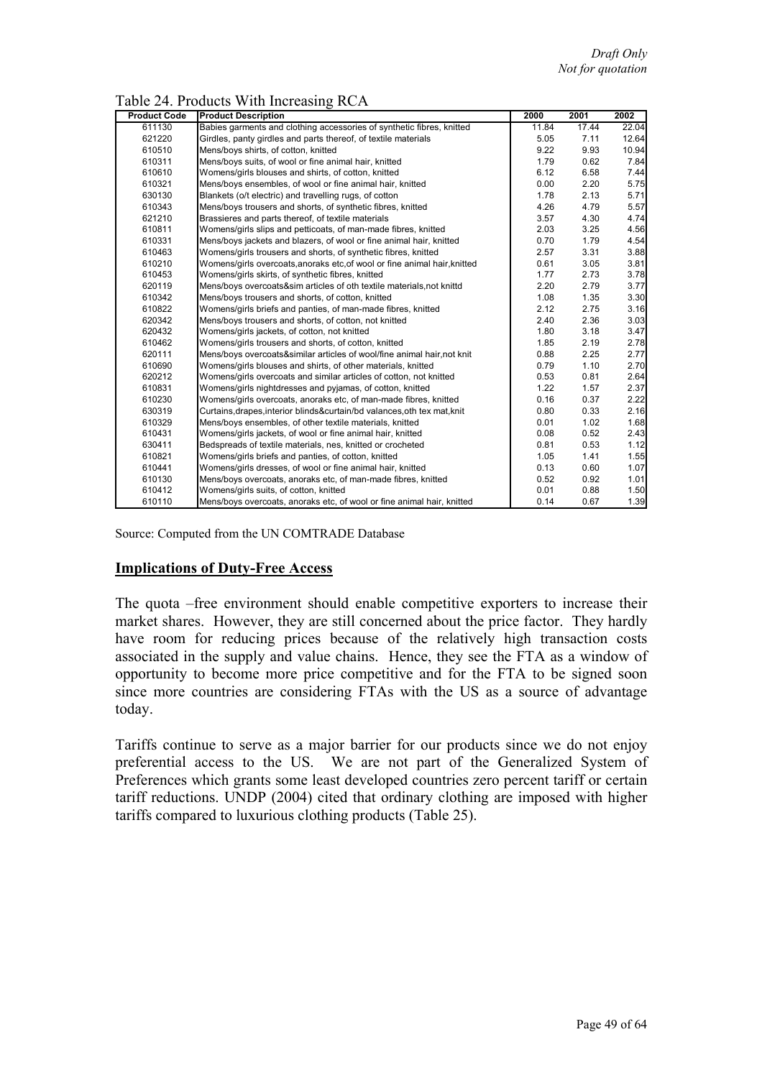#### Table 24. Products With Increasing RCA

| <b>Product Code</b> | <b>Product Description</b>                                                | 2000  | 2001  | 2002  |
|---------------------|---------------------------------------------------------------------------|-------|-------|-------|
| 611130              | Babies garments and clothing accessories of synthetic fibres, knitted     | 11.84 | 17.44 | 22.04 |
| 621220              | Girdles, panty girdles and parts thereof, of textile materials            | 5.05  | 7.11  | 12.64 |
| 610510              | Mens/boys shirts, of cotton, knitted                                      | 9.22  | 9.93  | 10.94 |
| 610311              | Mens/boys suits, of wool or fine animal hair, knitted                     | 1.79  | 0.62  | 7.84  |
| 610610              | Womens/girls blouses and shirts, of cotton, knitted                       | 6.12  | 6.58  | 7.44  |
| 610321              | Mens/boys ensembles, of wool or fine animal hair, knitted                 | 0.00  | 2.20  | 5.75  |
| 630130              | Blankets (o/t electric) and travelling rugs, of cotton                    | 1.78  | 2.13  | 5.71  |
| 610343              | Mens/boys trousers and shorts, of synthetic fibres, knitted               | 4.26  | 4.79  | 5.57  |
| 621210              | Brassieres and parts thereof, of textile materials                        | 3.57  | 4.30  | 4.74  |
| 610811              | Womens/girls slips and petticoats, of man-made fibres, knitted            | 2.03  | 3.25  | 4.56  |
| 610331              | Mens/boys jackets and blazers, of wool or fine animal hair, knitted       | 0.70  | 1.79  | 4.54  |
| 610463              | Womens/girls trousers and shorts, of synthetic fibres, knitted            | 2.57  | 3.31  | 3.88  |
| 610210              | Womens/girls overcoats, anoraks etc, of wool or fine animal hair, knitted | 0.61  | 3.05  | 3.81  |
| 610453              | Womens/girls skirts, of synthetic fibres, knitted                         | 1.77  | 2.73  | 3.78  |
| 620119              | Mens/boys overcoats∼ articles of oth textile materials, not knittd        | 2.20  | 2.79  | 3.77  |
| 610342              | Mens/boys trousers and shorts, of cotton, knitted                         | 1.08  | 1.35  | 3.30  |
| 610822              | Womens/girls briefs and panties, of man-made fibres, knitted              | 2.12  | 2.75  | 3.16  |
| 620342              | Mens/boys trousers and shorts, of cotton, not knitted                     | 2.40  | 2.36  | 3.03  |
| 620432              | Womens/girls jackets, of cotton, not knitted                              | 1.80  | 3.18  | 3.47  |
| 610462              | Womens/girls trousers and shorts, of cotton, knitted                      | 1.85  | 2.19  | 2.78  |
| 620111              | Mens/boys overcoats&similar articles of wool/fine animal hair, not knit   | 0.88  | 2.25  | 2.77  |
| 610690              | Womens/girls blouses and shirts, of other materials, knitted              | 0.79  | 1.10  | 2.70  |
| 620212              | Womens/girls overcoats and similar articles of cotton, not knitted        | 0.53  | 0.81  | 2.64  |
| 610831              | Womens/girls nightdresses and pyjamas, of cotton, knitted                 | 1.22  | 1.57  | 2.37  |
| 610230              | Womens/girls overcoats, anoraks etc, of man-made fibres, knitted          | 0.16  | 0.37  | 2.22  |
| 630319              | Curtains, drapes, interior blinds&curtain/bd valances, oth tex mat, knit  | 0.80  | 0.33  | 2.16  |
| 610329              | Mens/boys ensembles, of other textile materials, knitted                  | 0.01  | 1.02  | 1.68  |
| 610431              | Womens/girls jackets, of wool or fine animal hair, knitted                | 0.08  | 0.52  | 2.43  |
| 630411              | Bedspreads of textile materials, nes, knitted or crocheted                | 0.81  | 0.53  | 1.12  |
| 610821              | Womens/girls briefs and panties, of cotton, knitted                       | 1.05  | 1.41  | 1.55  |
| 610441              | Womens/girls dresses, of wool or fine animal hair, knitted                | 0.13  | 0.60  | 1.07  |
| 610130              | Mens/boys overcoats, anoraks etc, of man-made fibres, knitted             | 0.52  | 0.92  | 1.01  |
| 610412              | Womens/girls suits, of cotton, knitted                                    | 0.01  | 0.88  | 1.50  |
| 610110              | Mens/boys overcoats, anoraks etc, of wool or fine animal hair, knitted    | 0.14  | 0.67  | 1.39  |

Source: Computed from the UN COMTRADE Database

#### **Implications of Duty-Free Access**

The quota –free environment should enable competitive exporters to increase their market shares. However, they are still concerned about the price factor. They hardly have room for reducing prices because of the relatively high transaction costs associated in the supply and value chains. Hence, they see the FTA as a window of opportunity to become more price competitive and for the FTA to be signed soon since more countries are considering FTAs with the US as a source of advantage today.

Tariffs continue to serve as a major barrier for our products since we do not enjoy preferential access to the US. We are not part of the Generalized System of Preferences which grants some least developed countries zero percent tariff or certain tariff reductions. UNDP (2004) cited that ordinary clothing are imposed with higher tariffs compared to luxurious clothing products (Table 25).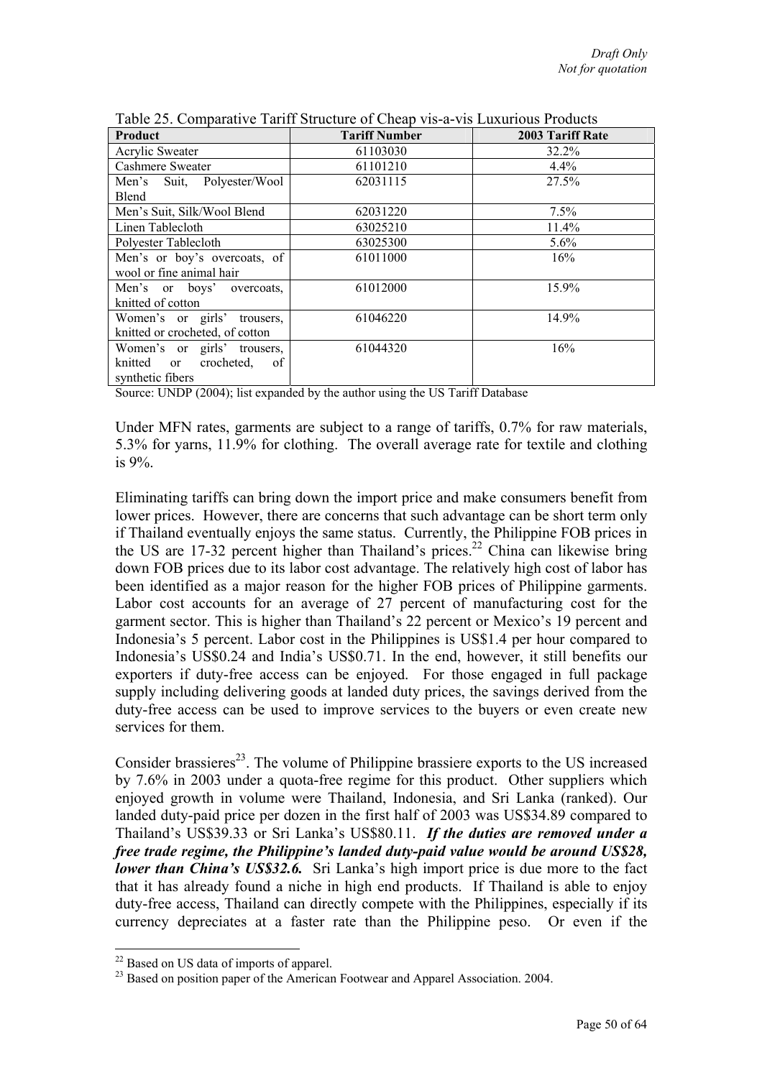| Product                         | <b>Tariff Number</b> | <b>2003 Tariff Rate</b> |
|---------------------------------|----------------------|-------------------------|
| Acrylic Sweater                 | 61103030             | $32.2\%$                |
| Cashmere Sweater                | 61101210             | $4.4\%$                 |
| Men's Suit, Polyester/Wool      | 62031115             | 27.5%                   |
| Blend                           |                      |                         |
| Men's Suit, Silk/Wool Blend     | 62031220             | 7.5%                    |
| Linen Tablecloth                | 63025210             | $11.4\%$                |
| Polyester Tablecloth            | 63025300             | $5.6\%$                 |
| Men's or boy's overcoats, of    | 61011000             | 16%                     |
| wool or fine animal hair        |                      |                         |
| Men's or boys' overcoats,       | 61012000             | 15.9%                   |
| knitted of cotton               |                      |                         |
| Women's or girls'<br>trousers,  | 61046220             | 14.9%                   |
| knitted or crocheted, of cotton |                      |                         |
| Women's or girls' trousers,     | 61044320             | 16%                     |
| crocheted,<br>knitted or<br>of  |                      |                         |
| synthetic fibers                |                      |                         |

Table 25. Comparative Tariff Structure of Cheap vis-a-vis Luxurious Products

Source: UNDP (2004); list expanded by the author using the US Tariff Database

Under MFN rates, garments are subject to a range of tariffs, 0.7% for raw materials, 5.3% for yarns, 11.9% for clothing. The overall average rate for textile and clothing is 9%.

Eliminating tariffs can bring down the import price and make consumers benefit from lower prices. However, there are concerns that such advantage can be short term only if Thailand eventually enjoys the same status. Currently, the Philippine FOB prices in the US are 17-32 percent higher than Thailand's prices.<sup>22</sup> China can likewise bring down FOB prices due to its labor cost advantage. The relatively high cost of labor has been identified as a major reason for the higher FOB prices of Philippine garments. Labor cost accounts for an average of 27 percent of manufacturing cost for the garment sector. This is higher than Thailand's 22 percent or Mexico's 19 percent and Indonesia's 5 percent. Labor cost in the Philippines is US\$1.4 per hour compared to Indonesia's US\$0.24 and India's US\$0.71. In the end, however, it still benefits our exporters if duty-free access can be enjoyed. For those engaged in full package supply including delivering goods at landed duty prices, the savings derived from the duty-free access can be used to improve services to the buyers or even create new services for them.

Consider brassieres $^{23}$ . The volume of Philippine brassiere exports to the US increased by 7.6% in 2003 under a quota-free regime for this product. Other suppliers which enjoyed growth in volume were Thailand, Indonesia, and Sri Lanka (ranked). Our landed duty-paid price per dozen in the first half of 2003 was US\$34.89 compared to Thailand's US\$39.33 or Sri Lanka's US\$80.11. *If the duties are removed under a free trade regime, the Philippine's landed duty-paid value would be around US\$28, lower than China's US\$32.6.* Sri Lanka's high import price is due more to the fact that it has already found a niche in high end products. If Thailand is able to enjoy duty-free access, Thailand can directly compete with the Philippines, especially if its currency depreciates at a faster rate than the Philippine peso. Or even if the

 $\overline{a}$ 

<sup>&</sup>lt;sup>22</sup> Based on US data of imports of apparel.

<sup>&</sup>lt;sup>23</sup> Based on position paper of the American Footwear and Apparel Association. 2004.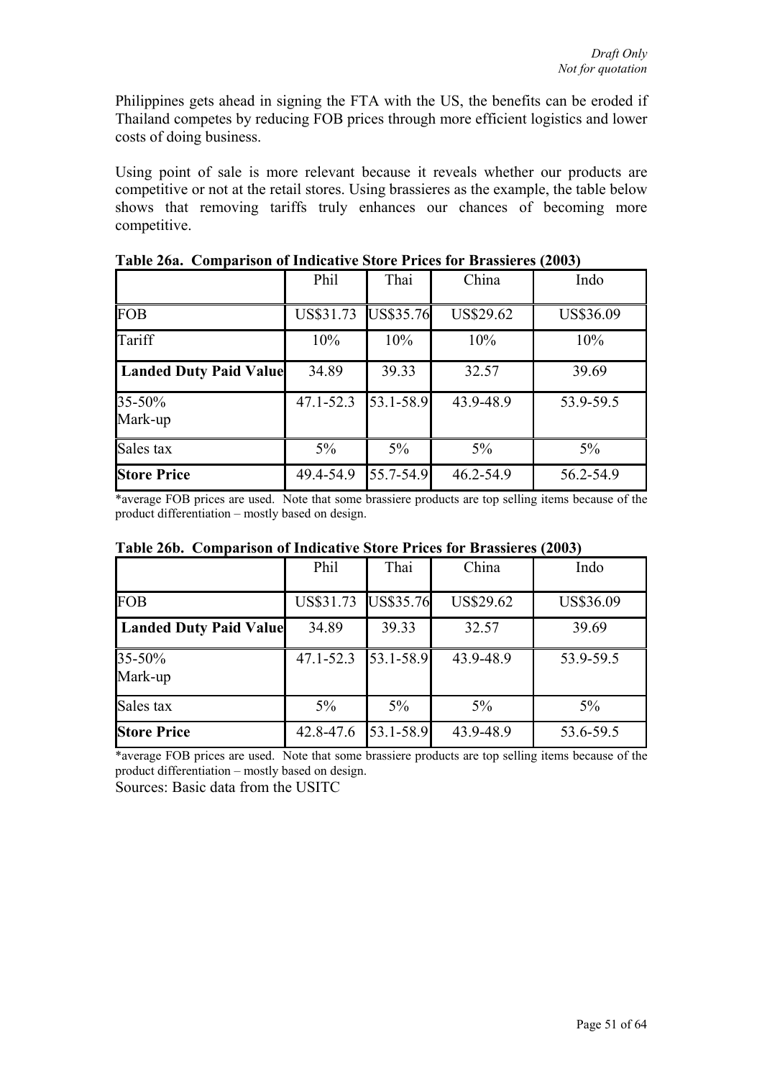Philippines gets ahead in signing the FTA with the US, the benefits can be eroded if Thailand competes by reducing FOB prices through more efficient logistics and lower costs of doing business.

Using point of sale is more relevant because it reveals whether our products are competitive or not at the retail stores. Using brassieres as the example, the table below shows that removing tariffs truly enhances our chances of becoming more competitive.

|                               | Phil          | Thai             | China            | Indo      |
|-------------------------------|---------------|------------------|------------------|-----------|
| <b>FOB</b>                    | US\$31.73     | <b>US\$35.76</b> | <b>US\$29.62</b> | US\$36.09 |
| Tariff                        | 10%           | 10%              | 10%              | 10%       |
| <b>Landed Duty Paid Value</b> | 34.89         | 39.33            | 32.57            | 39.69     |
| 35-50%<br>Mark-up             | $47.1 - 52.3$ | 53.1-58.9        | 43.9-48.9        | 53.9-59.5 |
| Sales tax                     | 5%            | $5\%$            | 5%               | $5\%$     |
| <b>Store Price</b>            | 49.4-54.9     | 55.7-54.9        | 46.2-54.9        | 56.2-54.9 |

**Table 26a. Comparison of Indicative Store Prices for Brassieres (2003)** 

\*average FOB prices are used. Note that some brassiere products are top selling items because of the product differentiation – mostly based on design.

|                               | Phil          | Thai             | China            | Indo      |
|-------------------------------|---------------|------------------|------------------|-----------|
| <b>FOB</b>                    | US\$31.73     | <b>US\$35.76</b> | <b>US\$29.62</b> | US\$36.09 |
| <b>Landed Duty Paid Value</b> | 34.89         | 39.33            | 32.57            | 39.69     |
| 35-50%<br>Mark-up             | $47.1 - 52.3$ | 53.1-58.9        | 43.9-48.9        | 53.9-59.5 |
| Sales tax                     | $5\%$         | $5\%$            | $5\%$            | $5\%$     |
| <b>Store Price</b>            | 42.8-47.6     | 53.1-58.9        | 43.9-48.9        | 53.6-59.5 |

## **Table 26b. Comparison of Indicative Store Prices for Brassieres (2003)**

\*average FOB prices are used. Note that some brassiere products are top selling items because of the product differentiation – mostly based on design.

Sources: Basic data from the USITC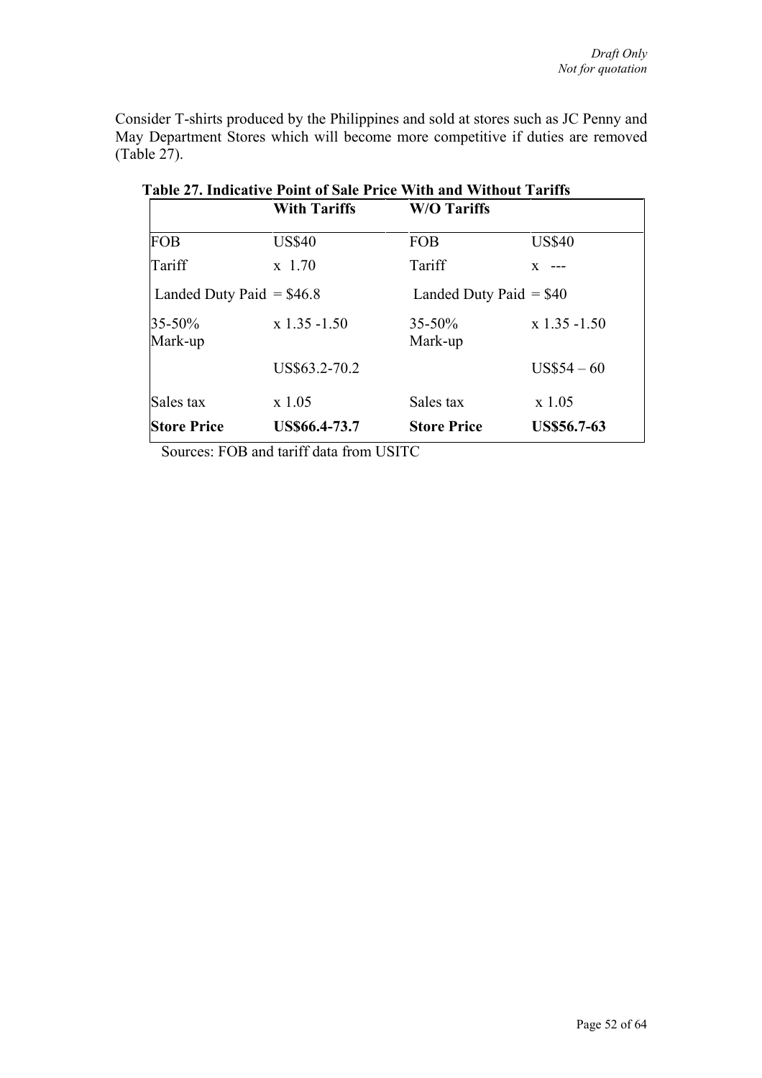Consider T-shirts produced by the Philippines and sold at stores such as JC Penny and May Department Stores which will become more competitive if duties are removed (Table 27).

|                            | Table 27. Indicative Point of Sale Price With and Without Tariffs<br><b>With Tariffs</b> | <b>W/O</b> Tariffs       |                    |
|----------------------------|------------------------------------------------------------------------------------------|--------------------------|--------------------|
| FOB                        | <b>US\$40</b>                                                                            | <b>FOB</b>               | <b>US\$40</b>      |
| Tariff                     | $x\;1.70$                                                                                | Tariff                   | X                  |
| Landed Duty Paid = $$46.8$ |                                                                                          | Landed Duty Paid $= $40$ |                    |
| 35-50%<br>Mark-up          | $x 1.35 - 1.50$                                                                          | $35 - 50\%$<br>Mark-up   | $x 1.35 - 1.50$    |
|                            | US\$63.2-70.2                                                                            |                          | $US$54-60$         |
| Sales tax                  | x 1.05                                                                                   | Sales tax                | x 1.05             |
| <b>Store Price</b>         | US\$66.4-73.7                                                                            | <b>Store Price</b>       | <b>US\$56.7-63</b> |

Sources: FOB and tariff data from USITC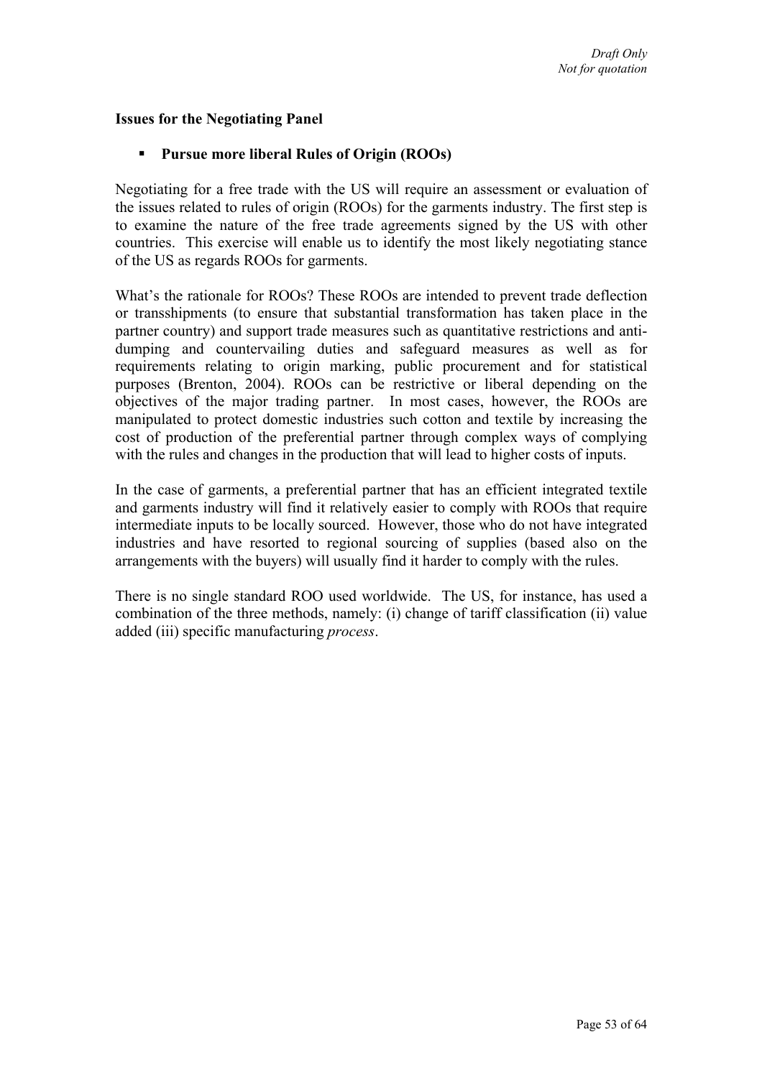### **Issues for the Negotiating Panel**

## **Pursue more liberal Rules of Origin (ROOs)**

Negotiating for a free trade with the US will require an assessment or evaluation of the issues related to rules of origin (ROOs) for the garments industry. The first step is to examine the nature of the free trade agreements signed by the US with other countries. This exercise will enable us to identify the most likely negotiating stance of the US as regards ROOs for garments.

What's the rationale for ROOs? These ROOs are intended to prevent trade deflection or transshipments (to ensure that substantial transformation has taken place in the partner country) and support trade measures such as quantitative restrictions and antidumping and countervailing duties and safeguard measures as well as for requirements relating to origin marking, public procurement and for statistical purposes (Brenton, 2004). ROOs can be restrictive or liberal depending on the objectives of the major trading partner. In most cases, however, the ROOs are manipulated to protect domestic industries such cotton and textile by increasing the cost of production of the preferential partner through complex ways of complying with the rules and changes in the production that will lead to higher costs of inputs.

In the case of garments, a preferential partner that has an efficient integrated textile and garments industry will find it relatively easier to comply with ROOs that require intermediate inputs to be locally sourced. However, those who do not have integrated industries and have resorted to regional sourcing of supplies (based also on the arrangements with the buyers) will usually find it harder to comply with the rules.

There is no single standard ROO used worldwide. The US, for instance, has used a combination of the three methods, namely: (i) change of tariff classification (ii) value added (iii) specific manufacturing *process*.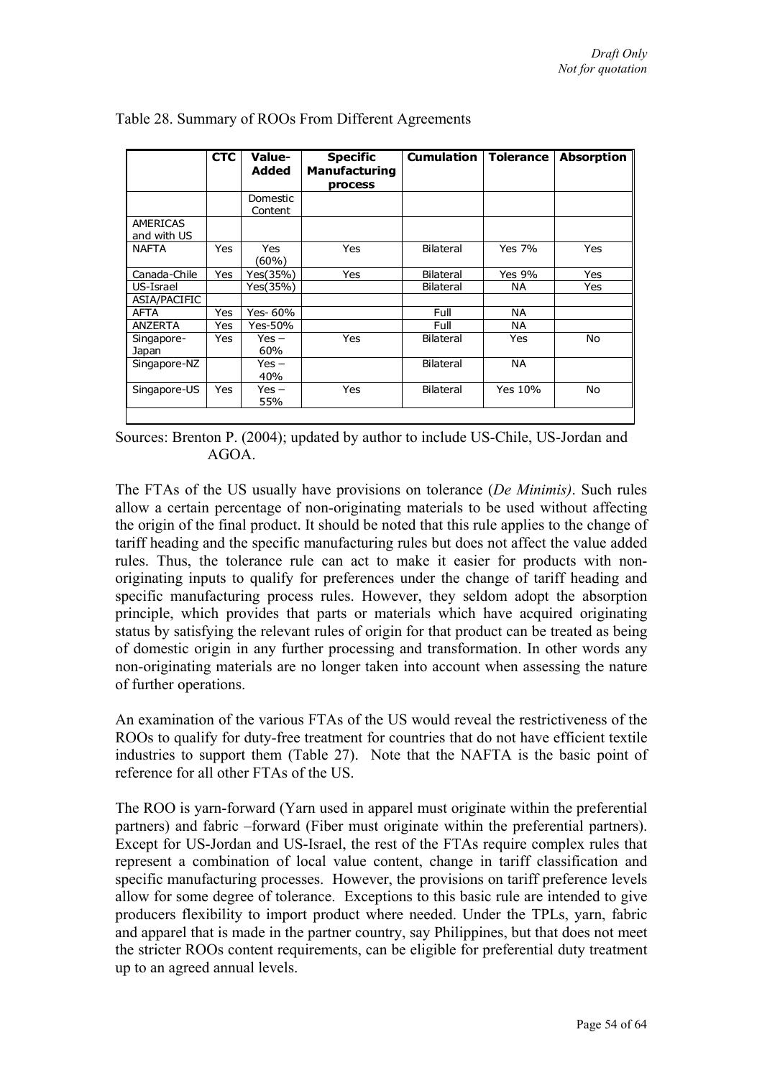|                                | <b>CTC</b> | Value-<br>Added     | <b>Specific</b><br><b>Manufacturing</b><br>process | <b>Cumulation</b> | <b>Tolerance</b> | <b>Absorption</b> |
|--------------------------------|------------|---------------------|----------------------------------------------------|-------------------|------------------|-------------------|
|                                |            | Domestic<br>Content |                                                    |                   |                  |                   |
| <b>AMERICAS</b><br>and with US |            |                     |                                                    |                   |                  |                   |
| <b>NAFTA</b>                   | <b>Yes</b> | Yes<br>(60%)        | Yes                                                | <b>Bilateral</b>  | Yes 7%           | Yes               |
| Canada-Chile                   | Yes        | Yes(35%)            | Yes                                                | Bilateral         | Yes 9%           | Yes               |
| US-Israel                      |            | Yes(35%)            |                                                    | <b>Bilateral</b>  | ΝA               | Yes               |
| ASIA/PACIFIC                   |            |                     |                                                    |                   |                  |                   |
| AFTA                           | Yes        | Yes- 60%            |                                                    | Full              | NA               |                   |
| <b>ANZERTA</b>                 | Yes        | Yes-50%             |                                                    | Full              | ΝA               |                   |
| Singapore-<br>Japan            | Yes        | $Yes -$<br>60%      | Yes                                                | <b>Bilateral</b>  | Yes              | No.               |
| Singapore-NZ                   |            | $Yes -$<br>40%      |                                                    | <b>Bilateral</b>  | <b>NA</b>        |                   |
| Singapore-US                   | Yes        | $Yes -$<br>55%      | Yes                                                | Bilateral         | Yes 10%          | No                |

Table 28. Summary of ROOs From Different Agreements

Sources: Brenton P. (2004); updated by author to include US-Chile, US-Jordan and AGOA.

The FTAs of the US usually have provisions on tolerance (*De Minimis)*. Such rules allow a certain percentage of non-originating materials to be used without affecting the origin of the final product. It should be noted that this rule applies to the change of tariff heading and the specific manufacturing rules but does not affect the value added rules. Thus, the tolerance rule can act to make it easier for products with nonoriginating inputs to qualify for preferences under the change of tariff heading and specific manufacturing process rules. However, they seldom adopt the absorption principle, which provides that parts or materials which have acquired originating status by satisfying the relevant rules of origin for that product can be treated as being of domestic origin in any further processing and transformation. In other words any non-originating materials are no longer taken into account when assessing the nature of further operations.

An examination of the various FTAs of the US would reveal the restrictiveness of the ROOs to qualify for duty-free treatment for countries that do not have efficient textile industries to support them (Table 27). Note that the NAFTA is the basic point of reference for all other FTAs of the US.

The ROO is yarn-forward (Yarn used in apparel must originate within the preferential partners) and fabric –forward (Fiber must originate within the preferential partners). Except for US-Jordan and US-Israel, the rest of the FTAs require complex rules that represent a combination of local value content, change in tariff classification and specific manufacturing processes. However, the provisions on tariff preference levels allow for some degree of tolerance. Exceptions to this basic rule are intended to give producers flexibility to import product where needed. Under the TPLs, yarn, fabric and apparel that is made in the partner country, say Philippines, but that does not meet the stricter ROOs content requirements, can be eligible for preferential duty treatment up to an agreed annual levels.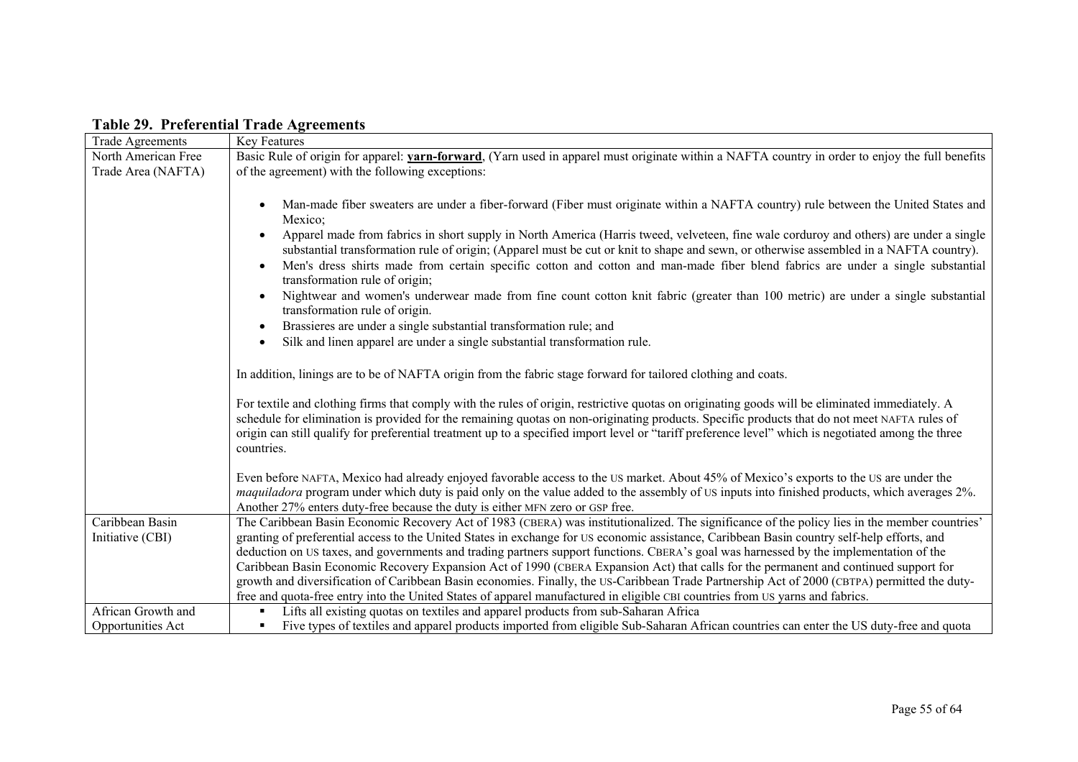|  |  | <b>Table 29. Preferential Trade Agreements</b> |
|--|--|------------------------------------------------|
|--|--|------------------------------------------------|

| <b>Trade Agreements</b> | <b>Key Features</b>                                                                                                                                                                                                                                                                                                                                                                                                                                                 |
|-------------------------|---------------------------------------------------------------------------------------------------------------------------------------------------------------------------------------------------------------------------------------------------------------------------------------------------------------------------------------------------------------------------------------------------------------------------------------------------------------------|
| North American Free     | Basic Rule of origin for apparel: varn-forward, (Yarn used in apparel must originate within a NAFTA country in order to enjoy the full benefits                                                                                                                                                                                                                                                                                                                     |
| Trade Area (NAFTA)      | of the agreement) with the following exceptions:                                                                                                                                                                                                                                                                                                                                                                                                                    |
|                         |                                                                                                                                                                                                                                                                                                                                                                                                                                                                     |
|                         | Man-made fiber sweaters are under a fiber-forward (Fiber must originate within a NAFTA country) rule between the United States and<br>Mexico;                                                                                                                                                                                                                                                                                                                       |
|                         | Apparel made from fabrics in short supply in North America (Harris tweed, velveteen, fine wale corduroy and others) are under a single                                                                                                                                                                                                                                                                                                                              |
|                         | substantial transformation rule of origin; (Apparel must be cut or knit to shape and sewn, or otherwise assembled in a NAFTA country).                                                                                                                                                                                                                                                                                                                              |
|                         | Men's dress shirts made from certain specific cotton and cotton and man-made fiber blend fabrics are under a single substantial<br>transformation rule of origin;                                                                                                                                                                                                                                                                                                   |
|                         | Nightwear and women's underwear made from fine count cotton knit fabric (greater than 100 metric) are under a single substantial<br>transformation rule of origin.                                                                                                                                                                                                                                                                                                  |
|                         | Brassieres are under a single substantial transformation rule; and                                                                                                                                                                                                                                                                                                                                                                                                  |
|                         | Silk and linen apparel are under a single substantial transformation rule.                                                                                                                                                                                                                                                                                                                                                                                          |
|                         |                                                                                                                                                                                                                                                                                                                                                                                                                                                                     |
|                         | In addition, linings are to be of NAFTA origin from the fabric stage forward for tailored clothing and coats.                                                                                                                                                                                                                                                                                                                                                       |
|                         | For textile and clothing firms that comply with the rules of origin, restrictive quotas on originating goods will be eliminated immediately. A<br>schedule for elimination is provided for the remaining quotas on non-originating products. Specific products that do not meet NAFTA rules of<br>origin can still qualify for preferential treatment up to a specified import level or "tariff preference level" which is negotiated among the three<br>countries. |
|                         | Even before NAFTA, Mexico had already enjoyed favorable access to the US market. About 45% of Mexico's exports to the US are under the<br><i>maquiladora</i> program under which duty is paid only on the value added to the assembly of US inputs into finished products, which averages 2%.<br>Another 27% enters duty-free because the duty is either MFN zero or GSP free.                                                                                      |
| Caribbean Basin         | The Caribbean Basin Economic Recovery Act of 1983 (CBERA) was institutionalized. The significance of the policy lies in the member countries'                                                                                                                                                                                                                                                                                                                       |
| Initiative (CBI)        | granting of preferential access to the United States in exchange for US economic assistance, Caribbean Basin country self-help efforts, and                                                                                                                                                                                                                                                                                                                         |
|                         | deduction on US taxes, and governments and trading partners support functions. CBERA's goal was harnessed by the implementation of the                                                                                                                                                                                                                                                                                                                              |
|                         | Caribbean Basin Economic Recovery Expansion Act of 1990 (CBERA Expansion Act) that calls for the permanent and continued support for                                                                                                                                                                                                                                                                                                                                |
|                         | growth and diversification of Caribbean Basin economies. Finally, the US-Caribbean Trade Partnership Act of 2000 (CBTPA) permitted the duty-                                                                                                                                                                                                                                                                                                                        |
|                         | free and quota-free entry into the United States of apparel manufactured in eligible CBI countries from US yarns and fabrics.                                                                                                                                                                                                                                                                                                                                       |
| African Growth and      | Lifts all existing quotas on textiles and apparel products from sub-Saharan Africa                                                                                                                                                                                                                                                                                                                                                                                  |
| Opportunities Act       | Five types of textiles and apparel products imported from eligible Sub-Saharan African countries can enter the US duty-free and quota<br>$\blacksquare$                                                                                                                                                                                                                                                                                                             |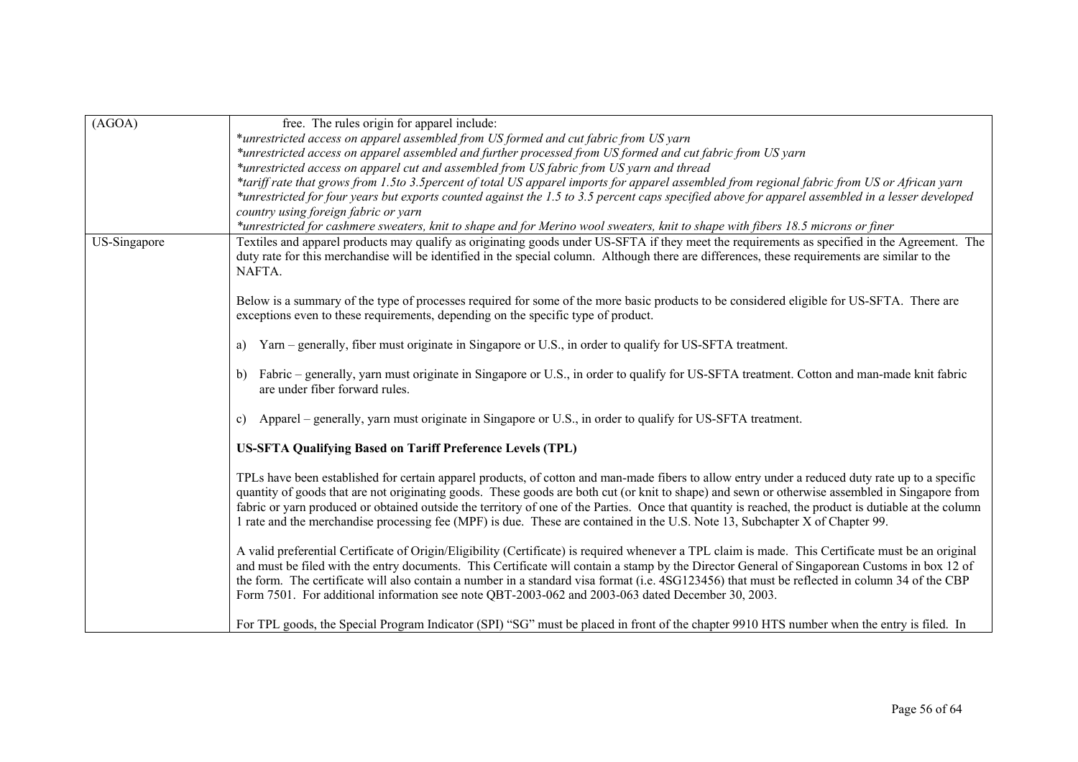| (AGOA)       | free. The rules origin for apparel include:                                                                                                                                                                                                                                                                                                                                                                                                                                                                                                                                                  |
|--------------|----------------------------------------------------------------------------------------------------------------------------------------------------------------------------------------------------------------------------------------------------------------------------------------------------------------------------------------------------------------------------------------------------------------------------------------------------------------------------------------------------------------------------------------------------------------------------------------------|
|              | *unrestricted access on apparel assembled from US formed and cut fabric from US yarn                                                                                                                                                                                                                                                                                                                                                                                                                                                                                                         |
|              | *unrestricted access on apparel assembled and further processed from US formed and cut fabric from US yarn                                                                                                                                                                                                                                                                                                                                                                                                                                                                                   |
|              | *unrestricted access on apparel cut and assembled from US fabric from US yarn and thread                                                                                                                                                                                                                                                                                                                                                                                                                                                                                                     |
|              | *tariff rate that grows from 1.5to 3.5percent of total US apparel imports for apparel assembled from regional fabric from US or African yarn                                                                                                                                                                                                                                                                                                                                                                                                                                                 |
|              | *unrestricted for four years but exports counted against the 1.5 to 3.5 percent caps specified above for apparel assembled in a lesser developed                                                                                                                                                                                                                                                                                                                                                                                                                                             |
|              | country using foreign fabric or yarn                                                                                                                                                                                                                                                                                                                                                                                                                                                                                                                                                         |
|              | *unrestricted for cashmere sweaters, knit to shape and for Merino wool sweaters, knit to shape with fibers 18.5 microns or finer                                                                                                                                                                                                                                                                                                                                                                                                                                                             |
| US-Singapore | Textiles and apparel products may qualify as originating goods under US-SFTA if they meet the requirements as specified in the Agreement. The<br>duty rate for this merchandise will be identified in the special column. Although there are differences, these requirements are similar to the<br>NAFTA.                                                                                                                                                                                                                                                                                    |
|              | Below is a summary of the type of processes required for some of the more basic products to be considered eligible for US-SFTA. There are<br>exceptions even to these requirements, depending on the specific type of product.                                                                                                                                                                                                                                                                                                                                                               |
|              | a) Yarn – generally, fiber must originate in Singapore or U.S., in order to qualify for US-SFTA treatment.                                                                                                                                                                                                                                                                                                                                                                                                                                                                                   |
|              | Fabric – generally, yarn must originate in Singapore or U.S., in order to qualify for US-SFTA treatment. Cotton and man-made knit fabric<br>b)<br>are under fiber forward rules.                                                                                                                                                                                                                                                                                                                                                                                                             |
|              | Apparel – generally, yarn must originate in Singapore or U.S., in order to qualify for US-SFTA treatment.<br>C)                                                                                                                                                                                                                                                                                                                                                                                                                                                                              |
|              | <b>US-SFTA Qualifying Based on Tariff Preference Levels (TPL)</b>                                                                                                                                                                                                                                                                                                                                                                                                                                                                                                                            |
|              | TPLs have been established for certain apparel products, of cotton and man-made fibers to allow entry under a reduced duty rate up to a specific<br>quantity of goods that are not originating goods. These goods are both cut (or knit to shape) and sewn or otherwise assembled in Singapore from<br>fabric or yarn produced or obtained outside the territory of one of the Parties. Once that quantity is reached, the product is dutiable at the column<br>1 rate and the merchandise processing fee (MPF) is due. These are contained in the U.S. Note 13, Subchapter X of Chapter 99. |
|              | A valid preferential Certificate of Origin/Eligibility (Certificate) is required whenever a TPL claim is made. This Certificate must be an original<br>and must be filed with the entry documents. This Certificate will contain a stamp by the Director General of Singaporean Customs in box 12 of<br>the form. The certificate will also contain a number in a standard visa format (i.e. 4SG123456) that must be reflected in column 34 of the CBP<br>Form 7501. For additional information see note QBT-2003-062 and 2003-063 dated December 30, 2003.                                  |
|              | For TPL goods, the Special Program Indicator (SPI) "SG" must be placed in front of the chapter 9910 HTS number when the entry is filed. In                                                                                                                                                                                                                                                                                                                                                                                                                                                   |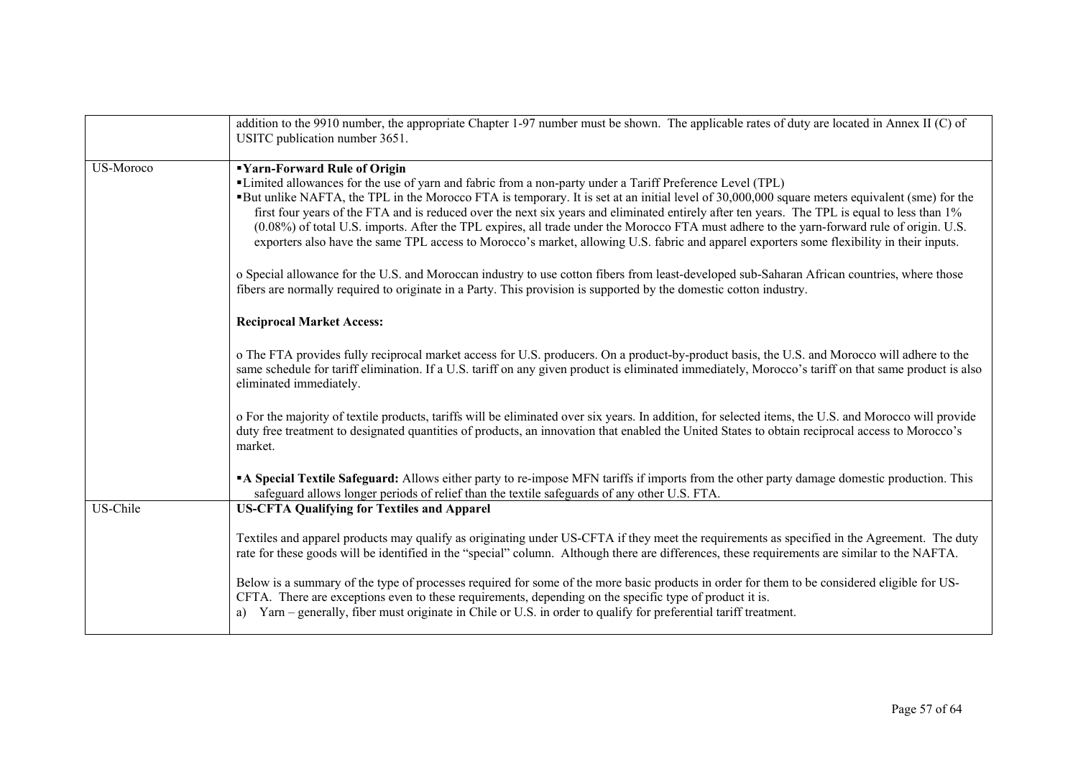|           | addition to the 9910 number, the appropriate Chapter 1-97 number must be shown. The applicable rates of duty are located in Annex II (C) of<br>USITC publication number 3651.                                                                                                                                                                                                                                                                                                                                                                                                                                                                                                                                                          |
|-----------|----------------------------------------------------------------------------------------------------------------------------------------------------------------------------------------------------------------------------------------------------------------------------------------------------------------------------------------------------------------------------------------------------------------------------------------------------------------------------------------------------------------------------------------------------------------------------------------------------------------------------------------------------------------------------------------------------------------------------------------|
| US-Moroco | "Yarn-Forward Rule of Origin<br>"Limited allowances for the use of yarn and fabric from a non-party under a Tariff Preference Level (TPL)<br>"But unlike NAFTA, the TPL in the Morocco FTA is temporary. It is set at an initial level of 30,000,000 square meters equivalent (sme) for the<br>first four years of the FTA and is reduced over the next six years and eliminated entirely after ten years. The TPL is equal to less than 1%<br>(0.08%) of total U.S. imports. After the TPL expires, all trade under the Morocco FTA must adhere to the yarn-forward rule of origin. U.S.<br>exporters also have the same TPL access to Morocco's market, allowing U.S. fabric and apparel exporters some flexibility in their inputs. |
|           | o Special allowance for the U.S. and Moroccan industry to use cotton fibers from least-developed sub-Saharan African countries, where those<br>fibers are normally required to originate in a Party. This provision is supported by the domestic cotton industry.                                                                                                                                                                                                                                                                                                                                                                                                                                                                      |
|           | <b>Reciprocal Market Access:</b>                                                                                                                                                                                                                                                                                                                                                                                                                                                                                                                                                                                                                                                                                                       |
|           | o The FTA provides fully reciprocal market access for U.S. producers. On a product-by-product basis, the U.S. and Morocco will adhere to the<br>same schedule for tariff elimination. If a U.S. tariff on any given product is eliminated immediately, Morocco's tariff on that same product is also<br>eliminated immediately.                                                                                                                                                                                                                                                                                                                                                                                                        |
|           | o For the majority of textile products, tariffs will be eliminated over six years. In addition, for selected items, the U.S. and Morocco will provide<br>duty free treatment to designated quantities of products, an innovation that enabled the United States to obtain reciprocal access to Morocco's<br>market.                                                                                                                                                                                                                                                                                                                                                                                                                    |
|           | A Special Textile Safeguard: Allows either party to re-impose MFN tariffs if imports from the other party damage domestic production. This<br>safeguard allows longer periods of relief than the textile safeguards of any other U.S. FTA.                                                                                                                                                                                                                                                                                                                                                                                                                                                                                             |
| US-Chile  | <b>US-CFTA Qualifying for Textiles and Apparel</b>                                                                                                                                                                                                                                                                                                                                                                                                                                                                                                                                                                                                                                                                                     |
|           | Textiles and apparel products may qualify as originating under US-CFTA if they meet the requirements as specified in the Agreement. The duty<br>rate for these goods will be identified in the "special" column. Although there are differences, these requirements are similar to the NAFTA.                                                                                                                                                                                                                                                                                                                                                                                                                                          |
|           | Below is a summary of the type of processes required for some of the more basic products in order for them to be considered eligible for US-<br>CFTA. There are exceptions even to these requirements, depending on the specific type of product it is.<br>a) Yarn – generally, fiber must originate in Chile or U.S. in order to qualify for preferential tariff treatment.                                                                                                                                                                                                                                                                                                                                                           |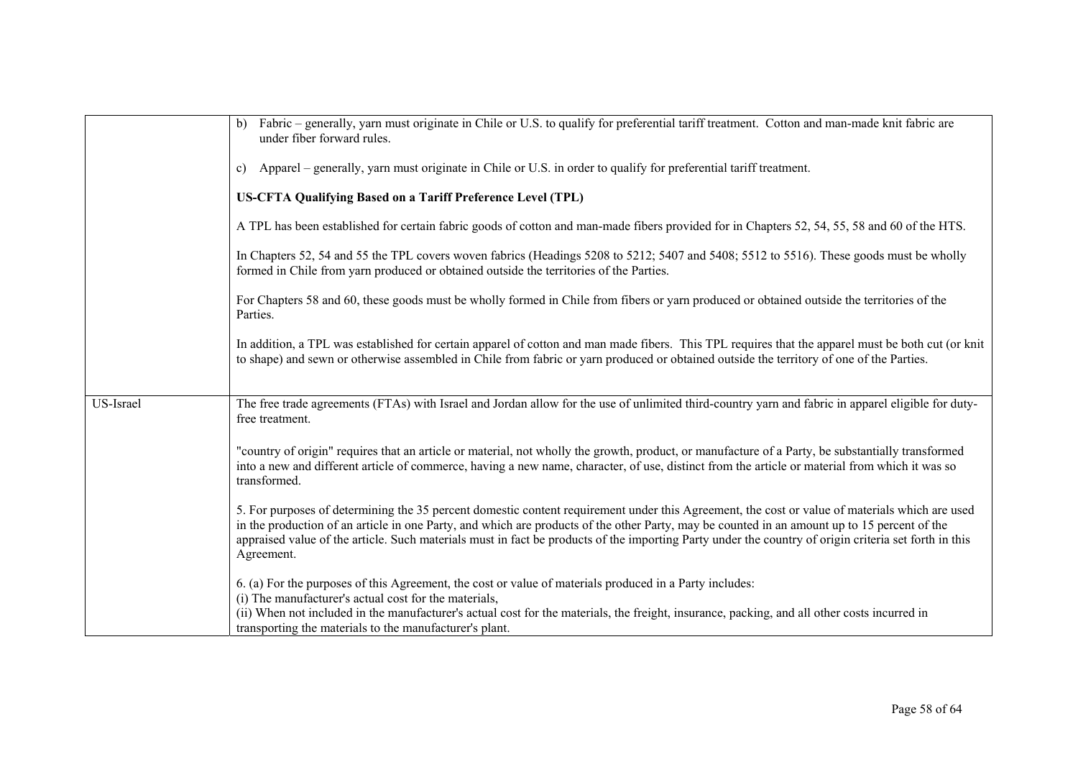|           | Fabric – generally, yarn must originate in Chile or U.S. to qualify for preferential tariff treatment. Cotton and man-made knit fabric are<br>b)<br>under fiber forward rules.                                                                                                                                                                                                                                                                                        |
|-----------|-----------------------------------------------------------------------------------------------------------------------------------------------------------------------------------------------------------------------------------------------------------------------------------------------------------------------------------------------------------------------------------------------------------------------------------------------------------------------|
|           | c) Apparel – generally, yarn must originate in Chile or U.S. in order to qualify for preferential tariff treatment.                                                                                                                                                                                                                                                                                                                                                   |
|           | <b>US-CFTA Qualifying Based on a Tariff Preference Level (TPL)</b>                                                                                                                                                                                                                                                                                                                                                                                                    |
|           | A TPL has been established for certain fabric goods of cotton and man-made fibers provided for in Chapters 52, 54, 55, 58 and 60 of the HTS.                                                                                                                                                                                                                                                                                                                          |
|           | In Chapters 52, 54 and 55 the TPL covers woven fabrics (Headings 5208 to 5212; 5407 and 5408; 5512 to 5516). These goods must be wholly<br>formed in Chile from yarn produced or obtained outside the territories of the Parties.                                                                                                                                                                                                                                     |
|           | For Chapters 58 and 60, these goods must be wholly formed in Chile from fibers or yarn produced or obtained outside the territories of the<br>Parties.                                                                                                                                                                                                                                                                                                                |
|           | In addition, a TPL was established for certain apparel of cotton and man made fibers. This TPL requires that the apparel must be both cut (or knit<br>to shape) and sewn or otherwise assembled in Chile from fabric or yarn produced or obtained outside the territory of one of the Parties.                                                                                                                                                                        |
| US-Israel | The free trade agreements (FTAs) with Israel and Jordan allow for the use of unlimited third-country yarn and fabric in apparel eligible for duty-<br>free treatment.                                                                                                                                                                                                                                                                                                 |
|           | "country of origin" requires that an article or material, not wholly the growth, product, or manufacture of a Party, be substantially transformed<br>into a new and different article of commerce, having a new name, character, of use, distinct from the article or material from which it was so<br>transformed.                                                                                                                                                   |
|           | 5. For purposes of determining the 35 percent domestic content requirement under this Agreement, the cost or value of materials which are used<br>in the production of an article in one Party, and which are products of the other Party, may be counted in an amount up to 15 percent of the<br>appraised value of the article. Such materials must in fact be products of the importing Party under the country of origin criteria set forth in this<br>Agreement. |
|           | 6. (a) For the purposes of this Agreement, the cost or value of materials produced in a Party includes:<br>(i) The manufacturer's actual cost for the materials,<br>(ii) When not included in the manufacturer's actual cost for the materials, the freight, insurance, packing, and all other costs incurred in<br>transporting the materials to the manufacturer's plant.                                                                                           |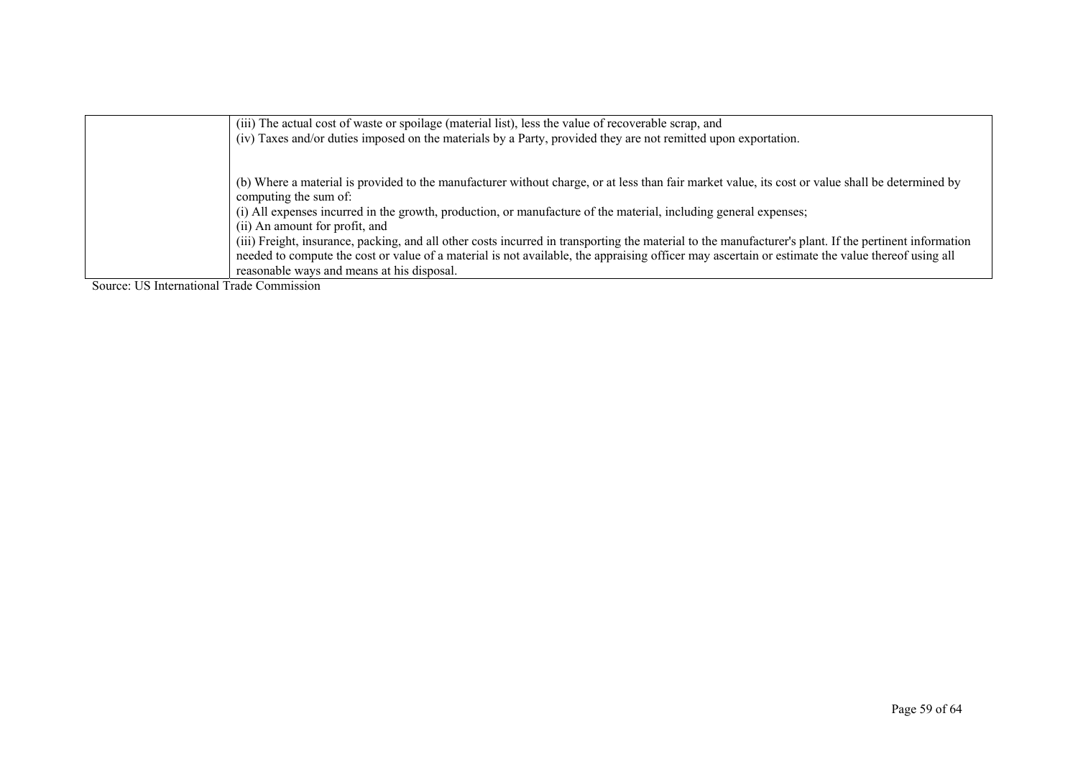| (iii) The actual cost of waste or spoilage (material list), less the value of recoverable scrap, and<br>(iv) Taxes and/or duties imposed on the materials by a Party, provided they are not remitted upon exportation. |
|------------------------------------------------------------------------------------------------------------------------------------------------------------------------------------------------------------------------|
| (b) Where a material is provided to the manufacturer without charge, or at less than fair market value, its cost or value shall be determined by                                                                       |
| computing the sum of:                                                                                                                                                                                                  |
| (i) All expenses incurred in the growth, production, or manufacture of the material, including general expenses;                                                                                                       |
| (ii) An amount for profit, and<br>(iii) Freight, insurance, packing, and all other costs incurred in transporting the material to the manufacturer's plant. If the pertinent information                               |
| needed to compute the cost or value of a material is not available, the appraising officer may ascertain or estimate the value thereof using all                                                                       |
| reasonable ways and means at his disposal.                                                                                                                                                                             |

Source: US International Trade Commission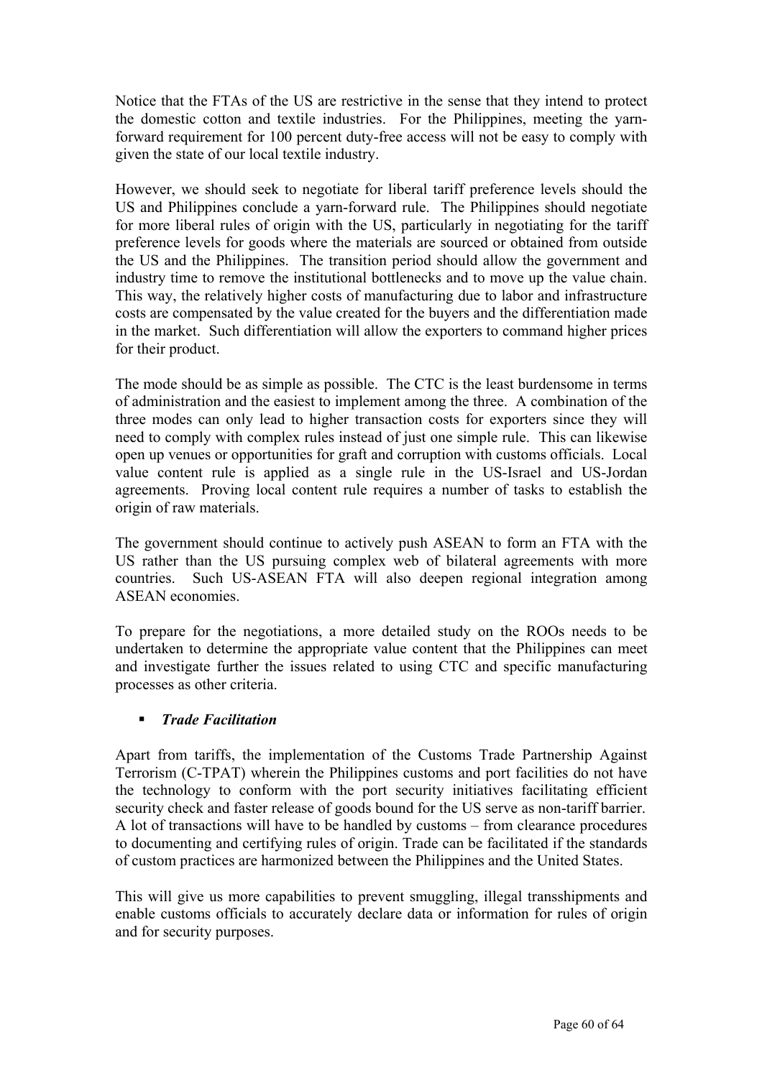Notice that the FTAs of the US are restrictive in the sense that they intend to protect the domestic cotton and textile industries. For the Philippines, meeting the yarnforward requirement for 100 percent duty-free access will not be easy to comply with given the state of our local textile industry.

However, we should seek to negotiate for liberal tariff preference levels should the US and Philippines conclude a yarn-forward rule. The Philippines should negotiate for more liberal rules of origin with the US, particularly in negotiating for the tariff preference levels for goods where the materials are sourced or obtained from outside the US and the Philippines. The transition period should allow the government and industry time to remove the institutional bottlenecks and to move up the value chain. This way, the relatively higher costs of manufacturing due to labor and infrastructure costs are compensated by the value created for the buyers and the differentiation made in the market. Such differentiation will allow the exporters to command higher prices for their product.

The mode should be as simple as possible. The CTC is the least burdensome in terms of administration and the easiest to implement among the three. A combination of the three modes can only lead to higher transaction costs for exporters since they will need to comply with complex rules instead of just one simple rule. This can likewise open up venues or opportunities for graft and corruption with customs officials. Local value content rule is applied as a single rule in the US-Israel and US-Jordan agreements. Proving local content rule requires a number of tasks to establish the origin of raw materials.

The government should continue to actively push ASEAN to form an FTA with the US rather than the US pursuing complex web of bilateral agreements with more countries. Such US-ASEAN FTA will also deepen regional integration among ASEAN economies.

To prepare for the negotiations, a more detailed study on the ROOs needs to be undertaken to determine the appropriate value content that the Philippines can meet and investigate further the issues related to using CTC and specific manufacturing processes as other criteria.

## *Trade Facilitation*

Apart from tariffs, the implementation of the Customs Trade Partnership Against Terrorism (C-TPAT) wherein the Philippines customs and port facilities do not have the technology to conform with the port security initiatives facilitating efficient security check and faster release of goods bound for the US serve as non-tariff barrier. A lot of transactions will have to be handled by customs – from clearance procedures to documenting and certifying rules of origin. Trade can be facilitated if the standards of custom practices are harmonized between the Philippines and the United States.

This will give us more capabilities to prevent smuggling, illegal transshipments and enable customs officials to accurately declare data or information for rules of origin and for security purposes.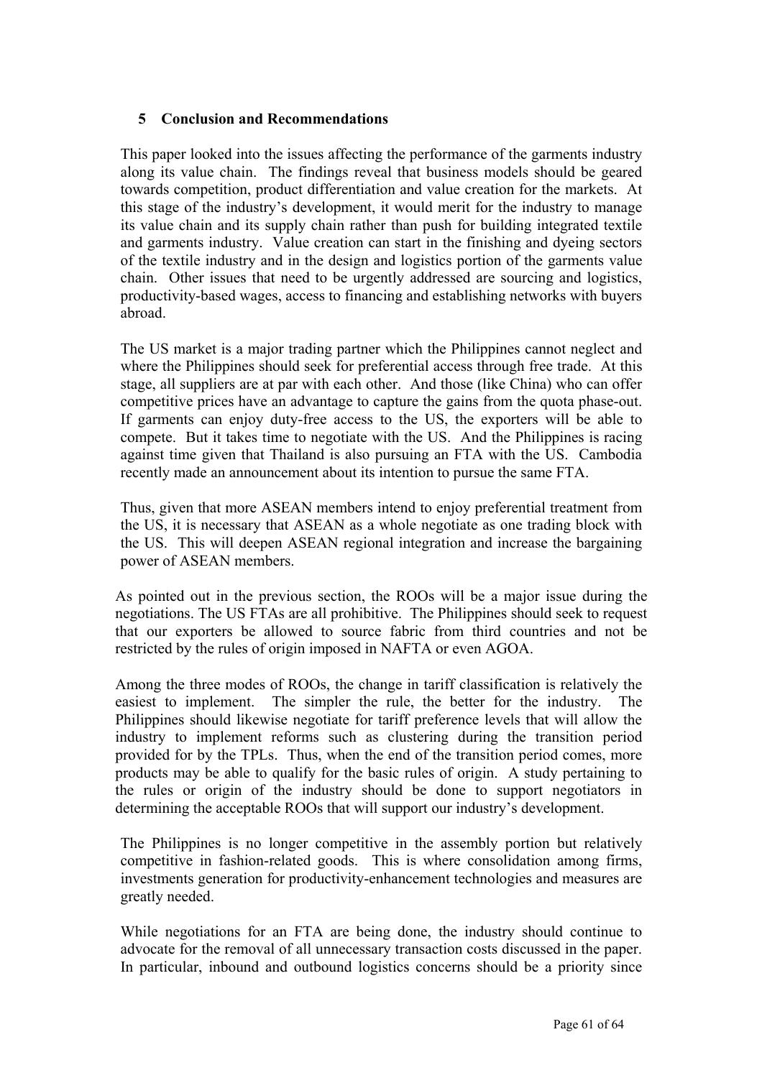## **5 Conclusion and Recommendations**

This paper looked into the issues affecting the performance of the garments industry along its value chain. The findings reveal that business models should be geared towards competition, product differentiation and value creation for the markets. At this stage of the industry's development, it would merit for the industry to manage its value chain and its supply chain rather than push for building integrated textile and garments industry. Value creation can start in the finishing and dyeing sectors of the textile industry and in the design and logistics portion of the garments value chain. Other issues that need to be urgently addressed are sourcing and logistics, productivity-based wages, access to financing and establishing networks with buyers abroad.

The US market is a major trading partner which the Philippines cannot neglect and where the Philippines should seek for preferential access through free trade. At this stage, all suppliers are at par with each other. And those (like China) who can offer competitive prices have an advantage to capture the gains from the quota phase-out. If garments can enjoy duty-free access to the US, the exporters will be able to compete. But it takes time to negotiate with the US. And the Philippines is racing against time given that Thailand is also pursuing an FTA with the US. Cambodia recently made an announcement about its intention to pursue the same FTA.

Thus, given that more ASEAN members intend to enjoy preferential treatment from the US, it is necessary that ASEAN as a whole negotiate as one trading block with the US. This will deepen ASEAN regional integration and increase the bargaining power of ASEAN members.

As pointed out in the previous section, the ROOs will be a major issue during the negotiations. The US FTAs are all prohibitive. The Philippines should seek to request that our exporters be allowed to source fabric from third countries and not be restricted by the rules of origin imposed in NAFTA or even AGOA.

Among the three modes of ROOs, the change in tariff classification is relatively the easiest to implement. The simpler the rule, the better for the industry. The Philippines should likewise negotiate for tariff preference levels that will allow the industry to implement reforms such as clustering during the transition period provided for by the TPLs. Thus, when the end of the transition period comes, more products may be able to qualify for the basic rules of origin. A study pertaining to the rules or origin of the industry should be done to support negotiators in determining the acceptable ROOs that will support our industry's development.

The Philippines is no longer competitive in the assembly portion but relatively competitive in fashion-related goods. This is where consolidation among firms, investments generation for productivity-enhancement technologies and measures are greatly needed.

While negotiations for an FTA are being done, the industry should continue to advocate for the removal of all unnecessary transaction costs discussed in the paper. In particular, inbound and outbound logistics concerns should be a priority since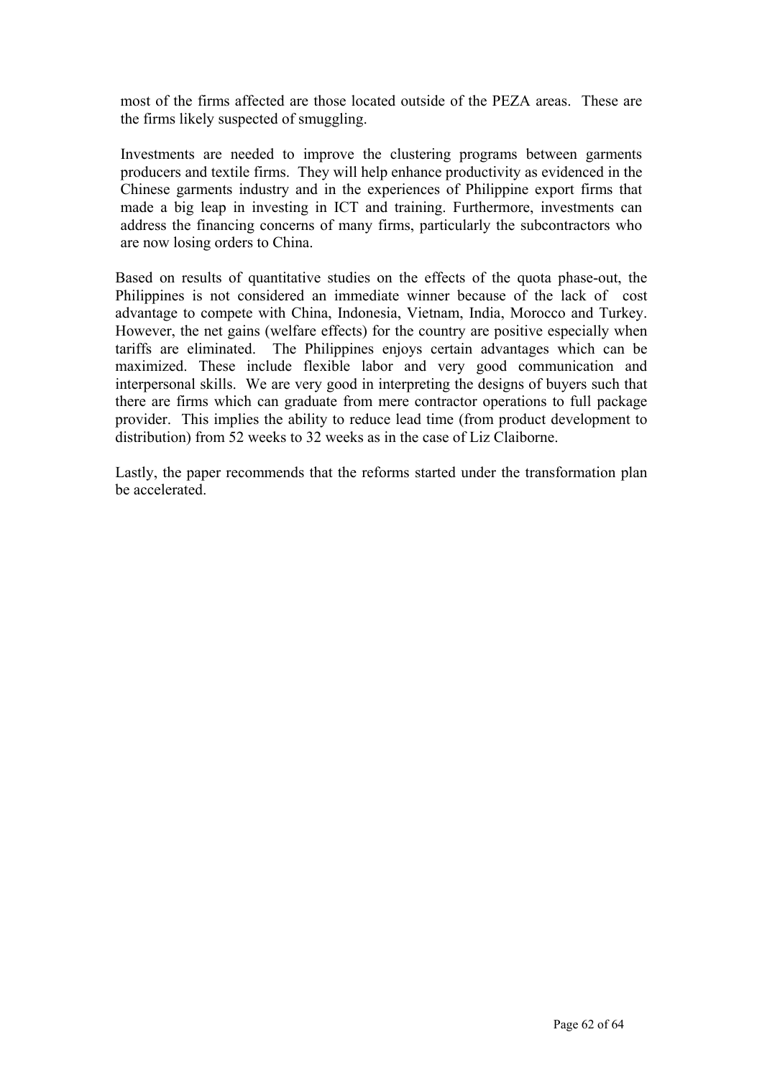most of the firms affected are those located outside of the PEZA areas. These are the firms likely suspected of smuggling.

Investments are needed to improve the clustering programs between garments producers and textile firms. They will help enhance productivity as evidenced in the Chinese garments industry and in the experiences of Philippine export firms that made a big leap in investing in ICT and training. Furthermore, investments can address the financing concerns of many firms, particularly the subcontractors who are now losing orders to China.

Based on results of quantitative studies on the effects of the quota phase-out, the Philippines is not considered an immediate winner because of the lack of cost advantage to compete with China, Indonesia, Vietnam, India, Morocco and Turkey. However, the net gains (welfare effects) for the country are positive especially when tariffs are eliminated. The Philippines enjoys certain advantages which can be maximized. These include flexible labor and very good communication and interpersonal skills. We are very good in interpreting the designs of buyers such that there are firms which can graduate from mere contractor operations to full package provider. This implies the ability to reduce lead time (from product development to distribution) from 52 weeks to 32 weeks as in the case of Liz Claiborne.

Lastly, the paper recommends that the reforms started under the transformation plan be accelerated.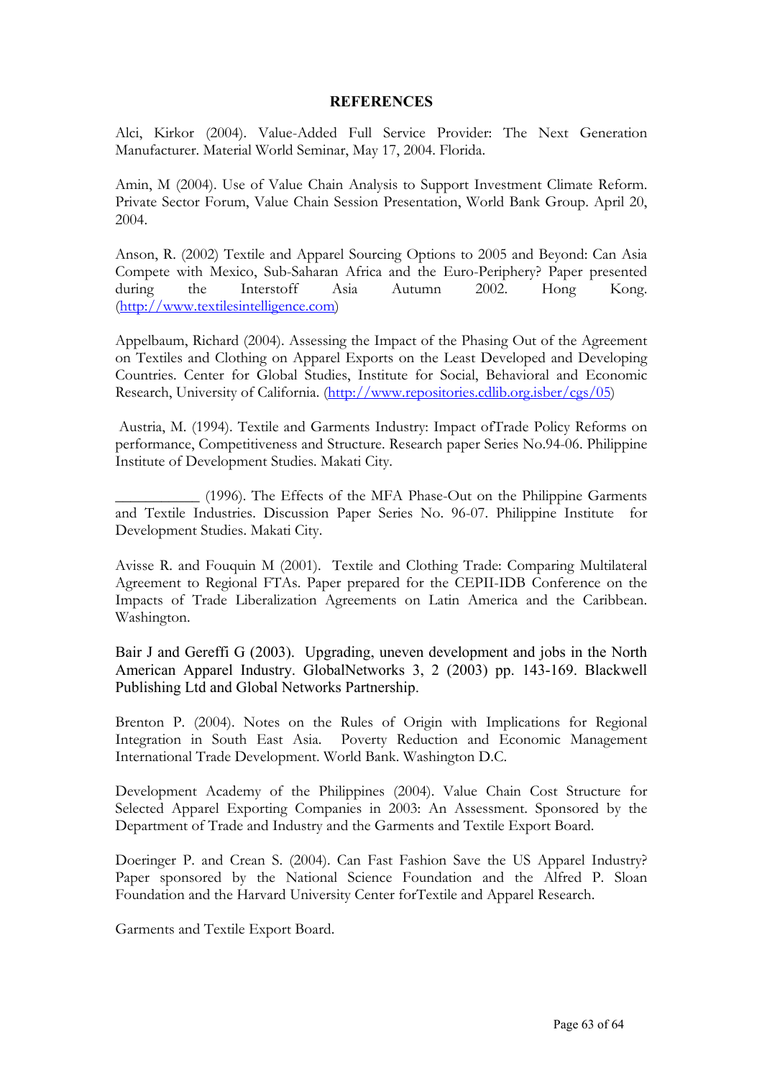#### **REFERENCES**

Alci, Kirkor (2004). Value-Added Full Service Provider: The Next Generation Manufacturer. Material World Seminar, May 17, 2004. Florida.

Amin, M (2004). Use of Value Chain Analysis to Support Investment Climate Reform. Private Sector Forum, Value Chain Session Presentation, World Bank Group. April 20, 2004.

Anson, R. (2002) Textile and Apparel Sourcing Options to 2005 and Beyond: Can Asia Compete with Mexico, Sub-Saharan Africa and the Euro-Periphery? Paper presented during the Interstoff Asia Autumn 2002. Hong Kong. (http://www.textilesintelligence.com)

Appelbaum, Richard (2004). Assessing the Impact of the Phasing Out of the Agreement on Textiles and Clothing on Apparel Exports on the Least Developed and Developing Countries. Center for Global Studies, Institute for Social, Behavioral and Economic Research, University of California. (http://www.repositories.cdlib.org.isber/cgs/05)

 Austria, M. (1994). Textile and Garments Industry: Impact ofTrade Policy Reforms on performance, Competitiveness and Structure. Research paper Series No.94-06. Philippine Institute of Development Studies. Makati City.

\_\_\_\_\_\_\_\_\_\_\_ (1996). The Effects of the MFA Phase-Out on the Philippine Garments and Textile Industries. Discussion Paper Series No. 96-07. Philippine Institute for Development Studies. Makati City.

Avisse R. and Fouquin M (2001). Textile and Clothing Trade: Comparing Multilateral Agreement to Regional FTAs. Paper prepared for the CEPII-IDB Conference on the Impacts of Trade Liberalization Agreements on Latin America and the Caribbean. Washington.

Bair J and Gereffi G (2003). Upgrading, uneven development and jobs in the North American Apparel Industry. GlobalNetworks 3, 2 (2003) pp. 143-169. Blackwell Publishing Ltd and Global Networks Partnership.

Brenton P. (2004). Notes on the Rules of Origin with Implications for Regional Integration in South East Asia. Poverty Reduction and Economic Management International Trade Development. World Bank. Washington D.C.

Development Academy of the Philippines (2004). Value Chain Cost Structure for Selected Apparel Exporting Companies in 2003: An Assessment. Sponsored by the Department of Trade and Industry and the Garments and Textile Export Board.

Doeringer P. and Crean S. (2004). Can Fast Fashion Save the US Apparel Industry? Paper sponsored by the National Science Foundation and the Alfred P. Sloan Foundation and the Harvard University Center forTextile and Apparel Research.

Garments and Textile Export Board.